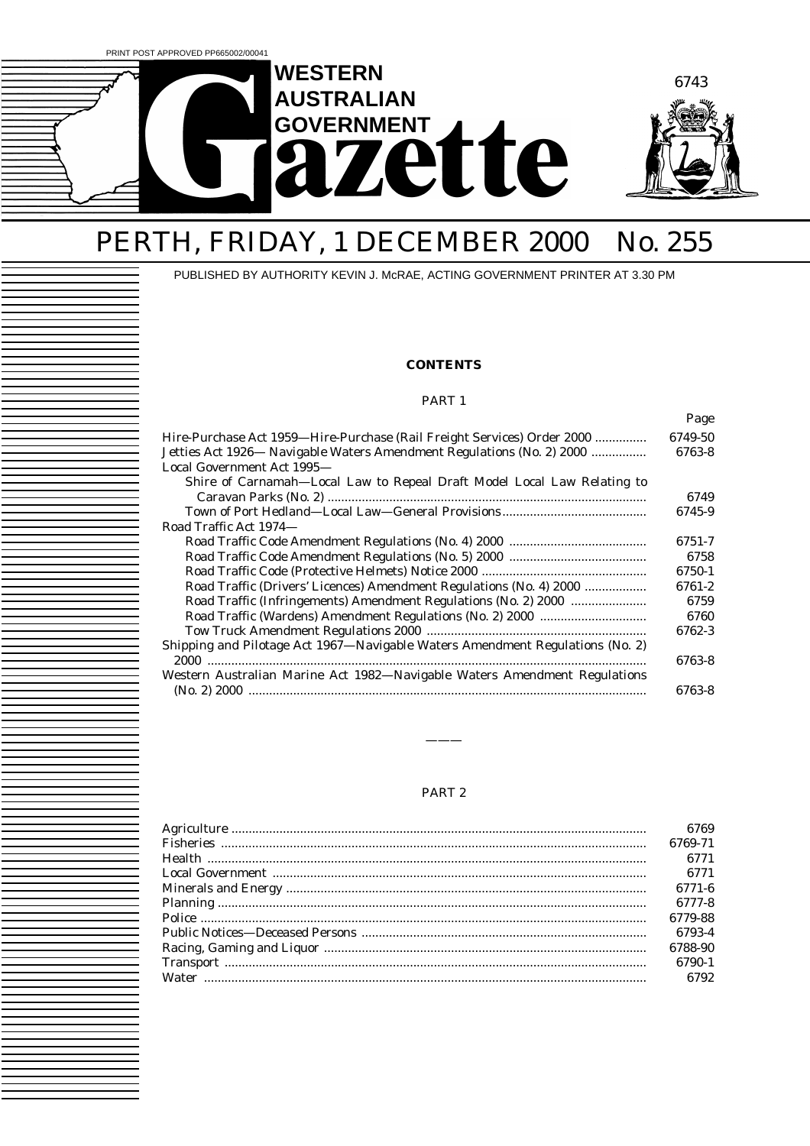

# PERTH, FRIDAY, 1 DECEMBER 2000 No. 255

PUBLISHED BY AUTHORITY KEVIN J. McRAE, ACTING GOVERNMENT PRINTER AT 3.30 PM

### **CONTENTS**

#### PART 1

|                                                                               | Page    |
|-------------------------------------------------------------------------------|---------|
| Hire-Purchase Act 1959—Hire-Purchase (Rail Freight Services) Order 2000       | 6749-50 |
| Jetties Act 1926 - Navigable Waters Amendment Regulations (No. 2) 2000        | 6763-8  |
| Local Government Act 1995-                                                    |         |
| Shire of Carnamah—Local Law to Repeal Draft Model Local Law Relating to       |         |
|                                                                               | 6749    |
|                                                                               | 6745-9  |
| Road Traffic Act 1974—                                                        |         |
|                                                                               | 6751-7  |
|                                                                               | 6758    |
|                                                                               | 6750-1  |
| Road Traffic (Drivers' Licences) Amendment Regulations (No. 4) 2000           | 6761-2  |
| Road Traffic (Infringements) Amendment Regulations (No. 2) 2000               | 6759    |
|                                                                               | 6760    |
|                                                                               | 6762-3  |
| Shipping and Pilotage Act 1967—Navigable Waters Amendment Regulations (No. 2) |         |
|                                                                               | 6763-8  |
| Western Australian Marine Act 1982-Navigable Waters Amendment Regulations     |         |
|                                                                               | 6763-8  |

### PART 2

———

| 6769    |
|---------|
| 6769-71 |
| 6771    |
| 6771    |
| 6771-6  |
| 6777-8  |
| 6779-88 |
| 6793-4  |
| 6788-90 |
| 6790-1  |
| 6792    |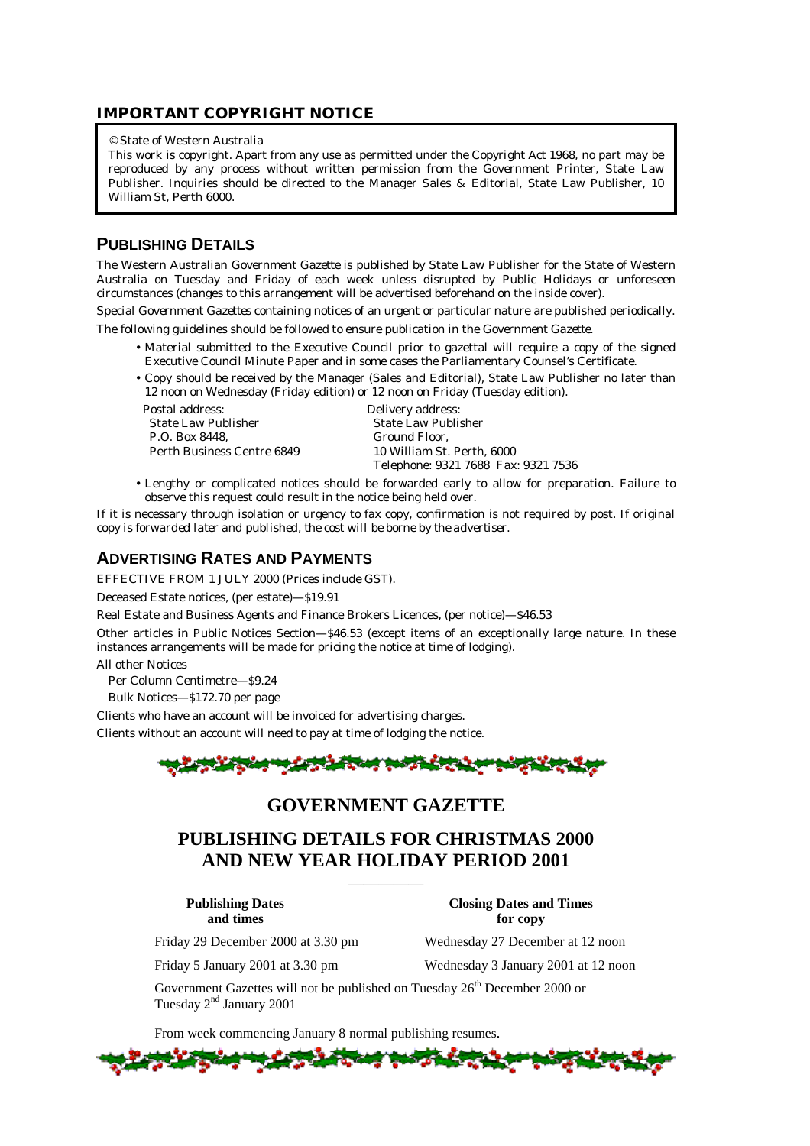### **IMPORTANT COPYRIGHT NOTICE**

#### © State of Western Australia

This work is copyright. Apart from any use as permitted under the *Copyright Act 1968*, no part may be reproduced by any process without written permission from the Government Printer, State Law Publisher. Inquiries should be directed to the Manager Sales & Editorial, State Law Publisher, 10 William St, Perth 6000.

### **PUBLISHING DETAILS**

The Western Australian *Government Gazette* is published by State Law Publisher for the State of Western Australia on Tuesday and Friday of each week unless disrupted by Public Holidays or unforeseen circumstances (changes to this arrangement will be advertised beforehand on the inside cover).

Special *Government Gazettes* containing notices of an urgent or particular nature are published periodically.

The following guidelines should be followed to ensure publication in the *Government Gazette*.

- Material submitted to the Executive Council prior to gazettal will require a copy of the signed Executive Council Minute Paper and in some cases the Parliamentary Counsel's Certificate.
- Copy should be received by the Manager (Sales and Editorial), State Law Publisher no later than 12 noon on Wednesday (Friday edition) or 12 noon on Friday (Tuesday edition).

Postal address: Delivery address: State Law Publisher State Law Publisher P.O. Box 8448, Ground Floor, Perth Business Centre 6849

Telephone: 9321 7688 Fax: 9321 7536

• Lengthy or complicated notices should be forwarded early to allow for preparation. Failure to observe this request could result in the notice being held over.

If it is necessary through isolation or urgency to fax copy, confirmation is not required by post. *If original copy is forwarded later and published, the cost will be borne by the advertiser.*

# **ADVERTISING RATES AND PAYMENTS**

EFFECTIVE FROM 1 JULY 2000 (Prices include GST).

Deceased Estate notices, (per estate)—\$19.91

Real Estate and Business Agents and Finance Brokers Licences, (per notice)—\$46.53

Other articles in Public Notices Section—\$46.53 (except items of an exceptionally large nature. In these instances arrangements will be made for pricing the notice at time of lodging).

All other Notices

Per Column Centimetre—\$9.24

Bulk Notices—\$172.70 per page

Clients who have an account will be invoiced for advertising charges.

Clients without an account will need to pay at time of lodging the notice.



# **GOVERNMENT GAZETTE**

# **PUBLISHING DETAILS FOR CHRISTMAS 2000 AND NEW YEAR HOLIDAY PERIOD 2001**

—————

**Publishing Dates Closing Dates and Times**

Friday 29 December 2000 at 3.30 pm Wednesday 27 December at 12 noon

Friday 5 January 2001 at 3.30 pm Wednesday 3 January 2001 at 12 noon

**and times** for copy

Government Gazettes will not be published on Tuesday  $26<sup>th</sup>$  December 2000 or Tuesday  $2<sup>nd</sup>$  January 2001

From week commencing January 8 normal publishing resumes.

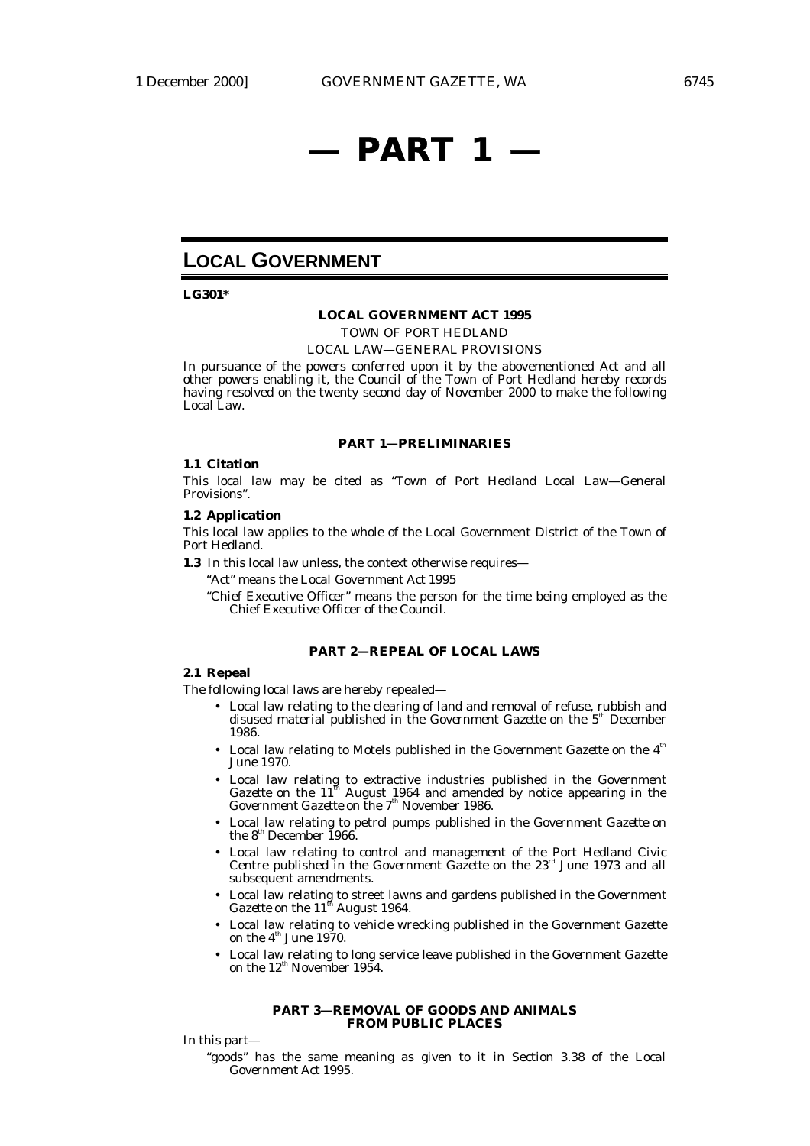# **— PART 1 —**

# **LOCAL GOVERNMENT**

**LG301\***

#### **LOCAL GOVERNMENT ACT 1995**

*TOWN OF PORT HEDLAND*

LOCAL LAW—GENERAL PROVISIONS

In pursuance of the powers conferred upon it by the abovementioned Act and all other powers enabling it, the Council of the Town of Port Hedland hereby records having resolved on the twenty second day of November 2000 to make the following Local Law.

#### **PART 1—PRELIMINARIES**

#### **1.1 Citation**

This local law may be cited as "Town of Port Hedland Local Law—General Provisions".

#### **1.2 Application**

This local law applies to the whole of the Local Government District of the Town of Port Hedland.

**1.3** In this local law unless, the context otherwise requires—

"Act" means the *Local Government Act 1995*

"Chief Executive Officer" means the person for the time being employed as the Chief Executive Officer of the Council.

#### **PART 2—REPEAL OF LOCAL LAWS**

#### **2.1 Repeal**

The following local laws are hereby repealed—

- Local law relating to the clearing of land and removal of refuse, rubbish and disused material published in the *Government Gazette* on the 5<sup>th</sup> December 1986.
- Local law relating to Motels published in the *Government Gazette* on the 4<sup>th</sup> June 1970.
- Local law relating to extractive industries published in the *Government Gazette* on the  $11<sup>th</sup>$  August 1964 and amended by notice appearing in the *Government Gazette* on the 7<sup>th</sup> November 1986.
- Local law relating to petrol pumps published in the *Government Gazette* on the  $8<sup>th</sup>$  December 1966.
- Local law relating to control and management of the Port Hedland Civic Centre published in the *Government Gazette* on the 23<sup>rd</sup> June 1973 and all subsequent amendments.
- Local law relating to street lawns and gardens published in the *Government Gazette* on the 11<sup>th</sup> August 1964.
- Local law relating to vehicle wrecking published in the *Government Gazette* on the  $4^{\text{th}}$  June 1970.
- Local law relating to long service leave published in the *Government Gazette* on the  $12^{\text{th}}$  November 1954.

#### **PART 3—REMOVAL OF GOODS AND ANIMALS FROM PUBLIC PLACES**

In this part—

"goods" has the same meaning as given to it in Section 3.38 of the *Local Government Act 1995*.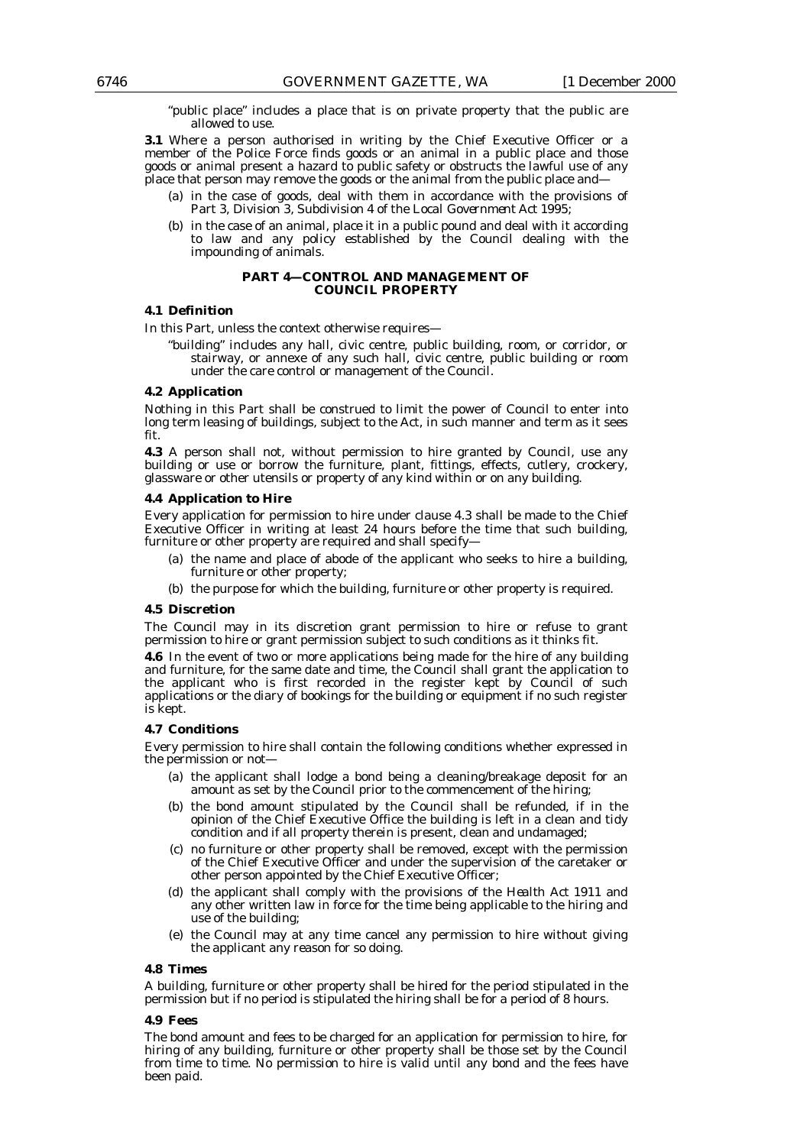"public place" includes a place that is on private property that the public are allowed to use.

**3.1** Where a person authorised in writing by the Chief Executive Officer or a member of the Police Force finds goods or an animal in a public place and those goods or animal present a hazard to public safety or obstructs the lawful use of any place that person may remove the goods or the animal from the public place and—

- (a) in the case of goods, deal with them in accordance with the provisions of Part 3, Division 3, Subdivision 4 of the *Local Government Act 1995*;
- (b) in the case of an animal, place it in a public pound and deal with it according to law and any policy established by the Council dealing with the impounding of animals.

#### **PART 4—CONTROL AND MANAGEMENT OF COUNCIL PROPERTY**

### **4.1 Definition**

In this Part, unless the context otherwise requires—

"building" includes any hall, civic centre, public building, room, or corridor, or stairway, or annexe of any such hall, civic centre, public building or room under the care control or management of the Council.

#### **4.2 Application**

Nothing in this Part shall be construed to limit the power of Council to enter into long term leasing of buildings, subject to the Act, in such manner and term as it sees fit.

**4.3** A person shall not, without permission to hire granted by Council, use any building or use or borrow the furniture, plant, fittings, effects, cutlery, crockery, glassware or other utensils or property of any kind within or on any building.

#### **4.4 Application to Hire**

Every application for permission to hire under clause 4.3 shall be made to the Chief Executive Officer in writing at least 24 hours before the time that such building, furniture or other property are required and shall specify—

- (a) the name and place of abode of the applicant who seeks to hire a building, furniture or other property;
- (b) the purpose for which the building, furniture or other property is required.

#### **4.5 Discretion**

The Council may in its discretion grant permission to hire or refuse to grant permission to hire or grant permission subject to such conditions as it thinks fit.

**4.6** In the event of two or more applications being made for the hire of any building and furniture, for the same date and time, the Council shall grant the application to the applicant who is first recorded in the register kept by Council of such applications or the diary of bookings for the building or equipment if no such register is kept.

#### **4.7 Conditions**

Every permission to hire shall contain the following conditions whether expressed in the permission or not—

- (a) the applicant shall lodge a bond being a cleaning/breakage deposit for an amount as set by the Council prior to the commencement of the hiring;
- (b) the bond amount stipulated by the Council shall be refunded, if in the opinion of the Chief Executive Office the building is left in a clean and tidy condition and if all property therein is present, clean and undamaged;
- (c) no furniture or other property shall be removed, except with the permission of the Chief Executive Officer and under the supervision of the caretaker or other person appointed by the Chief Executive Officer;
- (d) the applicant shall comply with the provisions of the *Health Act 1911* and any other written law in force for the time being applicable to the hiring and use of the building;
- (e) the Council may at any time cancel any permission to hire without giving the applicant any reason for so doing.

#### **4.8 Times**

A building, furniture or other property shall be hired for the period stipulated in the permission but if no period is stipulated the hiring shall be for a period of 8 hours.

#### **4.9 Fees**

The bond amount and fees to be charged for an application for permission to hire, for hiring of any building, furniture or other property shall be those set by the Council from time to time. No permission to hire is valid until any bond and the fees have been paid.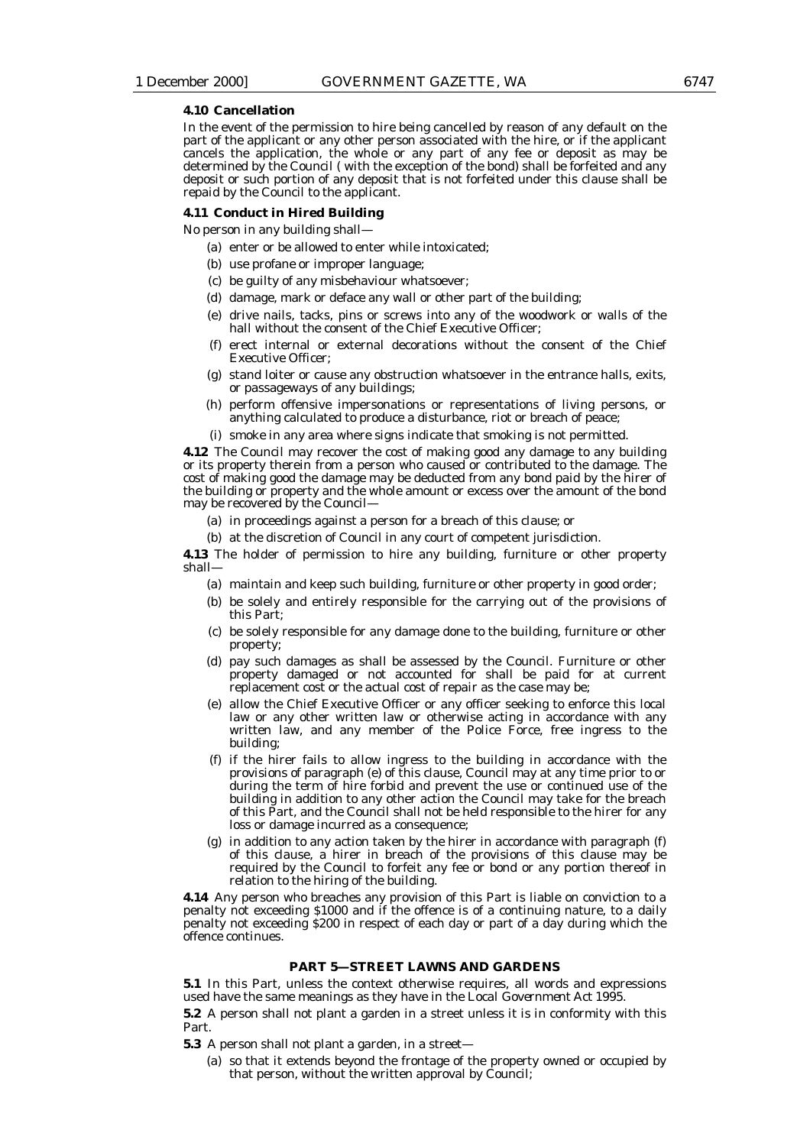#### **4.10 Cancellation**

In the event of the permission to hire being cancelled by reason of any default on the part of the applicant or any other person associated with the hire, or if the applicant cancels the application, the whole or any part of any fee or deposit as may be determined by the Council ( with the exception of the bond) shall be forfeited and any deposit or such portion of any deposit that is not forfeited under this clause shall be repaid by the Council to the applicant.

#### **4.11 Conduct in Hired Building**

No person in any building shall—

- (a) enter or be allowed to enter while intoxicated;
- (b) use profane or improper language;
- (c) be guilty of any misbehaviour whatsoever;
- (d) damage, mark or deface any wall or other part of the building;
- (e) drive nails, tacks, pins or screws into any of the woodwork or walls of the hall without the consent of the Chief Executive Officer;
- (f) erect internal or external decorations without the consent of the Chief Executive Officer;
- (g) stand loiter or cause any obstruction whatsoever in the entrance halls, exits, or passageways of any buildings;
- (h) perform offensive impersonations or representations of living persons, or anything calculated to produce a disturbance, riot or breach of peace;
- (i) smoke in any area where signs indicate that smoking is not permitted.

**4.12** The Council may recover the cost of making good any damage to any building or its property therein from a person who caused or contributed to the damage. The cost of making good the damage may be deducted from any bond paid by the hirer of the building or property and the whole amount or excess over the amount of the bond may be recovered by the Council—

- (a) in proceedings against a person for a breach of this clause; or
- (b) at the discretion of Council in any court of competent jurisdiction.

**4.13** The holder of permission to hire any building, furniture or other property shall—

- (a) maintain and keep such building, furniture or other property in good order;
- (b) be solely and entirely responsible for the carrying out of the provisions of this Part;
- (c) be solely responsible for any damage done to the building, furniture or other property;
- (d) pay such damages as shall be assessed by the Council. Furniture or other property damaged or not accounted for shall be paid for at current replacement cost or the actual cost of repair as the case may be;
- (e) allow the Chief Executive Officer or any officer seeking to enforce this local law or any other written law or otherwise acting in accordance with any written law, and any member of the Police Force, free ingress to the building;
- (f) if the hirer fails to allow ingress to the building in accordance with the provisions of paragraph (e) of this clause, Council may at any time prior to or during the term of hire forbid and prevent the use or continued use of the building in addition to any other action the Council may take for the breach of this Part, and the Council shall not be held responsible to the hirer for any loss or damage incurred as a consequence;
- (g) in addition to any action taken by the hirer in accordance with paragraph (f) of this clause, a hirer in breach of the provisions of this clause may be required by the Council to forfeit any fee or bond or any portion thereof in relation to the hiring of the building.

**4.14** Any person who breaches any provision of this Part is liable on conviction to a penalty not exceeding \$1000 and if the offence is of a continuing nature, to a daily penalty not exceeding \$200 in respect of each day or part of a day during which the offence continues.

#### **PART 5—STREET LAWNS AND GARDENS**

**5.1** In this Part, unless the context otherwise requires, all words and expressions used have the same meanings as they have in the *Local Government Act 1995*.

**5.2** A person shall not plant a garden in a street unless it is in conformity with this Part.

**5.3** A person shall not plant a garden, in a street—

(a) so that it extends beyond the frontage of the property owned or occupied by that person, without the written approval by Council;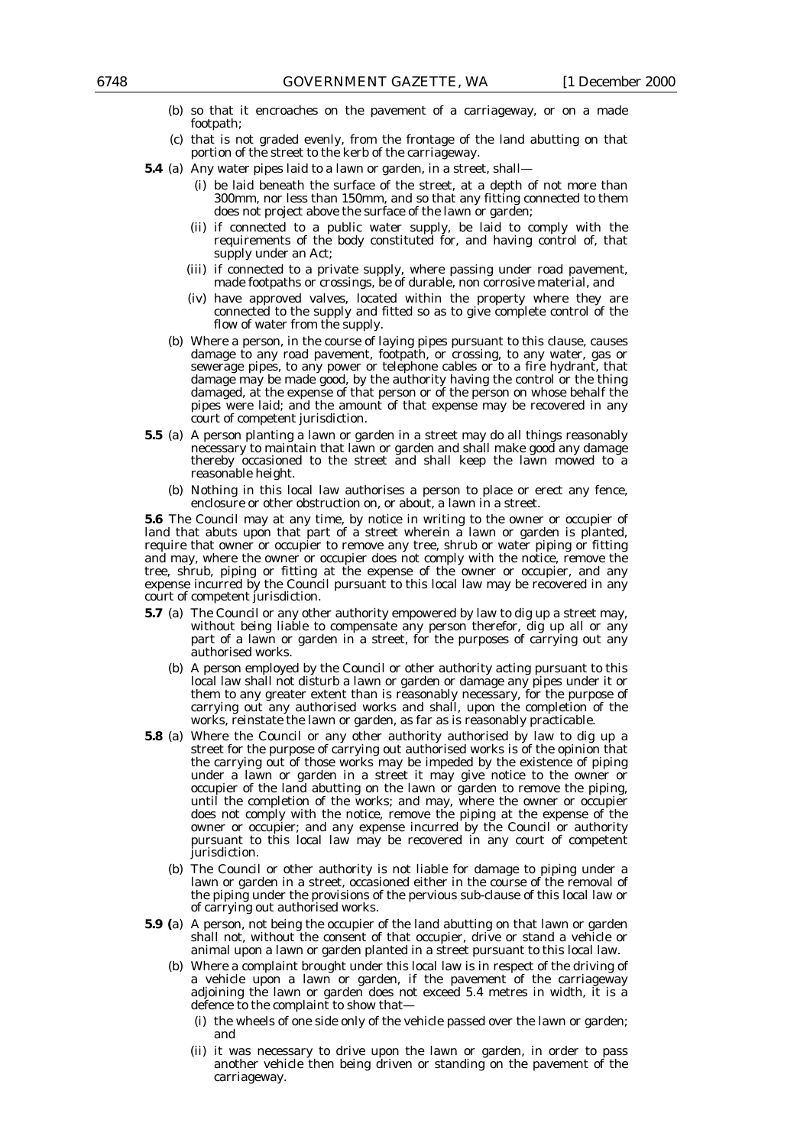- (b) so that it encroaches on the pavement of a carriageway, or on a made footpath;
- (c) that is not graded evenly, from the frontage of the land abutting on that portion of the street to the kerb of the carriageway.
- **5.4** (a) Any water pipes laid to a lawn or garden, in a street, shall—
	- (i) be laid beneath the surface of the street, at a depth of not more than 300mm, nor less than 150mm, and so that any fitting connected to them does not project above the surface of the lawn or garden;
	- (ii) if connected to a public water supply, be laid to comply with the requirements of the body constituted for, and having control of, that supply under an Act;
	- (iii) if connected to a private supply, where passing under road pavement, made footpaths or crossings, be of durable, non corrosive material, and
	- (iv) have approved valves, located within the property where they are connected to the supply and fitted so as to give complete control of the flow of water from the supply.
	- (b) Where a person, in the course of laying pipes pursuant to this clause, causes damage to any road pavement, footpath, or crossing, to any water, gas or sewerage pipes, to any power or telephone cables or to a fire hydrant, that damage may be made good, by the authority having the control or the thing damaged, at the expense of that person or of the person on whose behalf the pipes were laid; and the amount of that expense may be recovered in any court of competent jurisdiction.
- **5.5** (a) A person planting a lawn or garden in a street may do all things reasonably necessary to maintain that lawn or garden and shall make good any damage thereby occasioned to the street and shall keep the lawn mowed to a reasonable height.
	- (b) Nothing in this local law authorises a person to place or erect any fence, enclosure or other obstruction on, or about, a lawn in a street.

**5.6** The Council may at any time, by notice in writing to the owner or occupier of land that abuts upon that part of a street wherein a lawn or garden is planted, require that owner or occupier to remove any tree, shrub or water piping or fitting and may, where the owner or occupier does not comply with the notice, remove the tree, shrub, piping or fitting at the expense of the owner or occupier, and any expense incurred by the Council pursuant to this local law may be recovered in any court of competent jurisdiction.

- **5.7** (a) The Council or any other authority empowered by law to dig up a street may, without being liable to compensate any person therefor, dig up all or any part of a lawn or garden in a street, for the purposes of carrying out any authorised works.
	- (b) A person employed by the Council or other authority acting pursuant to this local law shall not disturb a lawn or garden or damage any pipes under it or them to any greater extent than is reasonably necessary, for the purpose of carrying out any authorised works and shall, upon the completion of the works, reinstate the lawn or garden, as far as is reasonably practicable.
- **5.8** (a) Where the Council or any other authority authorised by law to dig up a street for the purpose of carrying out authorised works is of the opinion that the carrying out of those works may be impeded by the existence of piping under a lawn or garden in a street it may give notice to the owner or occupier of the land abutting on the lawn or garden to remove the piping, until the completion of the works; and may, where the owner or occupier does not comply with the notice, remove the piping at the expense of the owner or occupier; and any expense incurred by the Council or authority pursuant to this local law may be recovered in any court of competent jurisdiction.
	- (b) The Council or other authority is not liable for damage to piping under a lawn or garden in a street, occasioned either in the course of the removal of the piping under the provisions of the pervious sub-clause of this local law or of carrying out authorised works.
- **5.9 (**a) A person, not being the occupier of the land abutting on that lawn or garden shall not, without the consent of that occupier, drive or stand a vehicle or animal upon a lawn or garden planted in a street pursuant to this local law.
	- (b) Where a complaint brought under this local law is in respect of the driving of a vehicle upon a lawn or garden, if the pavement of the carriageway adjoining the lawn or garden does not exceed 5.4 metres in width, it is a defence to the complaint to show that-
		- (i) the wheels of one side only of the vehicle passed over the lawn or garden; and
		- (ii) it was necessary to drive upon the lawn or garden, in order to pass another vehicle then being driven or standing on the pavement of the carriageway.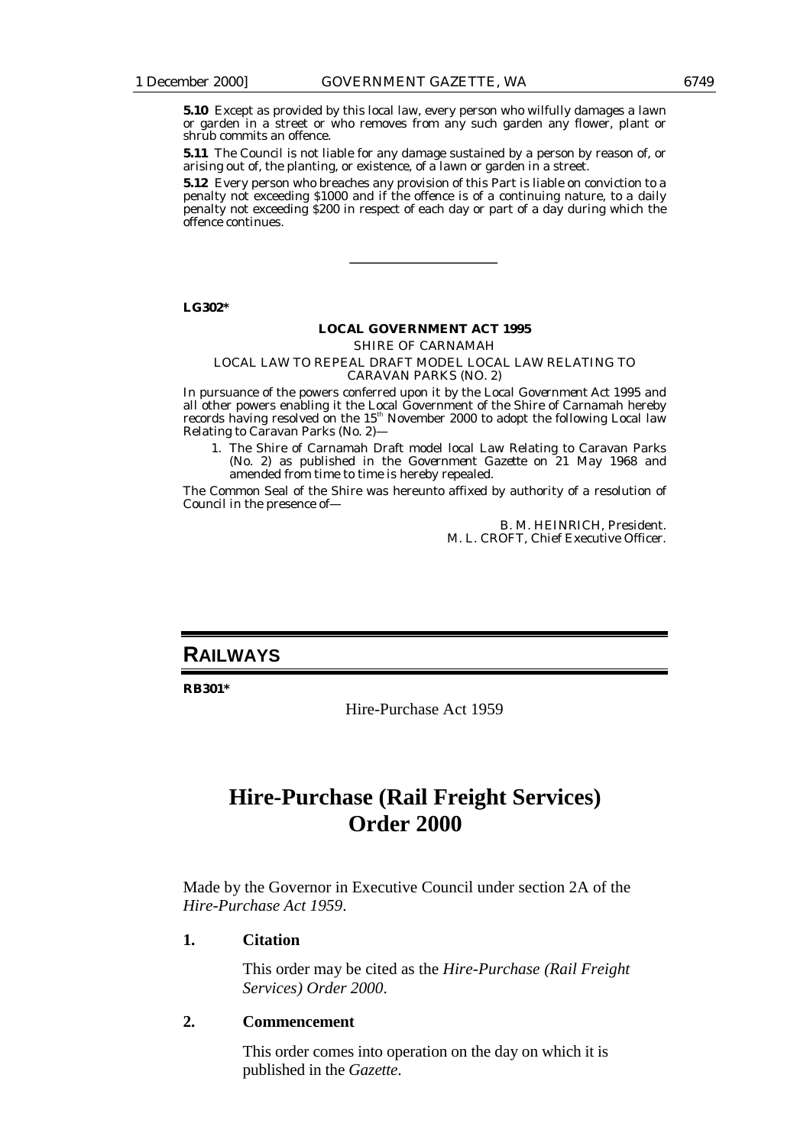**5.10** Except as provided by this local law, every person who wilfully damages a lawn or garden in a street or who removes from any such garden any flower, plant or shrub commits an offence.

**5.11** The Council is not liable for any damage sustained by a person by reason of, or arising out of, the planting, or existence, of a lawn or garden in a street.

**5.12** Every person who breaches any provision of this Part is liable on conviction to a penalty not exceeding \$1000 and if the offence is of a continuing nature, to a daily penalty not exceeding \$200 in respect of each day or part of a day during which the offence continues.

**LG302\***

#### **LOCAL GOVERNMENT ACT 1995**

*SHIRE OF CARNAMAH*

#### LOCAL LAW TO REPEAL DRAFT MODEL LOCAL LAW RELATING TO CARAVAN PARKS (NO. 2)

In pursuance of the powers conferred upon it by the *Local Government Act 1995* and all other powers enabling it the Local Government of the Shire of Carnamah hereby records having resolved on the  $15^{\text{th}}$  November 2000 to adopt the following Local law Relating to Caravan Parks (No. 2)—

1. The Shire of Carnamah Draft model local Law Relating to Caravan Parks (No. 2) as published in the *Government Gazette* on 21 May 1968 and amended from time to time is hereby repealed.

The Common Seal of the Shire was hereunto affixed by authority of a resolution of Council in the presence of—

> B. M. HEINRICH, President. M. L. CROFT, Chief Executive Officer.

# **RAILWAYS**

**RB301\***

Hire-Purchase Act 1959

# **Hire-Purchase (Rail Freight Services) Order 2000**

Made by the Governor in Executive Council under section 2A of the *Hire-Purchase Act 1959*.

#### **1. Citation**

This order may be cited as the *Hire-Purchase (Rail Freight Services) Order 2000*.

### **2. Commencement**

This order comes into operation on the day on which it is published in the *Gazette*.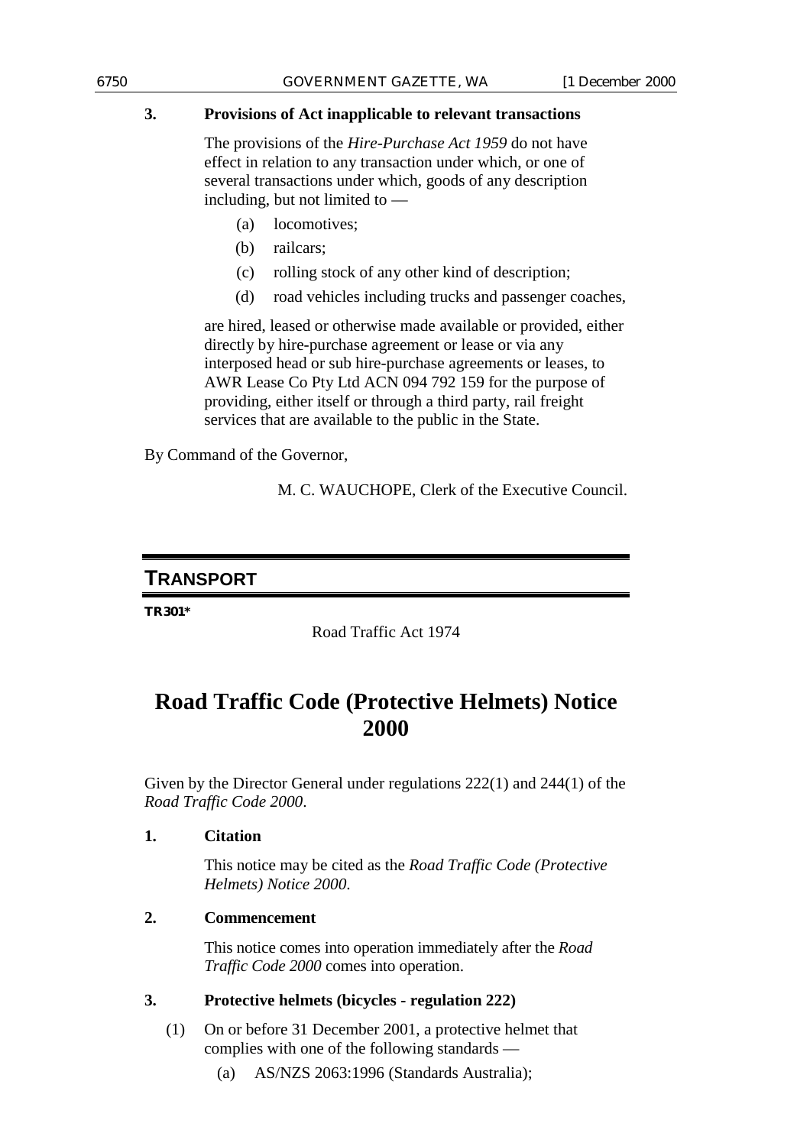## **3. Provisions of Act inapplicable to relevant transactions**

The provisions of the *Hire-Purchase Act 1959* do not have effect in relation to any transaction under which, or one of several transactions under which, goods of any description including, but not limited to —

- (a) locomotives;
- (b) railcars:
- (c) rolling stock of any other kind of description;
- (d) road vehicles including trucks and passenger coaches,

are hired, leased or otherwise made available or provided, either directly by hire-purchase agreement or lease or via any interposed head or sub hire-purchase agreements or leases, to AWR Lease Co Pty Ltd ACN 094 792 159 for the purpose of providing, either itself or through a third party, rail freight services that are available to the public in the State.

By Command of the Governor,

M. C. WAUCHOPE, Clerk of the Executive Council.

# **TRANSPORT**

**TR301\***

Road Traffic Act 1974

# **Road Traffic Code (Protective Helmets) Notice 2000**

Given by the Director General under regulations 222(1) and 244(1) of the *Road Traffic Code 2000*.

### **1. Citation**

This notice may be cited as the *Road Traffic Code (Protective Helmets) Notice 2000*.

# **2. Commencement**

This notice comes into operation immediately after the *Road Traffic Code 2000* comes into operation.

# **3. Protective helmets (bicycles - regulation 222)**

- (1) On or before 31 December 2001, a protective helmet that complies with one of the following standards —
	- (a) AS/NZS 2063:1996 (Standards Australia);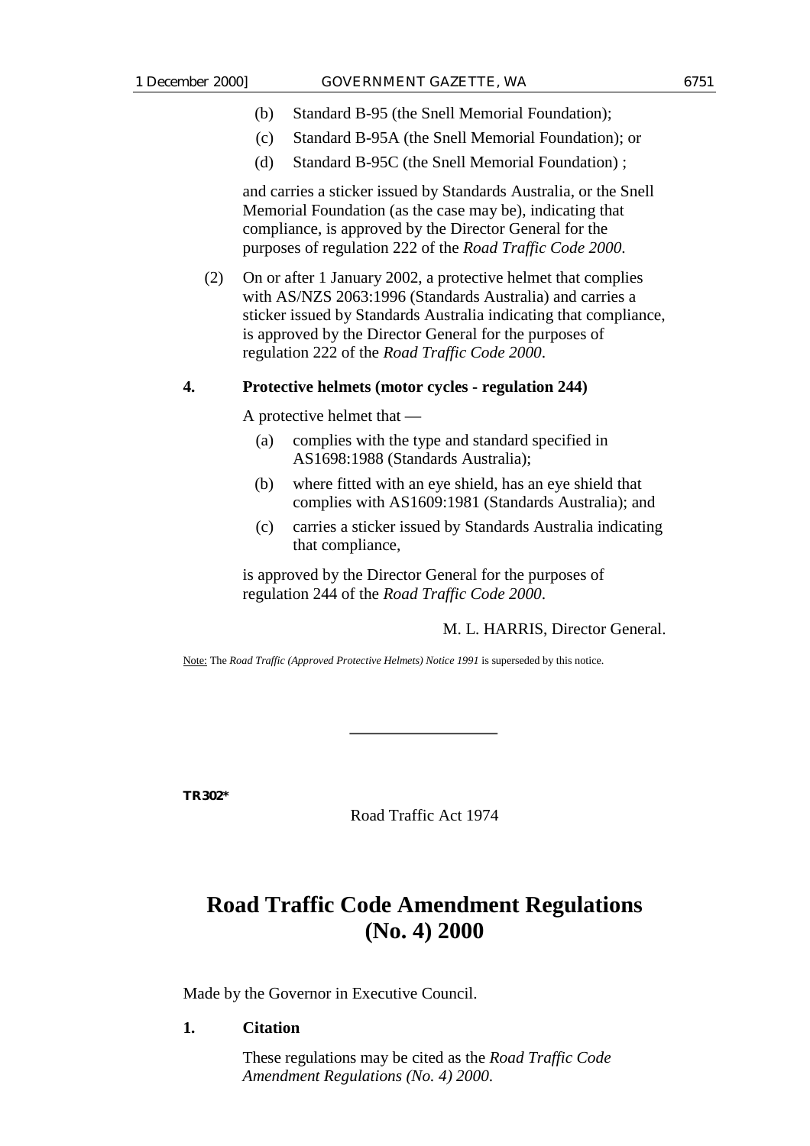- (b) Standard B-95 (the Snell Memorial Foundation);
- (c) Standard B-95A (the Snell Memorial Foundation); or
- (d) Standard B-95C (the Snell Memorial Foundation) ;

and carries a sticker issued by Standards Australia, or the Snell Memorial Foundation (as the case may be), indicating that compliance, is approved by the Director General for the purposes of regulation 222 of the *Road Traffic Code 2000*.

(2) On or after 1 January 2002, a protective helmet that complies with AS/NZS 2063:1996 (Standards Australia) and carries a sticker issued by Standards Australia indicating that compliance, is approved by the Director General for the purposes of regulation 222 of the *Road Traffic Code 2000*.

### **4. Protective helmets (motor cycles - regulation 244)**

A protective helmet that —

- (a) complies with the type and standard specified in AS1698:1988 (Standards Australia);
- (b) where fitted with an eye shield, has an eye shield that complies with AS1609:1981 (Standards Australia); and
- (c) carries a sticker issued by Standards Australia indicating that compliance,

is approved by the Director General for the purposes of regulation 244 of the *Road Traffic Code 2000*.

### M. L. HARRIS, Director General.

Note: The *Road Traffic (Approved Protective Helmets) Notice 1991* is superseded by this notice.

**TR302\***

Road Traffic Act 1974

# **Road Traffic Code Amendment Regulations (No. 4) 2000**

Made by the Governor in Executive Council.

### **1. Citation**

These regulations may be cited as the *Road Traffic Code Amendment Regulations (No. 4) 2000*.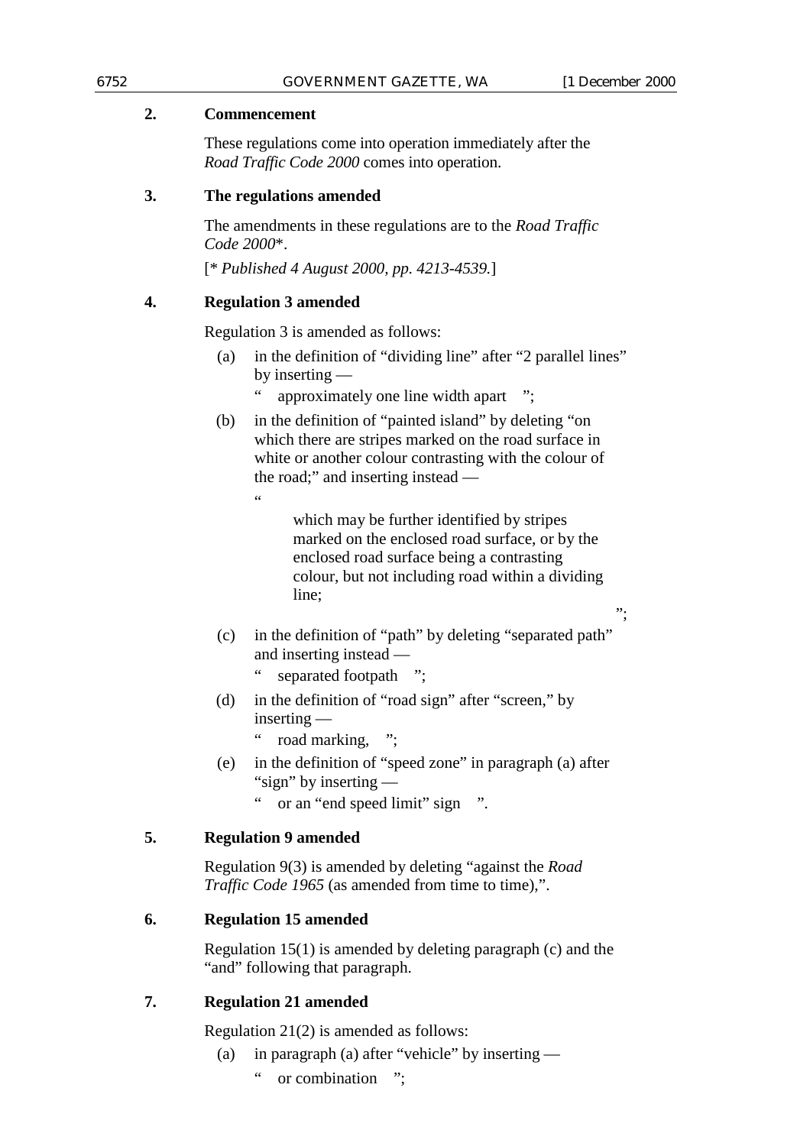";

## **2. Commencement**

These regulations come into operation immediately after the *Road Traffic Code 2000* comes into operation.

## **3. The regulations amended**

The amendments in these regulations are to the *Road Traffic Code 2000*\*.

[\* *Published 4 August 2000, pp. 4213-4539.*]

## **4. Regulation 3 amended**

 $\ddot{\phantom{0}}$ 

Regulation 3 is amended as follows:

- (a) in the definition of "dividing line" after "2 parallel lines" by inserting
	- approximately one line width apart
- (b) in the definition of "painted island" by deleting "on which there are stripes marked on the road surface in white or another colour contrasting with the colour of the road;" and inserting instead —

which may be further identified by stripes marked on the enclosed road surface, or by the enclosed road surface being a contrasting colour, but not including road within a dividing line;

- (c) in the definition of "path" by deleting "separated path" and inserting instead
	- separated footpath ";
- (d) in the definition of "road sign" after "screen," by inserting —
	- " road marking, ";
- (e) in the definition of "speed zone" in paragraph (a) after "sign" by inserting —
	- " or an "end speed limit" sign ".

# **5. Regulation 9 amended**

Regulation 9(3) is amended by deleting "against the *Road Traffic Code 1965* (as amended from time to time),".

# **6. Regulation 15 amended**

Regulation 15(1) is amended by deleting paragraph (c) and the "and" following that paragraph.

# **7. Regulation 21 amended**

Regulation 21(2) is amended as follows:

- (a) in paragraph (a) after "vehicle" by inserting
	- " or combination ";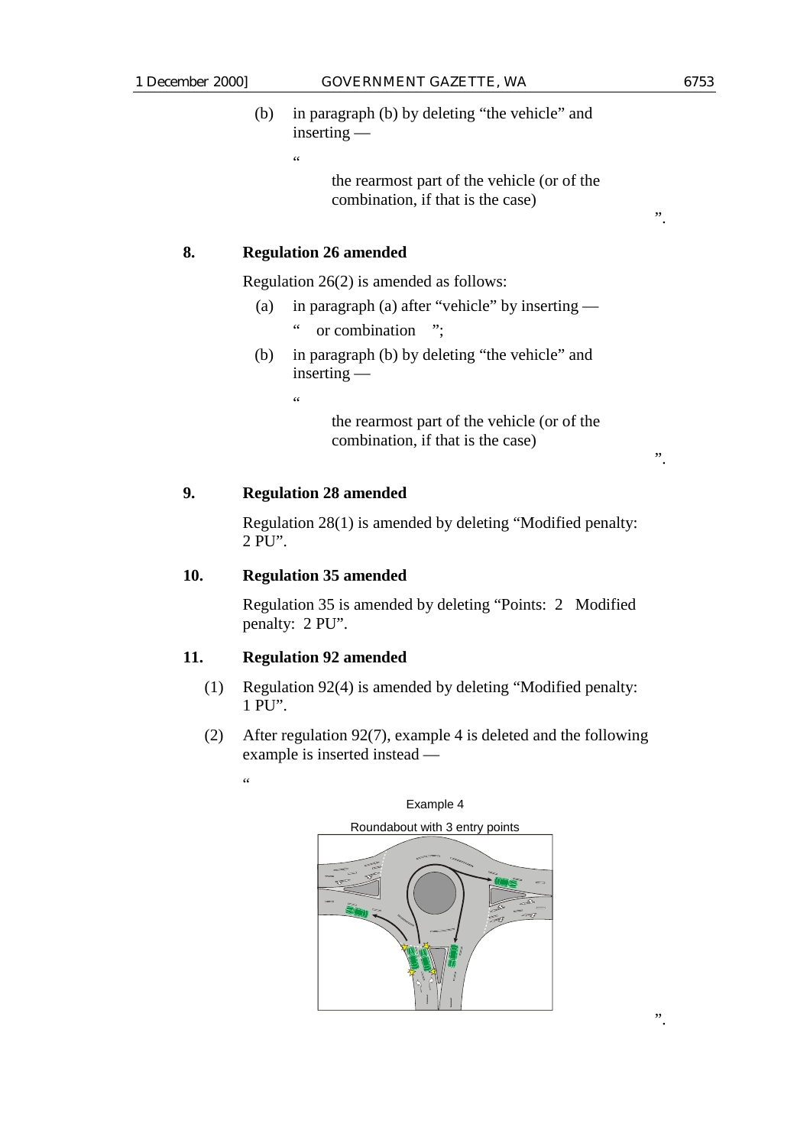".

(b) in paragraph (b) by deleting "the vehicle" and inserting —

 $\epsilon$ 

the rearmost part of the vehicle (or of the combination, if that is the case)

### **8. Regulation 26 amended**

Regulation 26(2) is amended as follows:

- (a) in paragraph (a) after "vehicle" by inserting
	- " or combination ";
- (b) in paragraph (b) by deleting "the vehicle" and inserting —

 $\epsilon$ 

the rearmost part of the vehicle (or of the combination, if that is the case)

### **9. Regulation 28 amended**

Regulation 28(1) is amended by deleting "Modified penalty: 2 PU".

### **10. Regulation 35 amended**

Regulation 35 is amended by deleting "Points: 2 Modified penalty: 2 PU".

### **11. Regulation 92 amended**

- (1) Regulation 92(4) is amended by deleting "Modified penalty: 1 PU".
- (2) After regulation 92(7), example 4 is deleted and the following example is inserted instead —



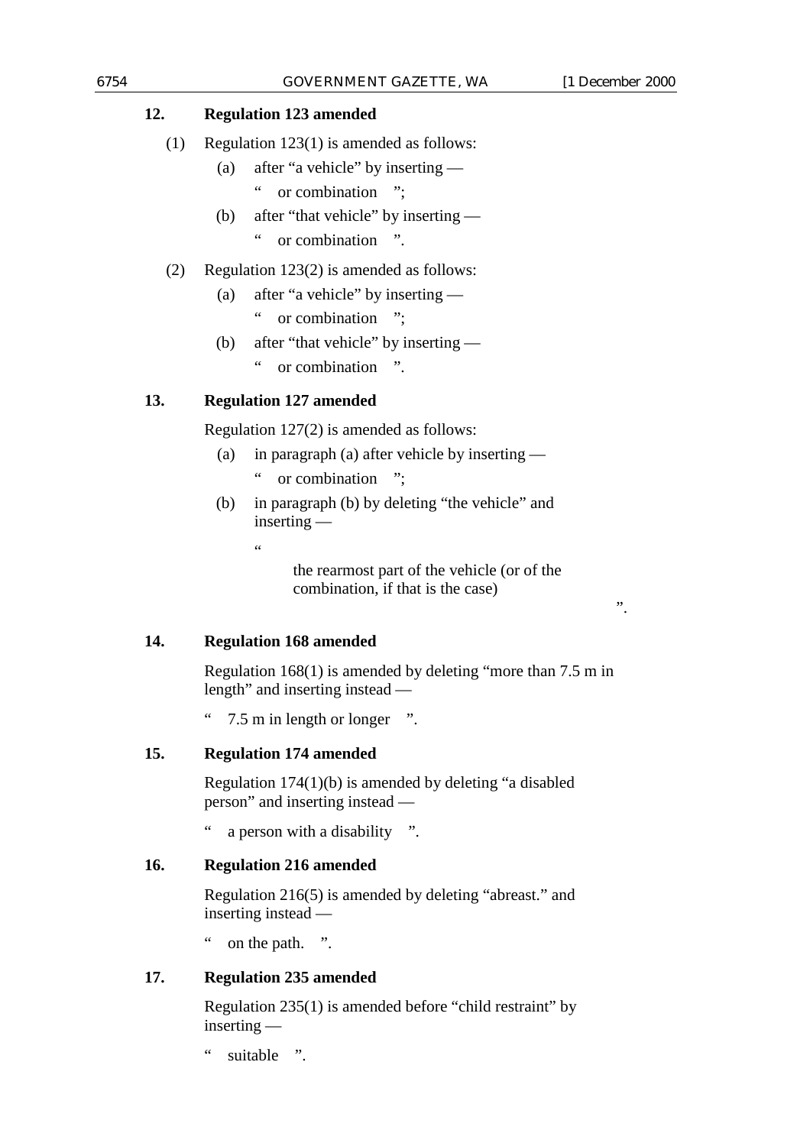## **12. Regulation 123 amended**

- (a) after "a vehicle" by inserting
	- " or combination ";
- (b) after "that vehicle" by inserting " or combination ".

## (2) Regulation 123(2) is amended as follows:

- (a) after "a vehicle" by inserting
	- " or combination ":
- (b) after "that vehicle" by inserting
	- " or combination ".

# **13. Regulation 127 amended**

Regulation 127(2) is amended as follows:

- (a) in paragraph (a) after vehicle by inserting " or combination ";
- (b) in paragraph (b) by deleting "the vehicle" and inserting —

the rearmost part of the vehicle (or of the combination, if that is the case)

**14. Regulation 168 amended**

.<br>..

Regulation 168(1) is amended by deleting "more than 7.5 m in length" and inserting instead —

" 7.5 m in length or longer ".

# **15. Regulation 174 amended**

Regulation 174(1)(b) is amended by deleting "a disabled person" and inserting instead —

" a person with a disability ".

### **16. Regulation 216 amended**

Regulation 216(5) is amended by deleting "abreast." and inserting instead —

on the path. ".

### **17. Regulation 235 amended**

Regulation 235(1) is amended before "child restraint" by inserting —

" suitable ".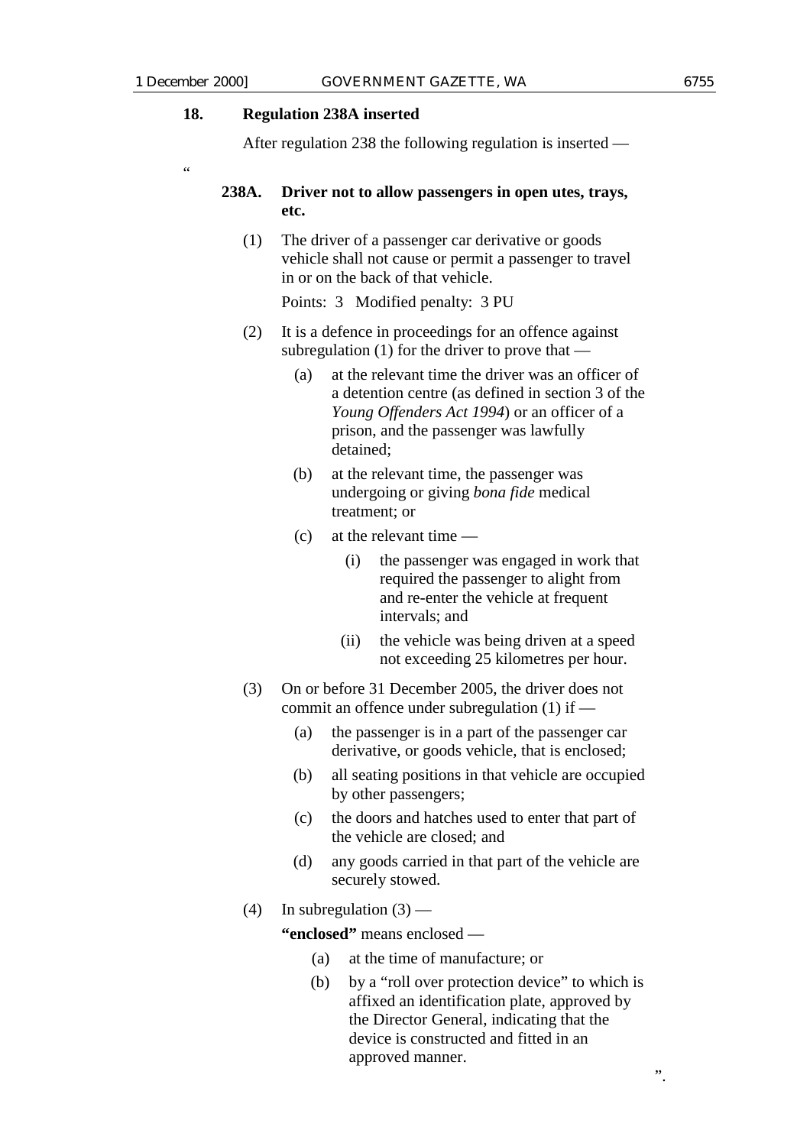"

### **18. Regulation 238A inserted**

After regulation 238 the following regulation is inserted —

### **238A. Driver not to allow passengers in open utes, trays, etc.**

(1) The driver of a passenger car derivative or goods vehicle shall not cause or permit a passenger to travel in or on the back of that vehicle.

Points: 3 Modified penalty: 3 PU

- (2) It is a defence in proceedings for an offence against subregulation (1) for the driver to prove that —
	- (a) at the relevant time the driver was an officer of a detention centre (as defined in section 3 of the *Young Offenders Act 1994*) or an officer of a prison, and the passenger was lawfully detained;
	- (b) at the relevant time, the passenger was undergoing or giving *bona fide* medical treatment; or
	- (c) at the relevant time
		- (i) the passenger was engaged in work that required the passenger to alight from and re-enter the vehicle at frequent intervals; and
		- (ii) the vehicle was being driven at a speed not exceeding 25 kilometres per hour.
- (3) On or before 31 December 2005, the driver does not commit an offence under subregulation (1) if —
	- (a) the passenger is in a part of the passenger car derivative, or goods vehicle, that is enclosed;
	- (b) all seating positions in that vehicle are occupied by other passengers;
	- (c) the doors and hatches used to enter that part of the vehicle are closed; and
	- (d) any goods carried in that part of the vehicle are securely stowed.
- (4) In subregulation  $(3)$  —

**"enclosed"** means enclosed —

- (a) at the time of manufacture; or
- (b) by a "roll over protection device" to which is affixed an identification plate, approved by the Director General, indicating that the device is constructed and fitted in an approved manner.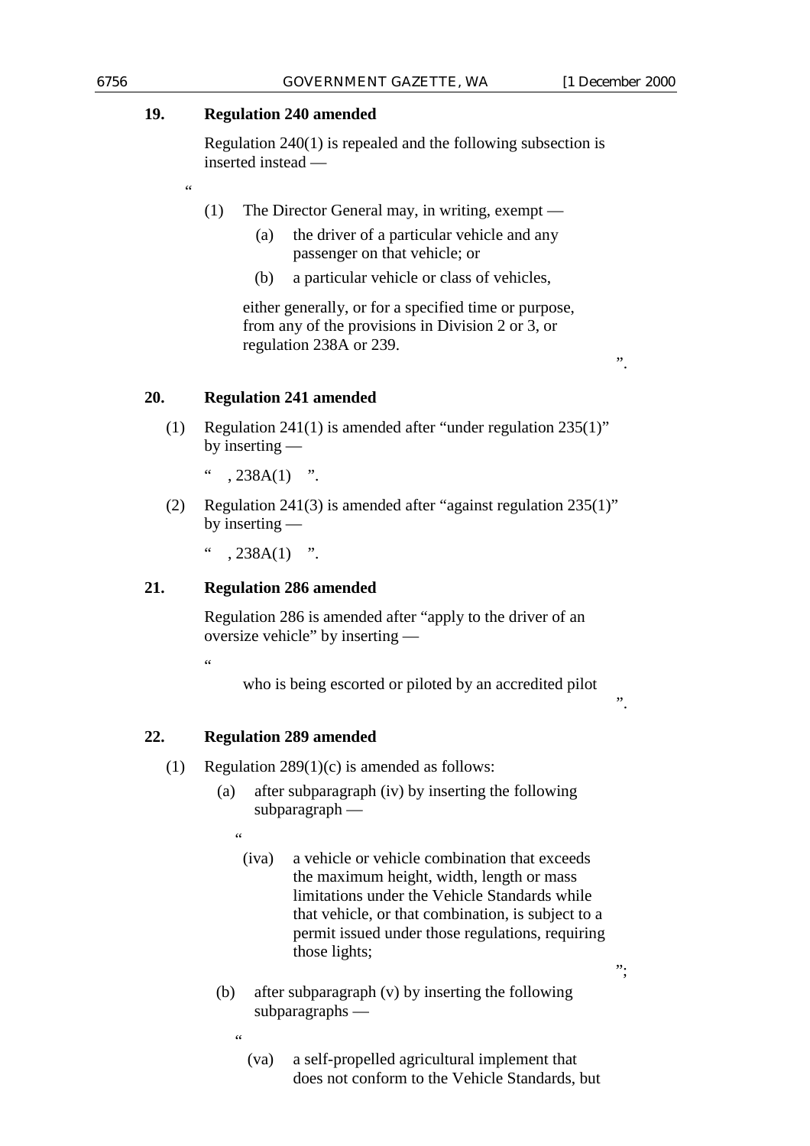### **19. Regulation 240 amended**

"

Regulation 240(1) is repealed and the following subsection is inserted instead —

- (1) The Director General may, in writing, exempt
	- (a) the driver of a particular vehicle and any passenger on that vehicle; or
	- (b) a particular vehicle or class of vehicles,

either generally, or for a specified time or purpose, from any of the provisions in Division 2 or 3, or regulation 238A or 239.

### **20. Regulation 241 amended**

- (1) Regulation 241(1) is amended after "under regulation 235(1)" by inserting —
	- $, 238A(1)$  ".
- (2) Regulation 241(3) is amended after "against regulation 235(1)" by inserting —

 $, 238A(1)$  ".

### **21. Regulation 286 amended**

Regulation 286 is amended after "apply to the driver of an oversize vehicle" by inserting —

.<br>"

who is being escorted or piloted by an accredited pilot

### **22. Regulation 289 amended**

- (1) Regulation  $289(1)(c)$  is amended as follows:
	- (a) after subparagraph (iv) by inserting the following subparagraph —

 $\epsilon$ 

"

- (iva) a vehicle or vehicle combination that exceeds the maximum height, width, length or mass limitations under the Vehicle Standards while that vehicle, or that combination, is subject to a permit issued under those regulations, requiring those lights;
- (b) after subparagraph (v) by inserting the following subparagraphs —

";

 $\ddot{\hspace{1cm}}$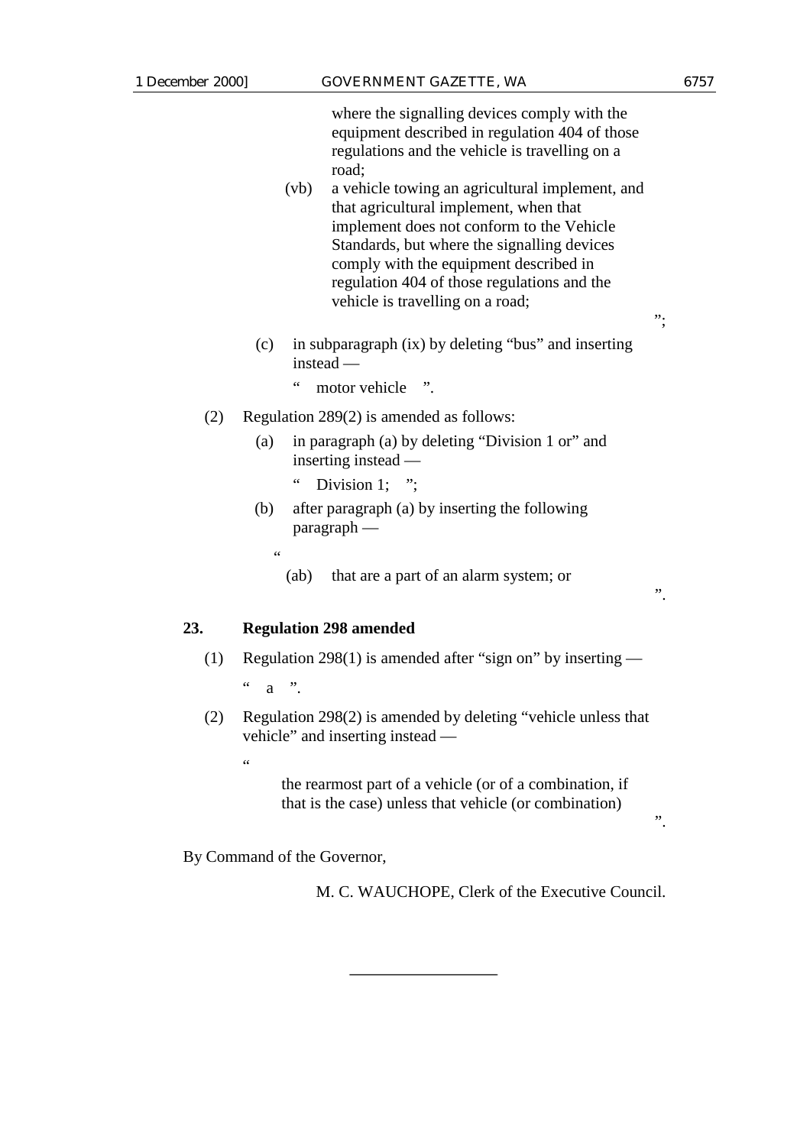where the signalling devices comply with the equipment described in regulation 404 of those regulations and the vehicle is travelling on a road;

- (vb) a vehicle towing an agricultural implement, and that agricultural implement, when that implement does not conform to the Vehicle Standards, but where the signalling devices comply with the equipment described in regulation 404 of those regulations and the vehicle is travelling on a road;
- (c) in subparagraph (ix) by deleting "bus" and inserting instead —
	- " motor vehicle ".
- (2) Regulation 289(2) is amended as follows:
	- (a) in paragraph (a) by deleting "Division 1 or" and inserting instead —
		- Division 1;  $"$ ;
	- (b) after paragraph (a) by inserting the following paragraph —
		- "
			- (ab) that are a part of an alarm system; or

**23. Regulation 298 amended**

(1) Regulation 298(1) is amended after "sign on" by inserting —

 $a \quad$ {''}.

(2) Regulation 298(2) is amended by deleting "vehicle unless that vehicle" and inserting instead —

.<br>44

the rearmost part of a vehicle (or of a combination, if that is the case) unless that vehicle (or combination)

By Command of the Governor,

M. C. WAUCHOPE, Clerk of the Executive Council.

";

".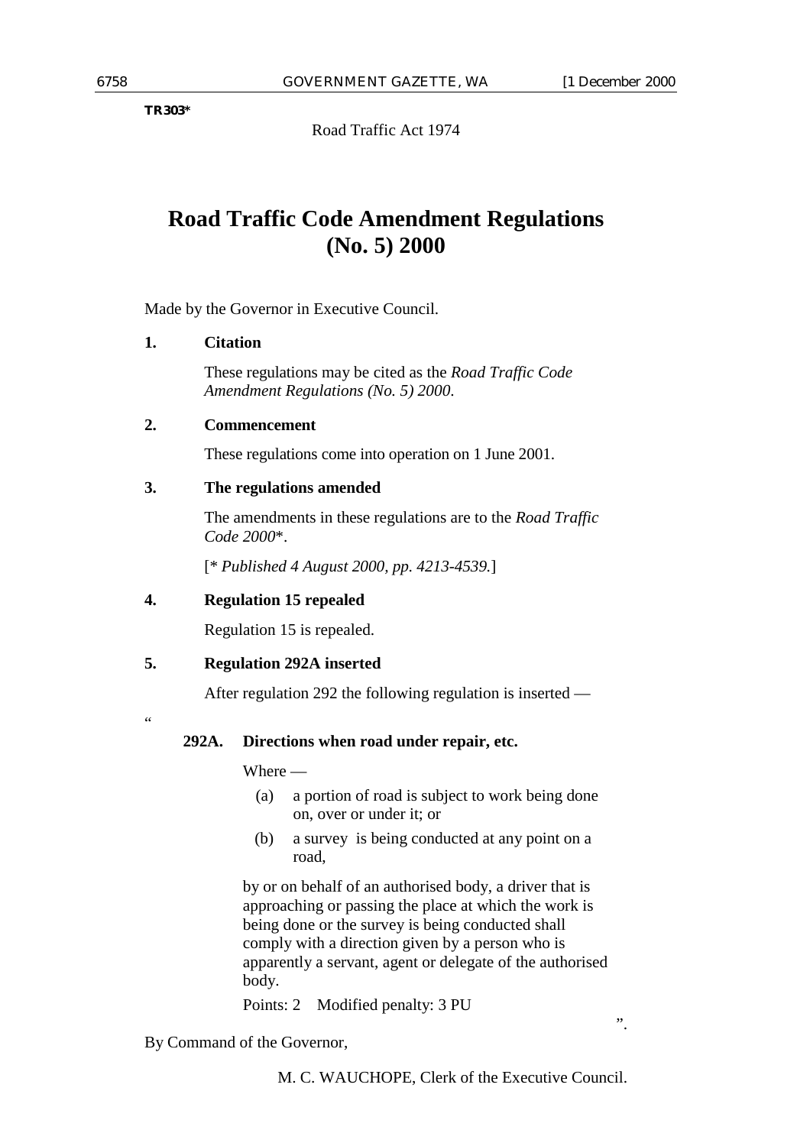**TR303\***

Road Traffic Act 1974

# **Road Traffic Code Amendment Regulations (No. 5) 2000**

Made by the Governor in Executive Council.

### **1. Citation**

These regulations may be cited as the *Road Traffic Code Amendment Regulations (No. 5) 2000*.

### **2. Commencement**

These regulations come into operation on 1 June 2001.

### **3. The regulations amended**

The amendments in these regulations are to the *Road Traffic Code 2000*\*.

[\* *Published 4 August 2000, pp. 4213-4539.*]

### **4. Regulation 15 repealed**

Regulation 15 is repealed.

### **5. Regulation 292A inserted**

After regulation 292 the following regulation is inserted —

 $\epsilon$ 

### **292A. Directions when road under repair, etc.**

Where —

- (a) a portion of road is subject to work being done on, over or under it; or
- (b) a survey is being conducted at any point on a road,

by or on behalf of an authorised body, a driver that is approaching or passing the place at which the work is being done or the survey is being conducted shall comply with a direction given by a person who is apparently a servant, agent or delegate of the authorised body.

Points: 2 Modified penalty: 3 PU

By Command of the Governor,

M. C. WAUCHOPE, Clerk of the Executive Council.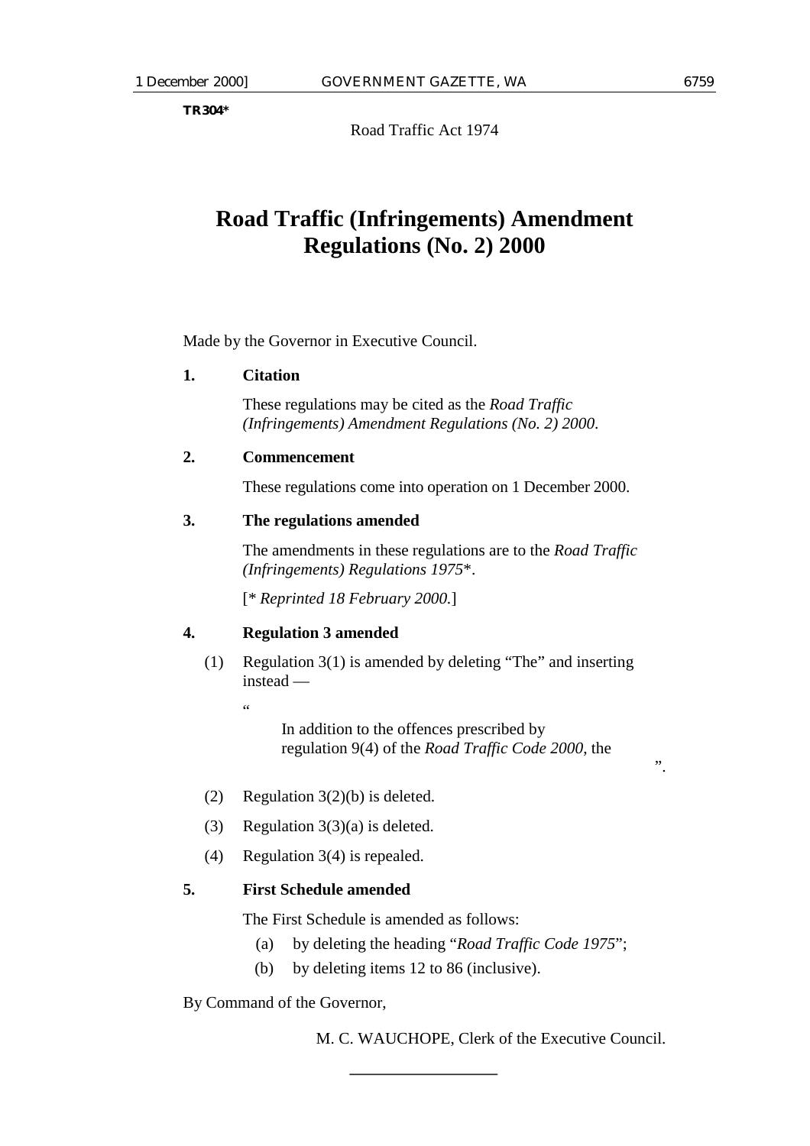**TR304\***

Road Traffic Act 1974

# **Road Traffic (Infringements) Amendment Regulations (No. 2) 2000**

Made by the Governor in Executive Council.

### **1. Citation**

These regulations may be cited as the *Road Traffic (Infringements) Amendment Regulations (No. 2) 2000*.

### **2. Commencement**

These regulations come into operation on 1 December 2000.

### **3. The regulations amended**

The amendments in these regulations are to the *Road Traffic (Infringements) Regulations 1975*\*.

[\* *Reprinted 18 February 2000.*]

### **4. Regulation 3 amended**

(1) Regulation 3(1) is amended by deleting "The" and inserting instead —

"

In addition to the offences prescribed by regulation 9(4) of the *Road Traffic Code 2000*, the

- (2) Regulation 3(2)(b) is deleted.
- (3) Regulation  $3(3)(a)$  is deleted.
- (4) Regulation 3(4) is repealed.

## **5. First Schedule amended**

The First Schedule is amended as follows:

- (a) by deleting the heading "*Road Traffic Code 1975*";
- (b) by deleting items 12 to 86 (inclusive).

By Command of the Governor,

M. C. WAUCHOPE, Clerk of the Executive Council.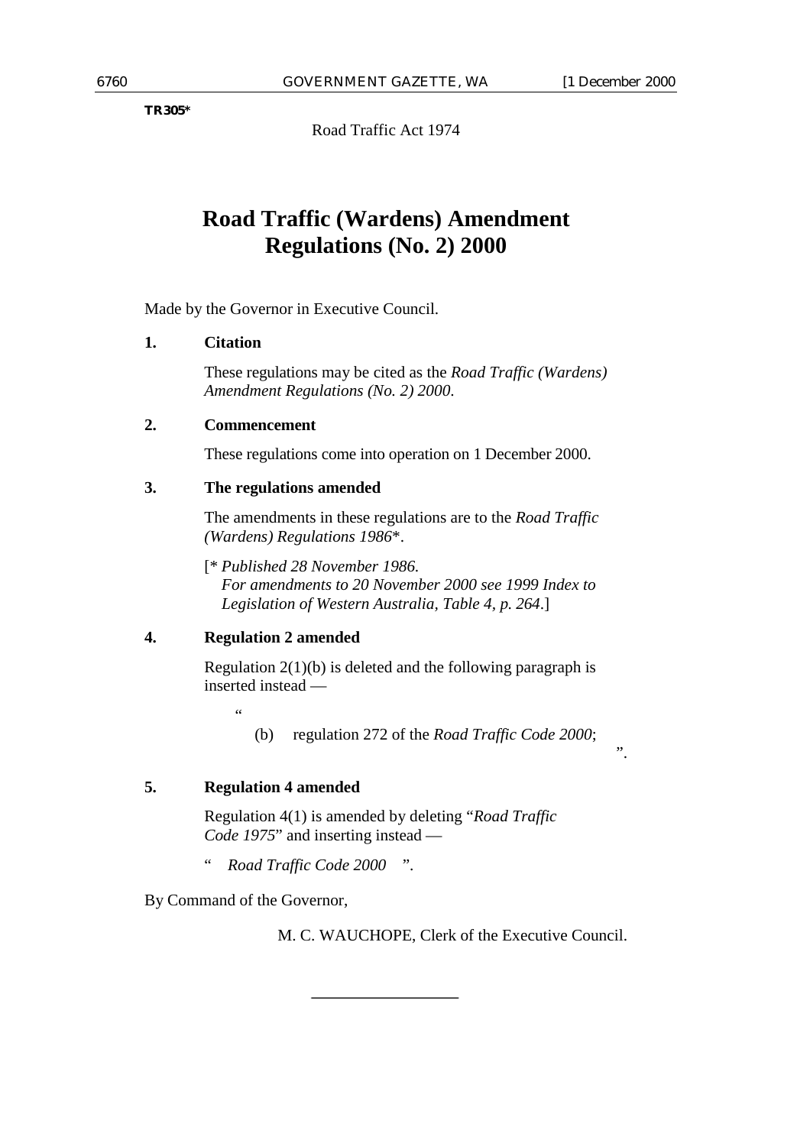**TR305\***

Road Traffic Act 1974

# **Road Traffic (Wardens) Amendment Regulations (No. 2) 2000**

Made by the Governor in Executive Council.

### **1. Citation**

These regulations may be cited as the *Road Traffic (Wardens) Amendment Regulations (No. 2) 2000*.

### **2. Commencement**

These regulations come into operation on 1 December 2000.

### **3. The regulations amended**

The amendments in these regulations are to the *Road Traffic (Wardens) Regulations 1986*\*.

[\* *Published 28 November 1986. For amendments to 20 November 2000 see 1999 Index to Legislation of Western Australia, Table 4, p. 264*.]

### **4. Regulation 2 amended**

Regulation 2(1)(b) is deleted and the following paragraph is inserted instead —

"

(b) regulation 272 of the *Road Traffic Code 2000*;

### **5. Regulation 4 amended**

Regulation 4(1) is amended by deleting "*Road Traffic Code 1975*" and inserting instead —

" *Road Traffic Code 2000* ".

By Command of the Governor,

M. C. WAUCHOPE, Clerk of the Executive Council.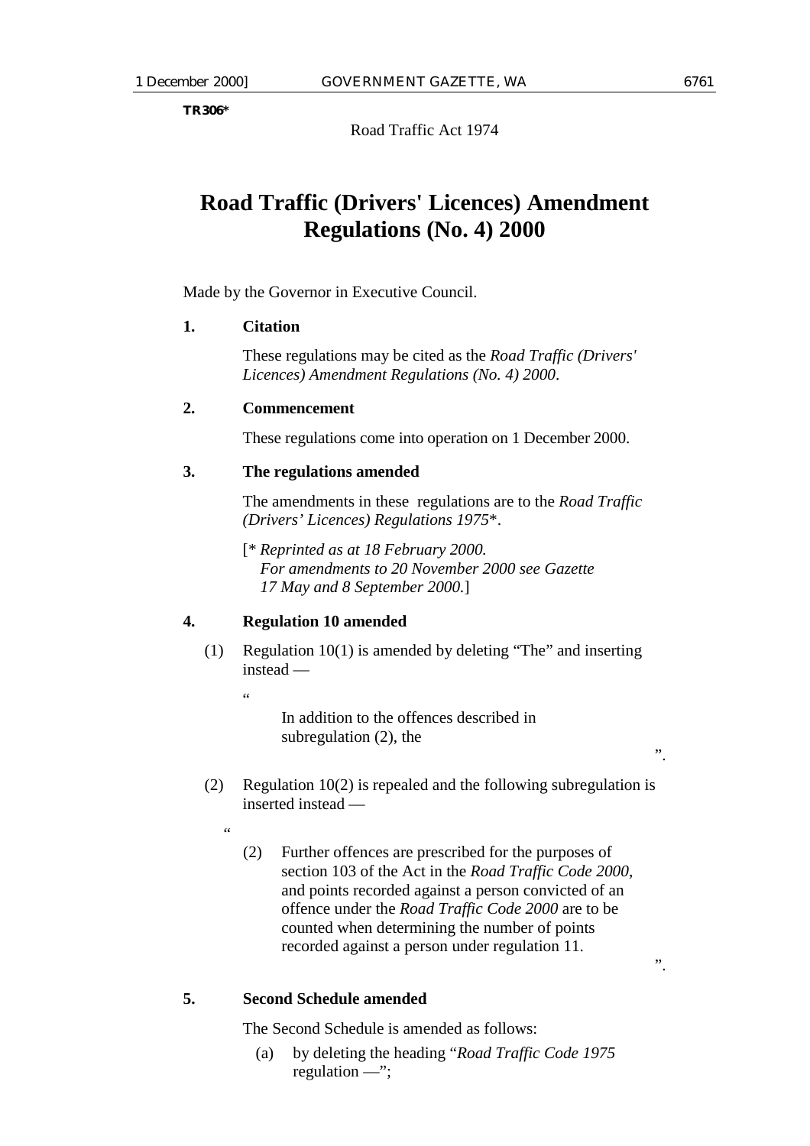**TR306\***

Road Traffic Act 1974

# **Road Traffic (Drivers' Licences) Amendment Regulations (No. 4) 2000**

Made by the Governor in Executive Council.

### **1. Citation**

These regulations may be cited as the *Road Traffic (Drivers' Licences) Amendment Regulations (No. 4) 2000*.

### **2. Commencement**

These regulations come into operation on 1 December 2000.

### **3. The regulations amended**

The amendments in these regulations are to the *Road Traffic (Drivers' Licences) Regulations 1975*\*.

[\* *Reprinted as at 18 February 2000. For amendments to 20 November 2000 see Gazette 17 May and 8 September 2000.*]

### **4. Regulation 10 amended**

(1) Regulation 10(1) is amended by deleting "The" and inserting instead —

"

.<br>44

In addition to the offences described in subregulation (2), the

- (2) Regulation 10(2) is repealed and the following subregulation is inserted instead —
	- (2) Further offences are prescribed for the purposes of section 103 of the Act in the *Road Traffic Code 2000*, and points recorded against a person convicted of an offence under the *Road Traffic Code 2000* are to be counted when determining the number of points recorded against a person under regulation 11.

# **5. Second Schedule amended**

The Second Schedule is amended as follows:

(a) by deleting the heading "*Road Traffic Code 1975* regulation —";

".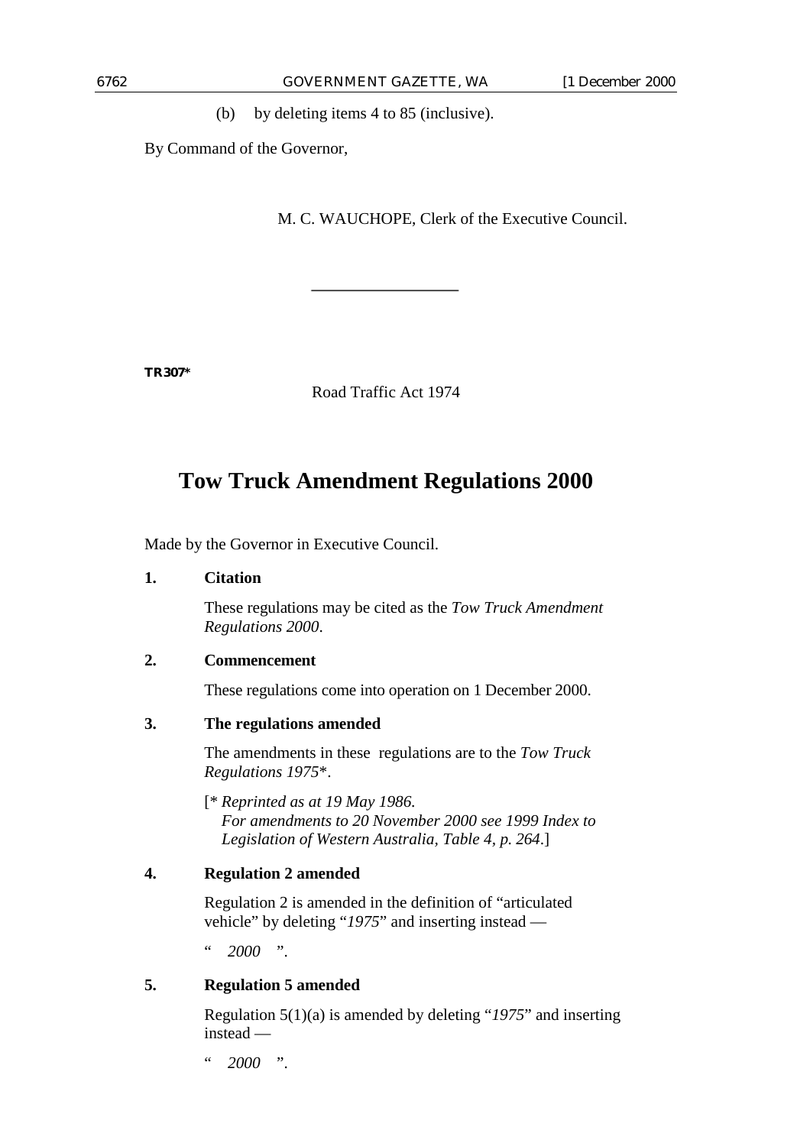(b) by deleting items 4 to 85 (inclusive).

By Command of the Governor,

M. C. WAUCHOPE, Clerk of the Executive Council.

**TR307\***

Road Traffic Act 1974

# **Tow Truck Amendment Regulations 2000**

Made by the Governor in Executive Council.

### **1. Citation**

These regulations may be cited as the *Tow Truck Amendment Regulations 2000*.

### **2. Commencement**

These regulations come into operation on 1 December 2000.

### **3. The regulations amended**

The amendments in these regulations are to the *Tow Truck Regulations 1975*\*.

[\* *Reprinted as at 19 May 1986. For amendments to 20 November 2000 see 1999 Index to Legislation of Western Australia, Table 4, p. 264*.]

### **4. Regulation 2 amended**

Regulation 2 is amended in the definition of "articulated vehicle" by deleting "*1975*" and inserting instead —

 $" 2000"$ 

### **5. Regulation 5 amended**

Regulation 5(1)(a) is amended by deleting "*1975*" and inserting instead —

" *2000* ".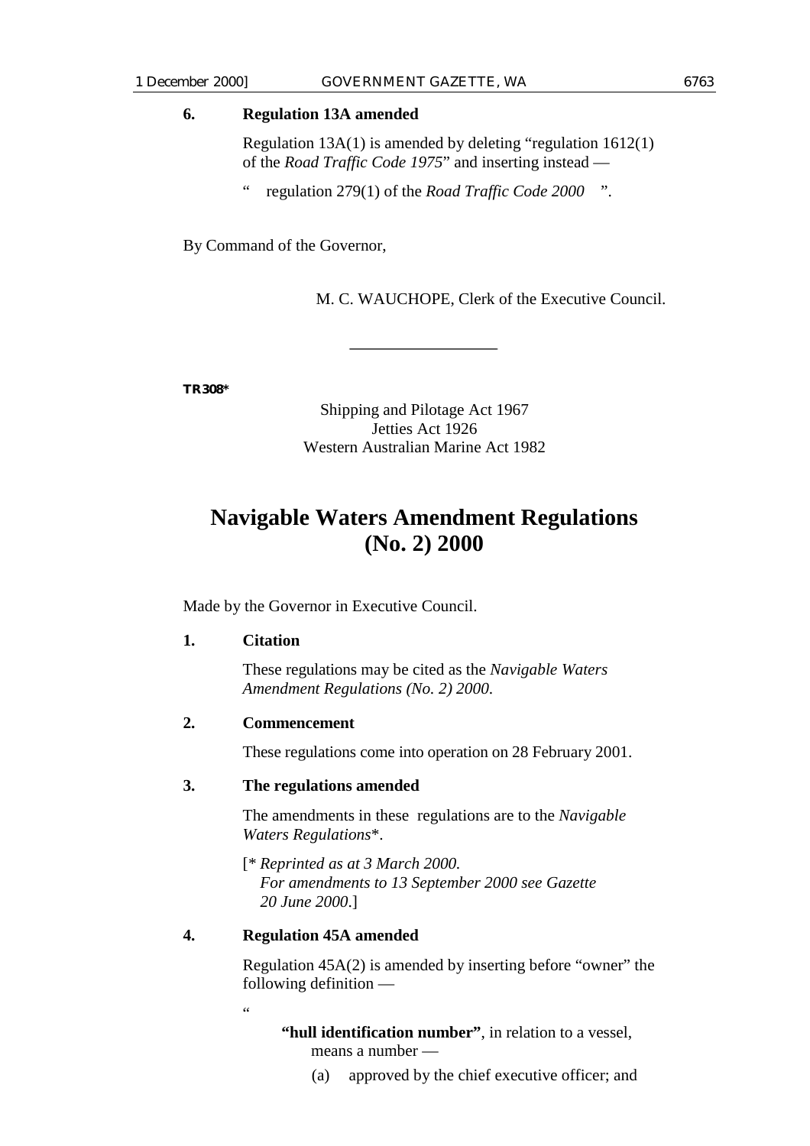### **6. Regulation 13A amended**

Regulation 13A(1) is amended by deleting "regulation 1612(1) of the *Road Traffic Code 1975*" and inserting instead —

" regulation 279(1) of the *Road Traffic Code 2000* ".

By Command of the Governor,

M. C. WAUCHOPE, Clerk of the Executive Council.

**TR308\***

Shipping and Pilotage Act 1967 Jetties Act 1926 Western Australian Marine Act 1982

# **Navigable Waters Amendment Regulations (No. 2) 2000**

Made by the Governor in Executive Council.

### **1. Citation**

These regulations may be cited as the *Navigable Waters Amendment Regulations (No. 2) 2000*.

### **2. Commencement**

These regulations come into operation on 28 February 2001.

### **3. The regulations amended**

The amendments in these regulations are to the *Navigable Waters Regulations*\*.

[\* *Reprinted as at 3 March 2000. For amendments to 13 September 2000 see Gazette 20 June 2000*.]

### **4. Regulation 45A amended**

Regulation 45A(2) is amended by inserting before "owner" the following definition —

.<br>"

**"hull identification number"**, in relation to a vessel, means a number —

(a) approved by the chief executive officer; and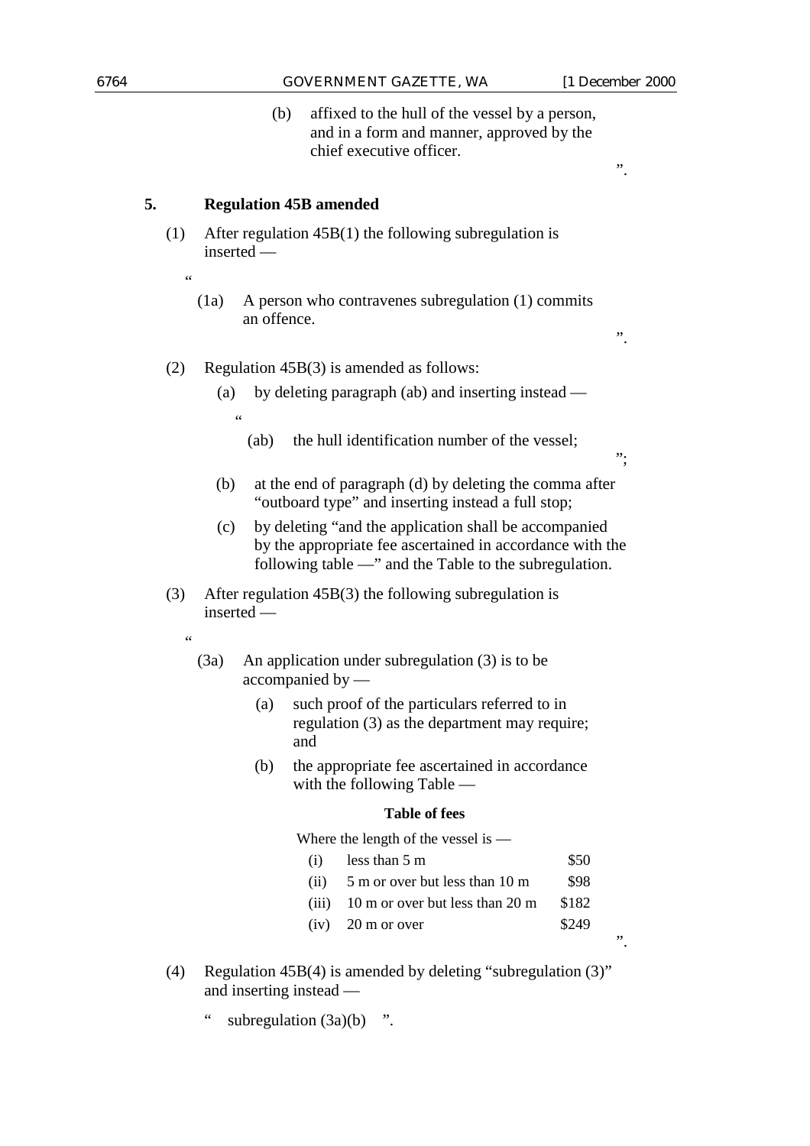".

";

".

(b) affixed to the hull of the vessel by a person, and in a form and manner, approved by the chief executive officer.

### **5. Regulation 45B amended**

- (1) After regulation 45B(1) the following subregulation is inserted —
	- (1a) A person who contravenes subregulation (1) commits an offence.

### (2) Regulation 45B(3) is amended as follows:

- (a) by deleting paragraph (ab) and inserting instead "
	- (ab) the hull identification number of the vessel;
- (b) at the end of paragraph (d) by deleting the comma after "outboard type" and inserting instead a full stop;
- (c) by deleting "and the application shall be accompanied by the appropriate fee ascertained in accordance with the following table —" and the Table to the subregulation.
- (3) After regulation 45B(3) the following subregulation is inserted —
	- "

.<br>44

- (3a) An application under subregulation (3) is to be accompanied by —
	- (a) such proof of the particulars referred to in regulation (3) as the department may require; and
	- (b) the appropriate fee ascertained in accordance with the following Table —

#### **Table of fees**

Where the length of the vessel is —

- (i) less than  $5 \text{ m}$  \$50
- (ii)  $5 \text{ m}$  or over but less than 10 m  $$98$
- (iii)  $10 \text{ m}$  or over but less than  $20 \text{ m}$  \$182
- $(iv)$  20 m or over \$249
- (4) Regulation 45B(4) is amended by deleting "subregulation (3)" and inserting instead —
	- " subregulation (3a)(b) ".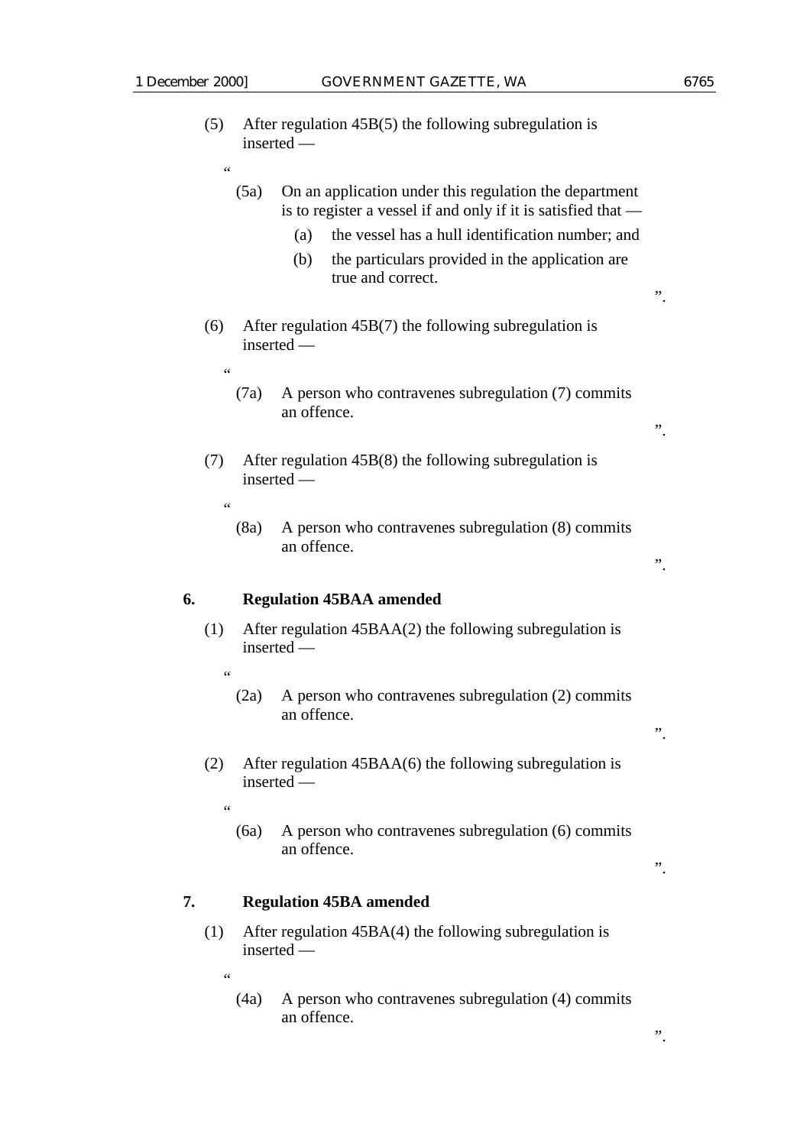|    | (5)                    | After regulation $45B(5)$ the following subregulation is<br>inserted — |                                                                                                                                                                                                                                                                   |    |
|----|------------------------|------------------------------------------------------------------------|-------------------------------------------------------------------------------------------------------------------------------------------------------------------------------------------------------------------------------------------------------------------|----|
|    | 66                     | (5a)                                                                   | On an application under this regulation the department<br>is to register a vessel if and only if it is satisfied that —<br>the vessel has a hull identification number; and<br>(a)<br>the particulars provided in the application are<br>(b)<br>true and correct. | ,, |
|    | (6)                    |                                                                        | After regulation $45B(7)$ the following subregulation is<br>inserted -                                                                                                                                                                                            |    |
|    | 66                     | (7a)                                                                   | A person who contravenes subregulation (7) commits<br>an offence.                                                                                                                                                                                                 | ,, |
|    | (7)<br>$\zeta$ $\zeta$ |                                                                        | After regulation $45B(8)$ the following subregulation is<br>inserted —                                                                                                                                                                                            |    |
|    |                        | (8a)                                                                   | A person who contravenes subregulation (8) commits<br>an offence.                                                                                                                                                                                                 | ,, |
| 6. |                        |                                                                        | <b>Regulation 45BAA amended</b>                                                                                                                                                                                                                                   |    |
|    | (1)                    |                                                                        | After regulation $45BAA(2)$ the following subregulation is<br>inserted —                                                                                                                                                                                          |    |
|    | 66                     | (2a)                                                                   | A person who contravenes subregulation (2) commits<br>an offence.                                                                                                                                                                                                 |    |
|    | (2)                    |                                                                        | After regulation $45BAA(6)$ the following subregulation is<br>inserted —                                                                                                                                                                                          |    |
|    | 66                     | (6a)                                                                   | A person who contravenes subregulation (6) commits<br>an offence.                                                                                                                                                                                                 | ,, |
| 7. |                        |                                                                        | <b>Regulation 45BA amended</b>                                                                                                                                                                                                                                    |    |
|    |                        |                                                                        |                                                                                                                                                                                                                                                                   |    |

(1) After regulation 45BA(4) the following subregulation is inserted —

"

(4a) A person who contravenes subregulation (4) commits an offence.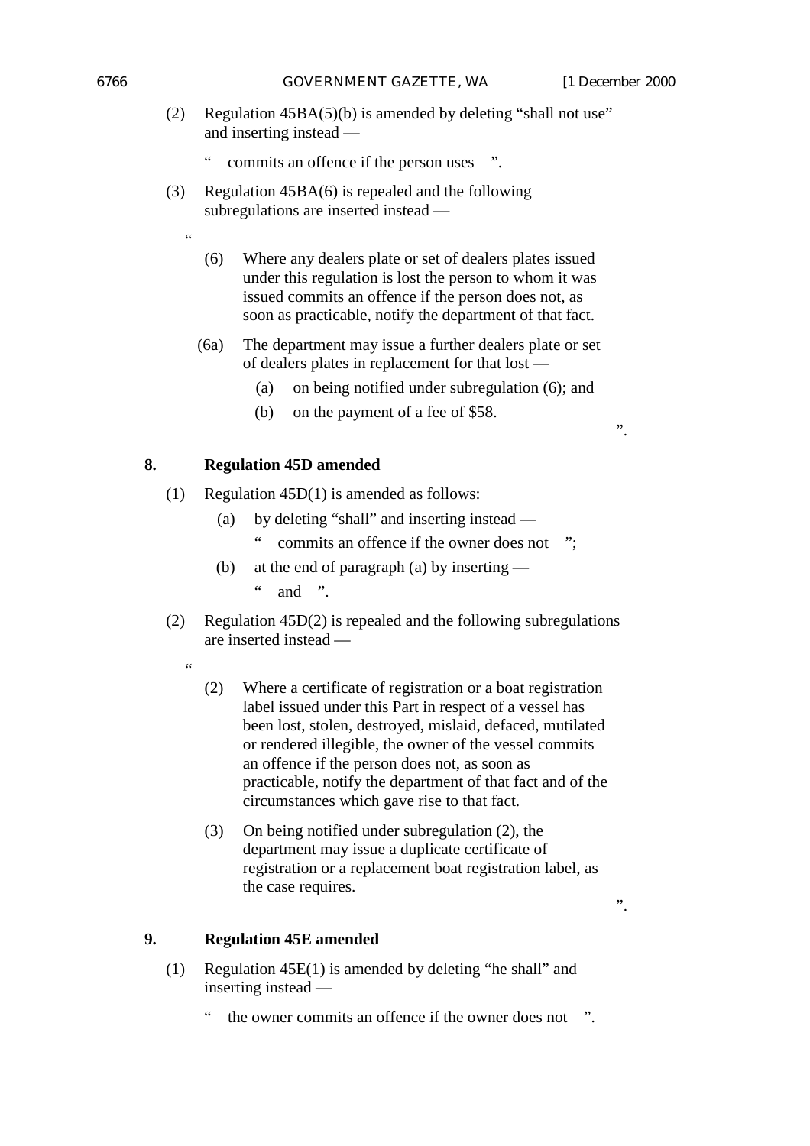- (2) Regulation 45BA(5)(b) is amended by deleting "shall not use" and inserting instead
	- commits an offence if the person uses ".
- (3) Regulation 45BA(6) is repealed and the following subregulations are inserted instead —
	- (6) Where any dealers plate or set of dealers plates issued under this regulation is lost the person to whom it was issued commits an offence if the person does not, as soon as practicable, notify the department of that fact.
	- (6a) The department may issue a further dealers plate or set of dealers plates in replacement for that lost —
		- (a) on being notified under subregulation (6); and
		- (b) on the payment of a fee of \$58.

### **8. Regulation 45D amended**

- (1) Regulation 45D(1) is amended as follows:
	- (a) by deleting "shall" and inserting instead
		- commits an offence if the owner does not ";
	- (b) at the end of paragraph (a) by inserting  $\lq$  and ".
- (2) Regulation 45D(2) is repealed and the following subregulations are inserted instead —
	- .<br>44

 $\zeta \zeta$ 

- (2) Where a certificate of registration or a boat registration label issued under this Part in respect of a vessel has been lost, stolen, destroyed, mislaid, defaced, mutilated or rendered illegible, the owner of the vessel commits an offence if the person does not, as soon as practicable, notify the department of that fact and of the circumstances which gave rise to that fact.
- (3) On being notified under subregulation (2), the department may issue a duplicate certificate of registration or a replacement boat registration label, as the case requires.

".

### **9. Regulation 45E amended**

- (1) Regulation 45E(1) is amended by deleting "he shall" and inserting instead
	- the owner commits an offence if the owner does not ".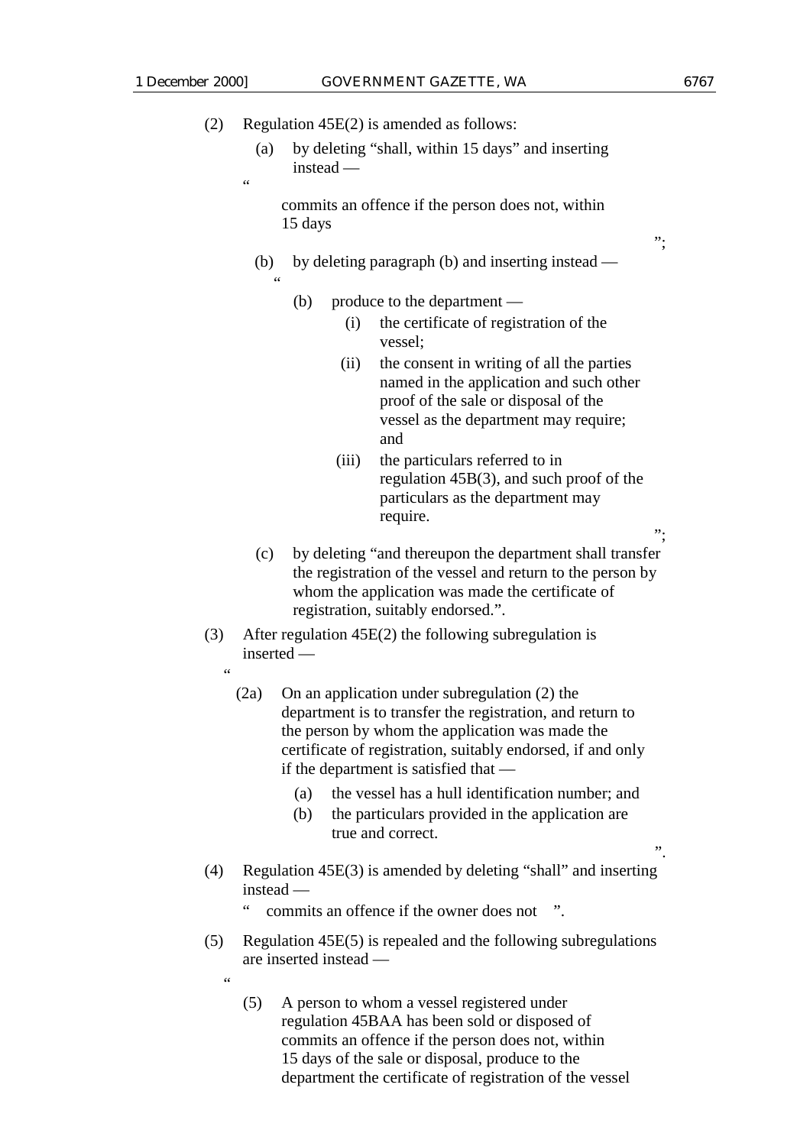$\epsilon$ 

"

";

";

".

| (2) |  | Regulation $45E(2)$ is amended as follows: |  |
|-----|--|--------------------------------------------|--|
|-----|--|--------------------------------------------|--|

(a) by deleting "shall, within 15 days" and inserting instead —

commits an offence if the person does not, within 15 days

- (b) by deleting paragraph (b) and inserting instead
	- (b) produce to the department
		- (i) the certificate of registration of the vessel;
		- (ii) the consent in writing of all the parties named in the application and such other proof of the sale or disposal of the vessel as the department may require; and
		- (iii) the particulars referred to in regulation 45B(3), and such proof of the particulars as the department may require.
- (c) by deleting "and thereupon the department shall transfer the registration of the vessel and return to the person by whom the application was made the certificate of registration, suitably endorsed.".
- (3) After regulation 45E(2) the following subregulation is inserted —
	- "
		- (2a) On an application under subregulation (2) the department is to transfer the registration, and return to the person by whom the application was made the certificate of registration, suitably endorsed, if and only if the department is satisfied that —
			- (a) the vessel has a hull identification number; and
			- (b) the particulars provided in the application are true and correct.
- (4) Regulation 45E(3) is amended by deleting "shall" and inserting instead
	- commits an offence if the owner does not ".
- (5) Regulation 45E(5) is repealed and the following subregulations are inserted instead —
	- .<br>د د
		- (5) A person to whom a vessel registered under regulation 45BAA has been sold or disposed of commits an offence if the person does not, within 15 days of the sale or disposal, produce to the department the certificate of registration of the vessel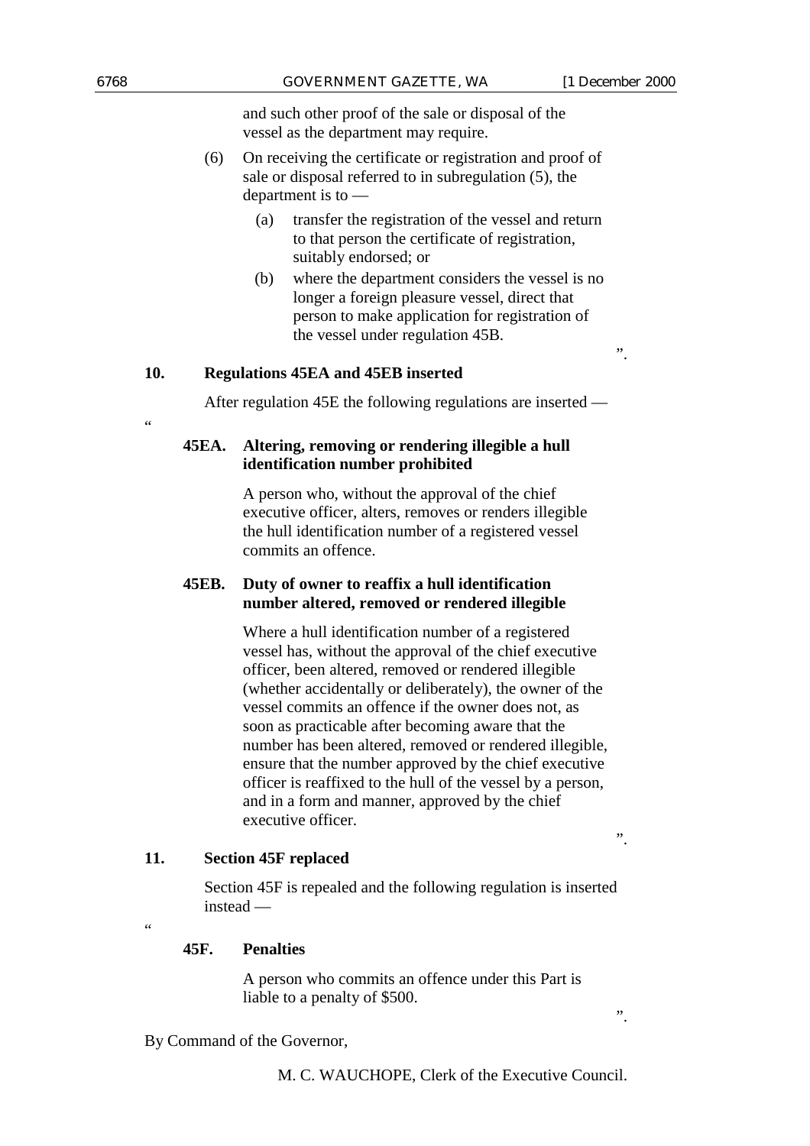and such other proof of the sale or disposal of the vessel as the department may require.

- (6) On receiving the certificate or registration and proof of sale or disposal referred to in subregulation (5), the department is to —
	- (a) transfer the registration of the vessel and return to that person the certificate of registration, suitably endorsed; or
	- (b) where the department considers the vessel is no longer a foreign pleasure vessel, direct that person to make application for registration of the vessel under regulation 45B.

### **10. Regulations 45EA and 45EB inserted**

After regulation 45E the following regulations are inserted —

**45EA. Altering, removing or rendering illegible a hull identification number prohibited**

> A person who, without the approval of the chief executive officer, alters, removes or renders illegible the hull identification number of a registered vessel commits an offence.

### **45EB. Duty of owner to reaffix a hull identification number altered, removed or rendered illegible**

Where a hull identification number of a registered vessel has, without the approval of the chief executive officer, been altered, removed or rendered illegible (whether accidentally or deliberately), the owner of the vessel commits an offence if the owner does not, as soon as practicable after becoming aware that the number has been altered, removed or rendered illegible, ensure that the number approved by the chief executive officer is reaffixed to the hull of the vessel by a person, and in a form and manner, approved by the chief executive officer.

# **11. Section 45F replaced**

Section 45F is repealed and the following regulation is inserted instead —

 $\epsilon$ 

### **45F. Penalties**

A person who commits an offence under this Part is liable to a penalty of \$500.

By Command of the Governor,

".

.<br>44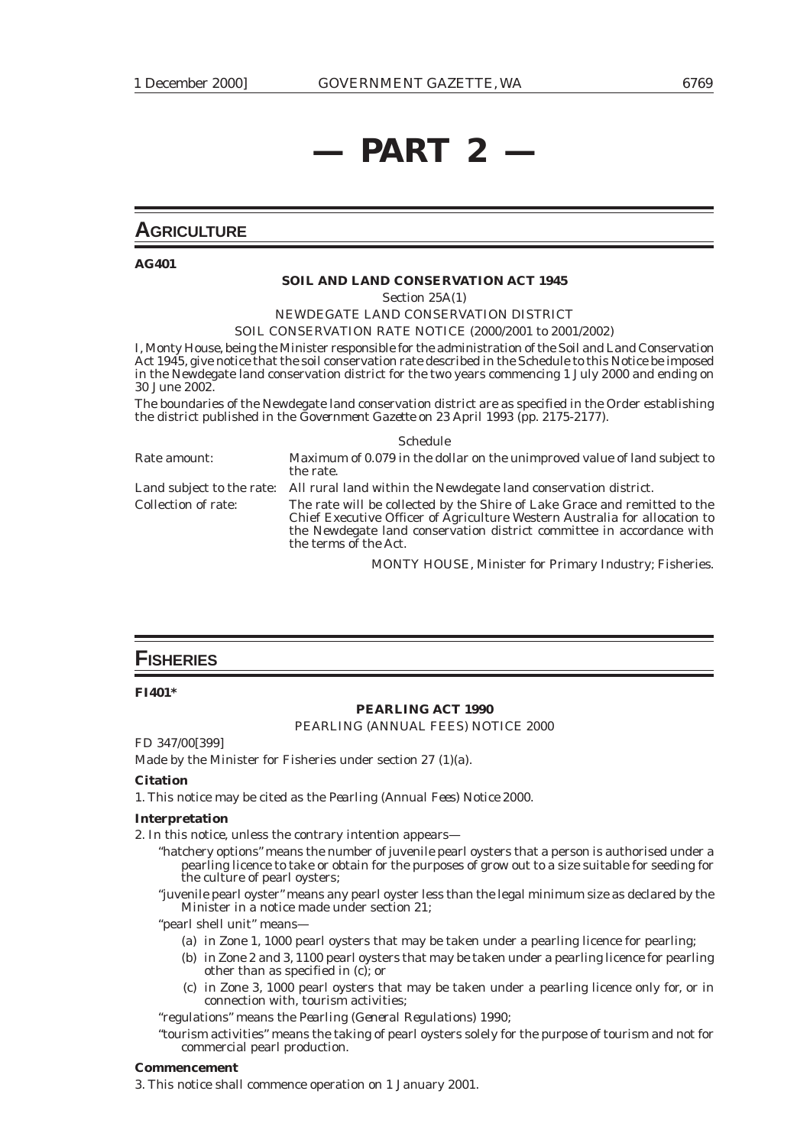# **— PART 2 —**

## **AGRICULTURE**

**AG401**

#### **SOIL AND LAND CONSERVATION ACT 1945**

Section 25A(1)

# NEWDEGATE LAND CONSERVATION DISTRICT

SOIL CONSERVATION RATE NOTICE (2000/2001 to 2001/2002)

I, Monty House, being the Minister responsible for the administration of the Soil and Land Conservation Act 1945, give notice that the soil conservation rate described in the Schedule to this Notice be imposed in the Newdegate land conservation district for the two years commencing 1 July 2000 and ending on 30 June 2002.

The boundaries of the Newdegate land conservation district are as specified in the Order establishing the district published in the *Government Gazette* on 23 April 1993 (pp. 2175-2177).

|                     | <b>Schedule</b>                                                                                                                                                                                                                                           |
|---------------------|-----------------------------------------------------------------------------------------------------------------------------------------------------------------------------------------------------------------------------------------------------------|
| Rate amount:        | Maximum of 0.079 in the dollar on the unimproved value of land subject to<br>the rate.                                                                                                                                                                    |
|                     | Land subject to the rate: All rural land within the Newdegate land conservation district.                                                                                                                                                                 |
| Collection of rate: | The rate will be collected by the Shire of Lake Grace and remitted to the<br>Chief Executive Officer of Agriculture Western Australia for allocation to<br>the Newdegate land conservation district committee in accordance with<br>the terms of the Act. |

MONTY HOUSE, Minister for Primary Industry; Fisheries.

### **FISHERIES**

#### **FI401\***

#### **PEARLING ACT 1990**

PEARLING (ANNUAL FEES) NOTICE 2000

FD 347/00[399]

Made by the Minister for Fisheries under section 27 (1)(a).

#### **Citation**

1. This notice may be cited as the *Pearling (Annual Fees) Notice 2000*.

#### **Interpretation**

2. In this notice, unless the contrary intention appears—

- "hatchery options" means the number of juvenile pearl oysters that a person is authorised under a pearling licence to take or obtain for the purposes of grow out to a size suitable for seeding for the culture of pearl oysters;
- "juvenile pearl oyster" means any pearl oyster less than the legal minimum size as declared by the Minister in a notice made under section 21;

"pearl shell unit" means—

- (a) in Zone 1, 1000 pearl oysters that may be taken under a pearling licence for pearling;
- (b) in Zone 2 and 3, 1100 pearl oysters that may be taken under a pearling licence for pearling other than as specified in (c); or
- (c) in Zone 3, 1000 pearl oysters that may be taken under a pearling licence only for, or in connection with, tourism activities;

"regulations" means the *Pearling (General Regulations) 1990*;

"tourism activities" means the taking of pearl oysters solely for the purpose of tourism and not for commercial pearl production.

#### **Commencement**

3. This notice shall commence operation on 1 January 2001.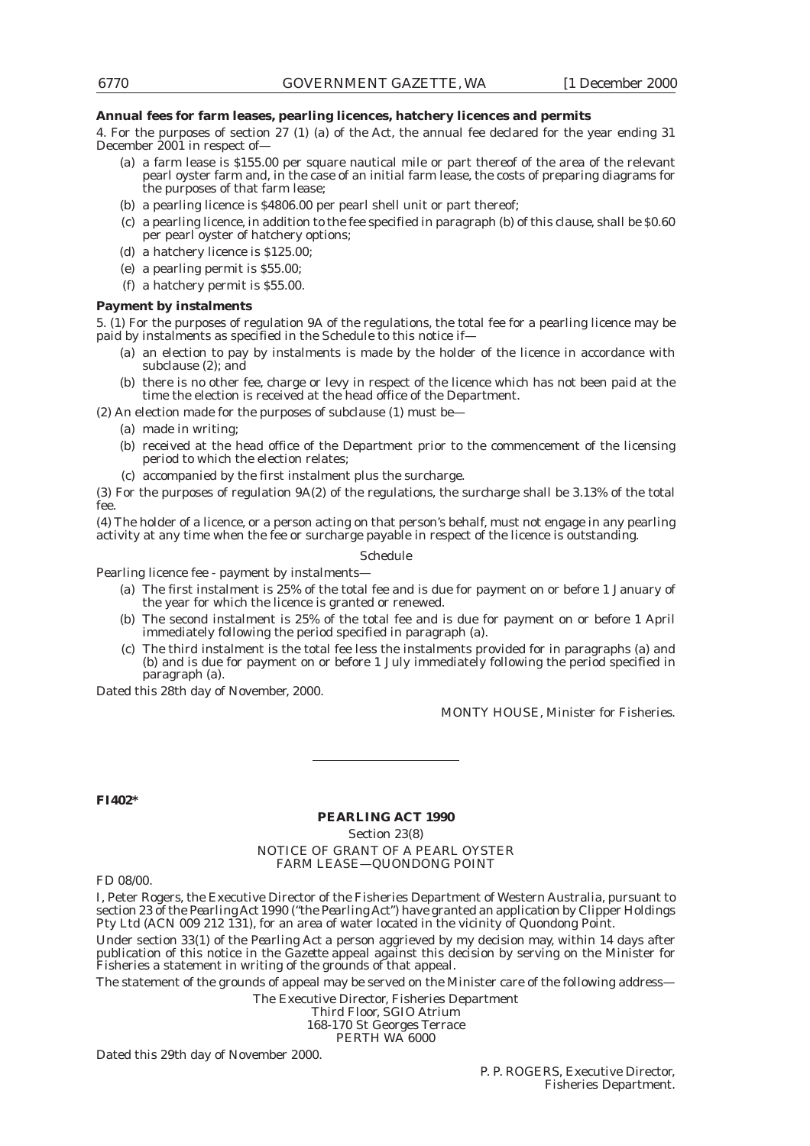#### **Annual fees for farm leases, pearling licences, hatchery licences and permits**

4. For the purposes of section 27 (1) (a) of the Act, the annual fee declared for the year ending 31 December 2001 in respect of—

- (a) a farm lease is \$155.00 per square nautical mile or part thereof of the area of the relevant pearl oyster farm and, in the case of an initial farm lease, the costs of preparing diagrams for the purposes of that farm lease;
- (b) a pearling licence is \$4806.00 per pearl shell unit or part thereof;
- (c) a pearling licence, in addition to the fee specified in paragraph (b) of this clause, shall be \$0.60 per pearl oyster of hatchery options;
- (d) a hatchery licence is \$125.00;
- (e) a pearling permit is \$55.00;
- (f) a hatchery permit is \$55.00.

#### **Payment by instalments**

5. (1) For the purposes of regulation 9A of the regulations, the total fee for a pearling licence may be paid by instalments as specified in the Schedule to this notice if—

- (a) an election to pay by instalments is made by the holder of the licence in accordance with subclause (2); and
- (b) there is no other fee, charge or levy in respect of the licence which has not been paid at the time the election is received at the head office of the Department.

(2) An election made for the purposes of subclause (1) must be—

- (a) made in writing;
- (b) received at the head office of the Department prior to the commencement of the licensing period to which the election relates;
- (c) accompanied by the first instalment plus the surcharge.

(3) For the purposes of regulation 9A(2) of the regulations, the surcharge shall be 3.13% of the total fee.

(4) The holder of a licence, or a person acting on that person's behalf, must not engage in any pearling activity at any time when the fee or surcharge payable in respect of the licence is outstanding.

#### Schedule

Pearling licence fee - payment by instalments—

- (a) The first instalment is 25% of the total fee and is due for payment on or before 1 January of the year for which the licence is granted or renewed.
- (b) The second instalment is 25% of the total fee and is due for payment on or before 1 April immediately following the period specified in paragraph (a).
- (c) The third instalment is the total fee less the instalments provided for in paragraphs (a) and (b) and is due for payment on or before 1 July immediately following the period specified in paragraph (a).

Dated this 28th day of November, 2000.

MONTY HOUSE, Minister for Fisheries.

#### **FI402\***

#### **PEARLING ACT 1990**

Section 23(8)

NOTICE OF GRANT OF A PEARL OYSTER FARM LEASE—QUONDONG POINT

FD 08/00.

I, Peter Rogers, the Executive Director of the Fisheries Department of Western Australia, pursuant to section 23 of the *Pearling Act* 1990 ("the *Pearling Act*") have granted an application by Clipper Holdings Pty Ltd (ACN 009 212 131), for an area of water located in the vicinity of Quondong Point.

Under section 33(1) of the *Pearling Act* a person aggrieved by my decision may, within 14 days after publication of this notice in the *Gazette* appeal against this decision by serving on the Minister for Fisheries a statement in writing of the grounds of that appeal.

The statement of the grounds of appeal may be served on the Minister care of the following address—

The Executive Director, Fisheries Department

Third Floor, SGIO Atrium 168-170 St Georges Terrace PERTH WA 6000

Dated this 29th day of November 2000.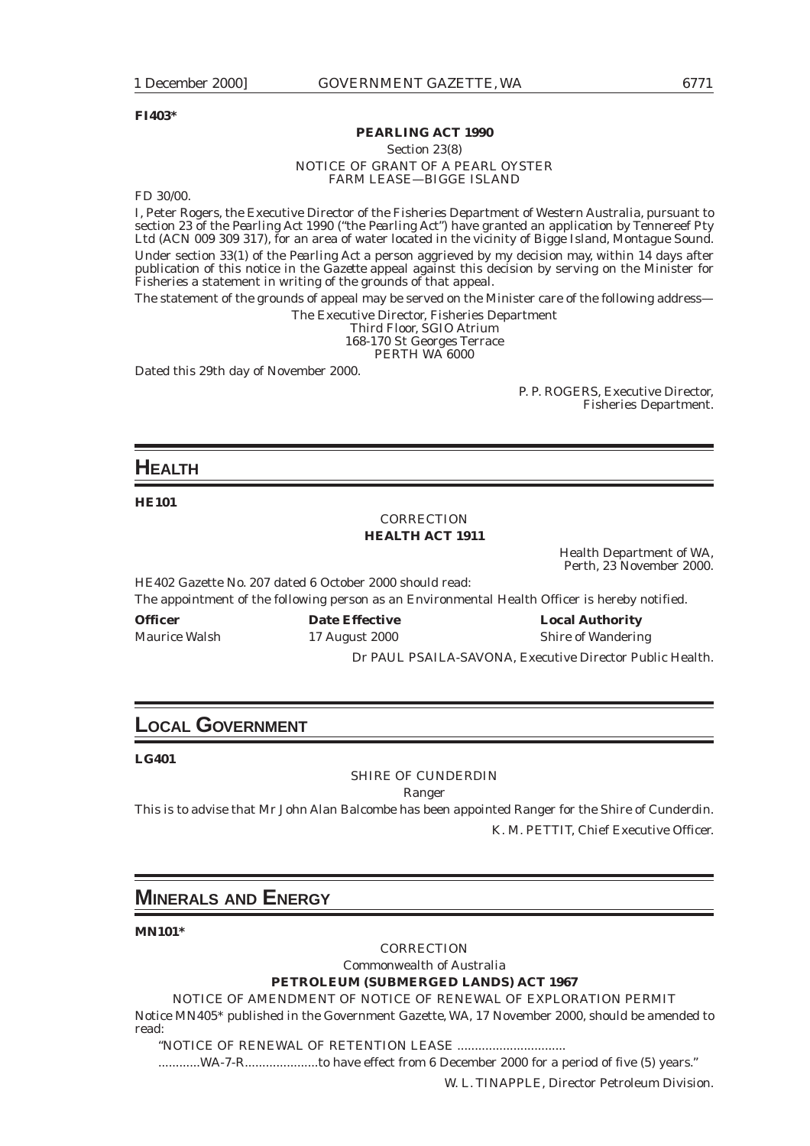#### **FI403\***

#### **PEARLING ACT 1990**

Section 23(8)

#### NOTICE OF GRANT OF A PEARL OYSTER FARM LEASE—BIGGE ISLAND

FD 30/00.

I, Peter Rogers, the Executive Director of the Fisheries Department of Western Australia, pursuant to section 23 of the *Pearling Act* 1990 ("the *Pearling Act*") have granted an application by Tennereef Pty Ltd (ACN 009 309 317), for an area of water located in the vicinity of Bigge Island, Montague Sound. Under section 33(1) of the *Pearling Act* a person aggrieved by my decision may, within 14 days after publication of this notice in the *Gazette* appeal against this decision by serving on the Minister for Fisheries a statement in writing of the grounds of that appeal.

The statement of the grounds of appeal may be served on the Minister care of the following address—

The Executive Director, Fisheries Department Third Floor, SGIO Atrium 168-170 St Georges Terrace

PERTH WA 6000

Dated this 29th day of November 2000.

P. P. ROGERS, Executive Director, Fisheries Department.

### **HEALTH**

**HE101**

### *CORRECTION* **HEALTH ACT 1911**

Health Department of WA, Perth, 23 November 2000.

HE402 Gazette No. 207 dated 6 October 2000 should read: The appointment of the following person as an Environmental Health Officer is hereby notified.

Maurice Walsh 17 August 2000 Shire of Wandering

**Officer Date Effective Local Authority**

Dr PAUL PSAILA-SAVONA, Executive Director Public Health.

# **LOCAL GOVERNMENT**

**LG401**

#### SHIRE OF CUNDERDIN

Ranger

This is to advise that Mr John Alan Balcombe has been appointed Ranger for the Shire of Cunderdin. K. M. PETTIT, Chief Executive Officer.

# **MINERALS AND ENERGY**

**MN101\***

*CORRECTION*

Commonwealth of Australia **PETROLEUM (SUBMERGED LANDS) ACT 1967**

NOTICE OF AMENDMENT OF NOTICE OF RENEWAL OF EXPLORATION PERMIT Notice MN405\* published in the Government Gazette, WA, 17 November 2000, should be amended to read:

"NOTICE OF RENEWAL OF RETENTION LEASE ...............................

............WA-7-R.....................to have effect from 6 December 2000 for a period of five (5) years."

W. L. TINAPPLE, Director Petroleum Division.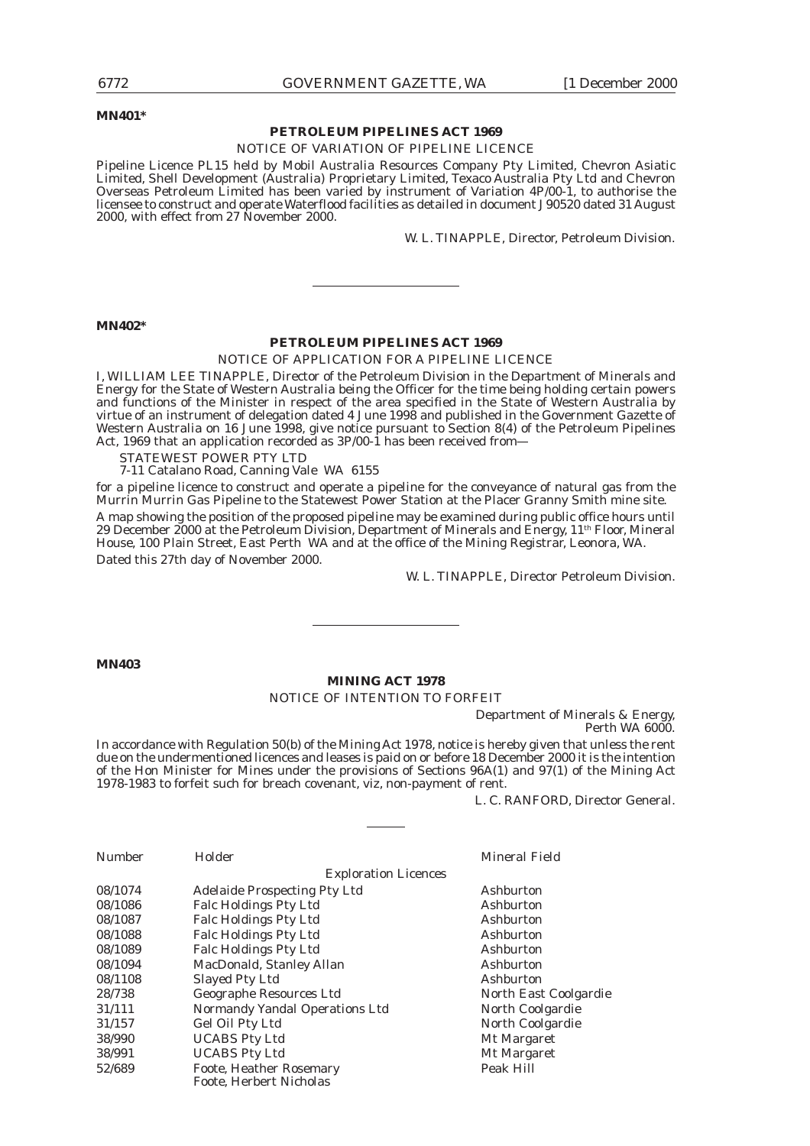**MN401\***

#### **PETROLEUM PIPELINES ACT 1969**

#### NOTICE OF VARIATION OF PIPELINE LICENCE

Pipeline Licence PL15 held by Mobil Australia Resources Company Pty Limited, Chevron Asiatic Limited, Shell Development (Australia) Proprietary Limited, Texaco Australia Pty Ltd and Chevron Overseas Petroleum Limited has been varied by instrument of Variation 4P/00-1, to authorise the licensee to construct and operate Waterflood facilities as detailed in document J90520 dated 31 August 2000, with effect from 27 November 2000.

W. L. TINAPPLE, Director, Petroleum Division.

#### **MN402\***

#### **PETROLEUM PIPELINES ACT 1969**

#### NOTICE OF APPLICATION FOR A PIPELINE LICENCE

I, WILLIAM LEE TINAPPLE, Director of the Petroleum Division in the Department of Minerals and Energy for the State of Western Australia being the Officer for the time being holding certain powers and functions of the Minister in respect of the area specified in the State of Western Australia by virtue of an instrument of delegation dated 4 June 1998 and published in the Government Gazette of Western Australia on 16 June 1998, give notice pursuant to Section 8(4) of the Petroleum Pipelines Act, 1969 that an application recorded as 3P/00-1 has been received from—

STATEWEST POWER PTY LTD

7-11 Catalano Road, Canning Vale WA 6155

for a pipeline licence to construct and operate a pipeline for the conveyance of natural gas from the Murrin Murrin Gas Pipeline to the Statewest Power Station at the Placer Granny Smith mine site. A map showing the position of the proposed pipeline may be examined during public office hours until 29 December 2000 at the Petroleum Division, Department of Minerals and Energy, 11th Floor, Mineral House, 100 Plain Street, East Perth WA and at the office of the Mining Registrar, Leonora, WA. Dated this 27th day of November 2000.

W. L. TINAPPLE, Director Petroleum Division.

#### **MN403**

#### **MINING ACT 1978**

#### NOTICE OF INTENTION TO FORFEIT

Department of Minerals & Energy, Perth WA 6000.

In accordance with Regulation 50(b) of the Mining Act 1978, notice is hereby given that unless the rent due on the undermentioned licences and leases is paid on or before 18 December 2000 it is the intention of the Hon Minister for Mines under the provisions of Sections 96A(1) and 97(1) of the Mining Act 1978-1983 to forfeit such for breach covenant, viz, non-payment of rent.

L. C. RANFORD, Director General.

| <b>Number</b> | Holder                              | <b>Mineral Field</b>  |
|---------------|-------------------------------------|-----------------------|
|               | <b>Exploration Licences</b>         |                       |
| 08/1074       | <b>Adelaide Prospecting Pty Ltd</b> | Ashburton             |
| 08/1086       | <b>Falc Holdings Pty Ltd</b>        | Ashburton             |
| 08/1087       | <b>Falc Holdings Pty Ltd</b>        | Ashburton             |
| 08/1088       | <b>Falc Holdings Pty Ltd</b>        | Ashburton             |
| 08/1089       | <b>Falc Holdings Pty Ltd</b>        | Ashburton             |
| 08/1094       | MacDonald, Stanley Allan            | Ashburton             |
| 08/1108       | <b>Slayed Pty Ltd</b>               | Ashburton             |
| 28/738        | Geographe Resources Ltd             | North East Coolgardie |
| 31/111        | Normandy Yandal Operations Ltd      | North Coolgardie      |
| 31/157        | Gel Oil Pty Ltd                     | North Coolgardie      |
| 38/990        | <b>UCABS Pty Ltd</b>                | Mt Margaret           |
| 38/991        | <b>UCABS Pty Ltd</b>                | Mt Margaret           |
| 52/689        | <b>Foote, Heather Rosemary</b>      | Peak Hill             |
|               | Foote. Herbert Nicholas             |                       |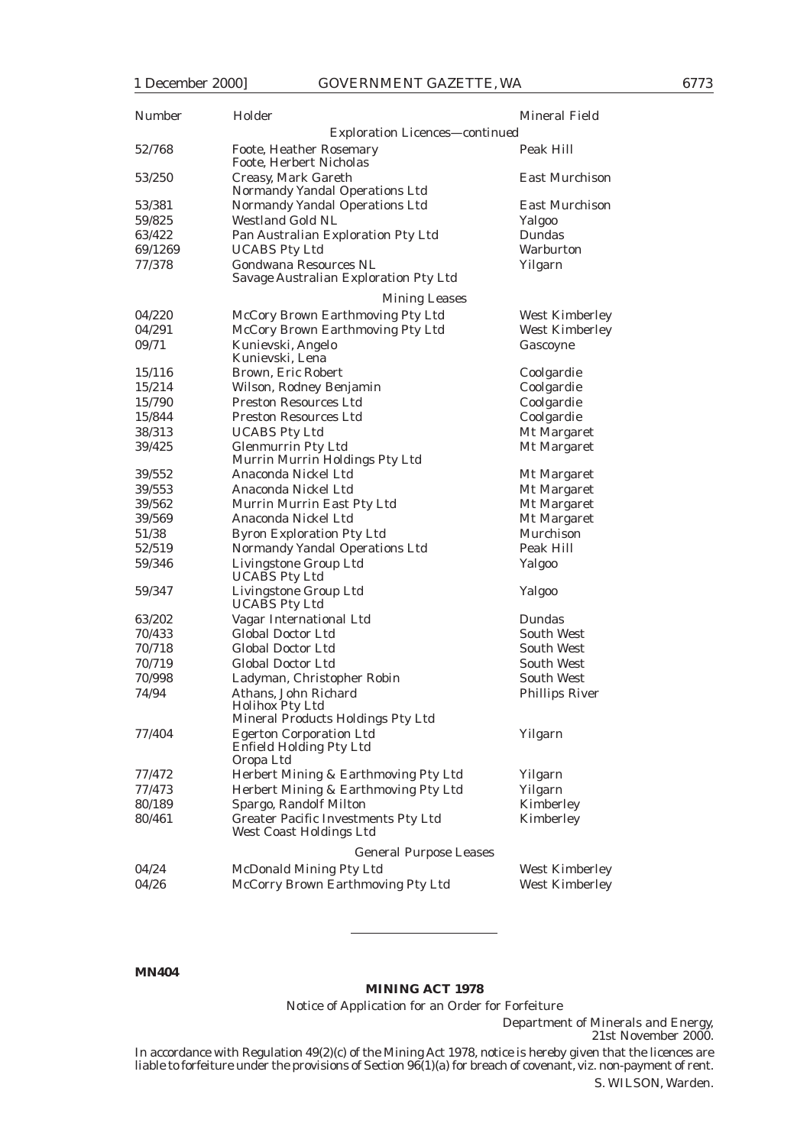| Number           | Holder                                                                              | Mineral Field          |
|------------------|-------------------------------------------------------------------------------------|------------------------|
|                  | Exploration Licences— <i>continued</i>                                              |                        |
| 52/768           | <b>Foote, Heather Rosemary</b><br>Foote, Herbert Nicholas                           | Peak Hill              |
| 53/250           | Creasy, Mark Gareth<br>Normandy Yandal Operations Ltd                               | <b>East Murchison</b>  |
| 53/381           | Normandy Yandal Operations Ltd                                                      | East Murchison         |
| 59/825           | <b>Westland Gold NL</b>                                                             | Yalgoo                 |
| 63/422           | Pan Australian Exploration Pty Ltd                                                  | Dundas                 |
| 69/1269          | <b>UCABS Pty Ltd</b>                                                                | Warburton              |
| 77/378           | <b>Gondwana Resources NL</b>                                                        | Yilgarn                |
|                  | Savage Australian Exploration Pty Ltd                                               |                        |
|                  | <b>Mining Leases</b>                                                                |                        |
| 04/220           | McCory Brown Earthmoving Pty Ltd                                                    | West Kimberley         |
| 04/291           | McCory Brown Earthmoving Pty Ltd                                                    | West Kimberley         |
| 09/71            | Kunievski, Angelo<br>Kunievski, Lena                                                | Gascoyne               |
| 15/116           | Brown, Eric Robert                                                                  | Coolgardie             |
| 15/214           | Wilson, Rodney Benjamin                                                             | Coolgardie             |
| 15/790           | <b>Preston Resources Ltd</b>                                                        | Coolgardie             |
| 15/844           | <b>Preston Resources Ltd</b>                                                        | Coolgardie             |
| 38/313           | <b>UCABS Pty Ltd</b>                                                                | Mt Margaret            |
| 39/425           | <b>Glenmurrin Pty Ltd</b><br>Murrin Murrin Holdings Pty Ltd                         | Mt Margaret            |
| 39/552           | Anaconda Nickel Ltd                                                                 | Mt Margaret            |
| 39/553           | Anaconda Nickel Ltd                                                                 | Mt Margaret            |
| 39/562           | Murrin Murrin East Pty Ltd                                                          | Mt Margaret            |
| 39/569           | Anaconda Nickel Ltd                                                                 | Mt Margaret            |
| 51/38            | <b>Byron Exploration Pty Ltd</b>                                                    | Murchison              |
| 52/519           | Normandy Yandal Operations Ltd                                                      | Peak Hill              |
| 59/346           | Livingstone Group Ltd<br><b>UCABS</b> Pty Ltd                                       | Yalgoo                 |
| 59/347           | Livingstone Group Ltd<br><b>UCABS Pty Ltd</b>                                       | <b>Yalgoo</b>          |
| 63/202           | Vagar International Ltd                                                             | Dundas                 |
| 70/433           | <b>Global Doctor Ltd</b>                                                            | South West             |
| 70/718           | Global Doctor Ltd                                                                   | South West             |
| 70/719           | <b>Global Doctor Ltd</b>                                                            | South West             |
| 70/998           | Ladyman, Christopher Robin                                                          | South West             |
| 74/94            | Athans, John Richard<br><b>Holihox Pty Ltd</b><br>Mineral Products Holdings Pty Ltd | <b>Phillips River</b>  |
| 77/404           | <b>Egerton Corporation Ltd</b><br><b>Enfield Holding Pty Ltd</b>                    | Yilgarn                |
|                  | Oropa Ltd                                                                           |                        |
| 77/472<br>77/473 | Herbert Mining & Earthmoving Pty Ltd<br>Herbert Mining & Earthmoving Pty Ltd        | Yilgarn<br>Yilgarn     |
|                  |                                                                                     |                        |
| 80/189<br>80/461 | Spargo, Randolf Milton<br><b>Greater Pacific Investments Pty Ltd</b>                | Kimberley<br>Kimberley |
|                  | West Coast Holdings Ltd                                                             |                        |
|                  | <b>General Purpose Leases</b>                                                       |                        |
| 04/24            | <b>McDonald Mining Pty Ltd</b>                                                      | West Kimberley         |
| 04/26            | McCorry Brown Earthmoving Pty Ltd                                                   | <b>West Kimberley</b>  |

#### **MN404**

#### **MINING ACT 1978**

Notice of Application for an Order for Forfeiture

Department of Minerals and Energy, 21st November 2000.

In accordance with Regulation 49(2)(c) of the Mining Act 1978, notice is hereby given that the licences are liable to forfeiture under the provisions of Section 96(1)(a) for breach of covenant, viz. non-payment of rent.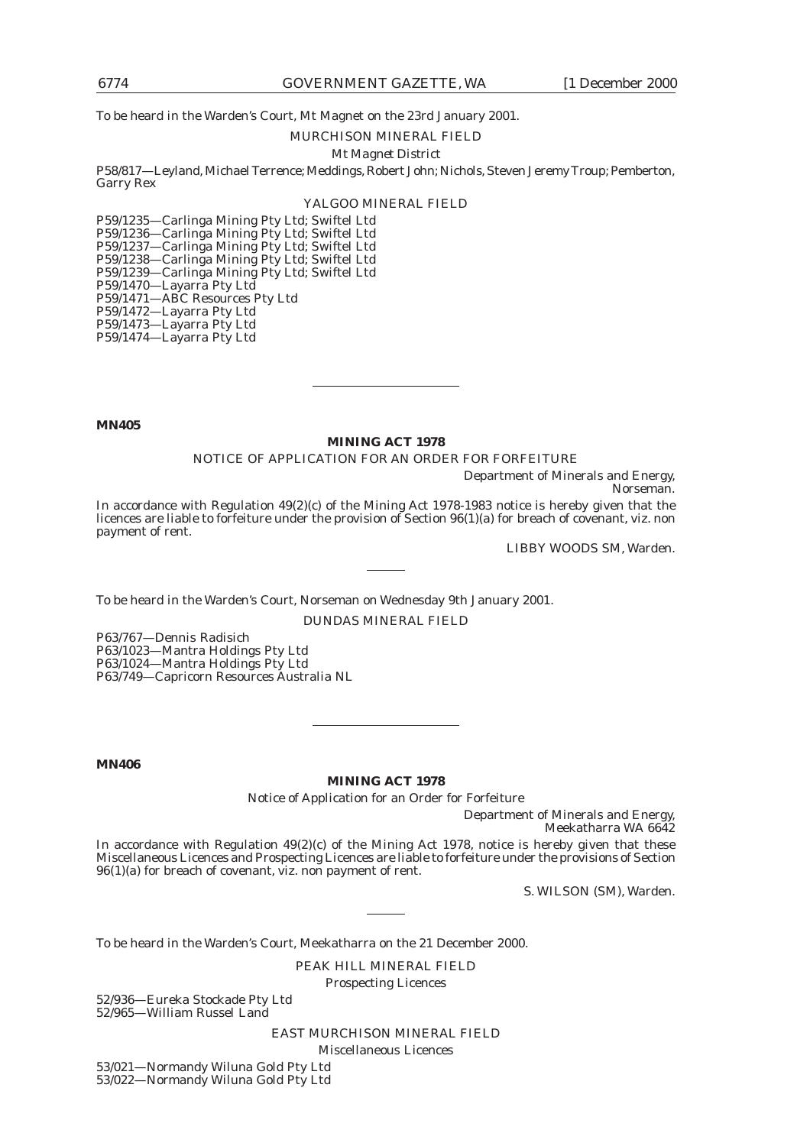To be heard in the Warden's Court, Mt Magnet on the 23rd January 2001.

#### MURCHISON MINERAL FIELD

#### *Mt Magnet District*

P58/817—Leyland, Michael Terrence; Meddings, Robert John; Nichols, Steven Jeremy Troup; Pemberton, Garry Rex

### YALGOO MINERAL FIELD

P59/1235—Carlinga Mining Pty Ltd; Swiftel Ltd P59/1236—Carlinga Mining Pty Ltd; Swiftel Ltd P59/1237—Carlinga Mining Pty Ltd; Swiftel Ltd P59/1238—Carlinga Mining Pty Ltd; Swiftel Ltd P59/1239—Carlinga Mining Pty Ltd; Swiftel Ltd P59/1470—Layarra Pty Ltd P59/1471—ABC Resources Pty Ltd P59/1472—Layarra Pty Ltd P59/1473-Layarra Pty Ltd

P59/1474—Layarra Pty Ltd

**MN405**

#### **MINING ACT 1978**

NOTICE OF APPLICATION FOR AN ORDER FOR FORFEITURE

Department of Minerals and Energy, Norseman.

In accordance with Regulation 49(2)(c) of the Mining Act 1978-1983 notice is hereby given that the licences are liable to forfeiture under the provision of Section 96(1)(a) for breach of covenant, viz. non payment of rent.

LIBBY WOODS SM, Warden.

To be heard in the Warden's Court, Norseman on Wednesday 9th January 2001.

DUNDAS MINERAL FIELD

P63/767—Dennis Radisich P63/1023—Mantra Holdings Pty Ltd P63/1024—Mantra Holdings Pty Ltd P63/749—Capricorn Resources Australia NL

**MN406**

**MINING ACT 1978**

Notice of Application for an Order for Forfeiture

Department of Minerals and Energy, Meekatharra WA 6642

In accordance with Regulation 49(2)(c) of the Mining Act 1978, notice is hereby given that these Miscellaneous Licences and Prospecting Licences are liable to forfeiture under the provisions of Section  $96(1)(a)$  for breach of covenant, viz. non payment of rent.

S. WILSON (SM), Warden.

To be heard in the Warden's Court, Meekatharra on the 21 December 2000.

PEAK HILL MINERAL FIELD

Prospecting Licences

52/936—Eureka Stockade Pty Ltd 52/965—William Russel Land

EAST MURCHISON MINERAL FIELD

Miscellaneous Licences

53/021—Normandy Wiluna Gold Pty Ltd 53/022—Normandy Wiluna Gold Pty Ltd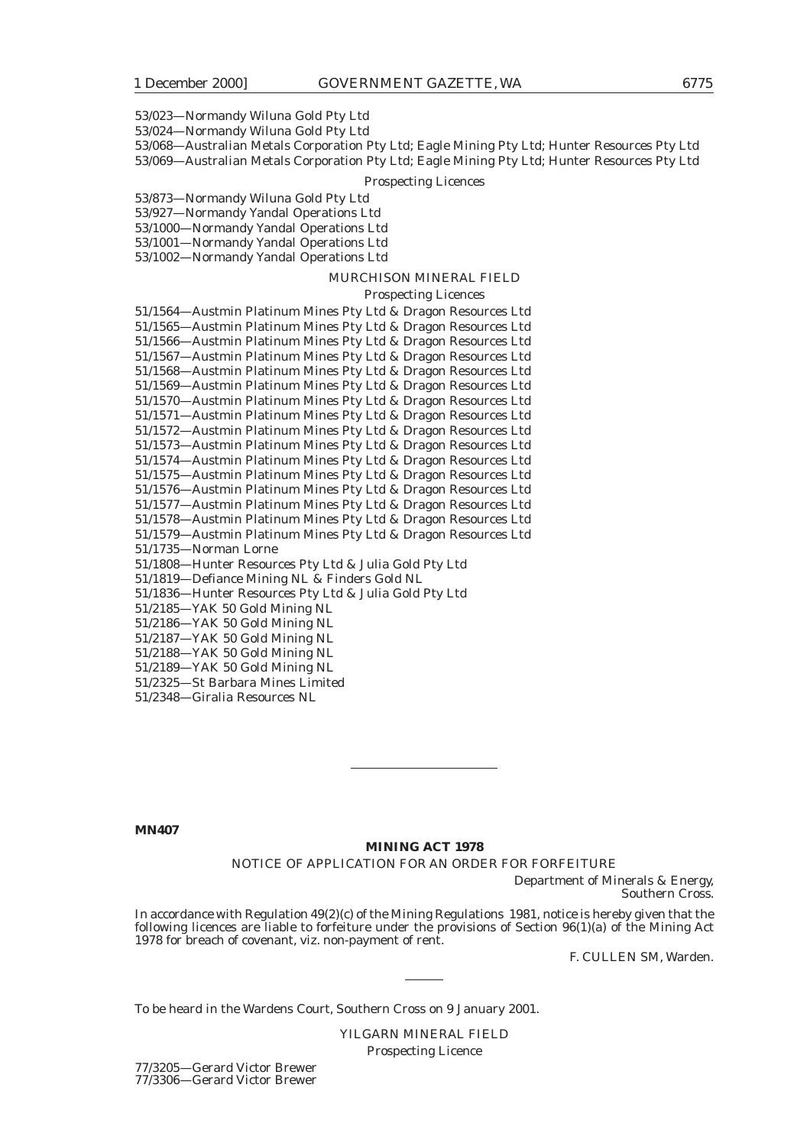53/023—Normandy Wiluna Gold Pty Ltd

53/024—Normandy Wiluna Gold Pty Ltd

53/068—Australian Metals Corporation Pty Ltd; Eagle Mining Pty Ltd; Hunter Resources Pty Ltd

53/069—Australian Metals Corporation Pty Ltd; Eagle Mining Pty Ltd; Hunter Resources Pty Ltd

#### Prospecting Licences

53/873—Normandy Wiluna Gold Pty Ltd

53/927—Normandy Yandal Operations Ltd

53/1000—Normandy Yandal Operations Ltd

53/1001—Normandy Yandal Operations Ltd

53/1002—Normandy Yandal Operations Ltd

#### MURCHISON MINERAL FIELD

#### Prospecting Licences

51/1564—Austmin Platinum Mines Pty Ltd & Dragon Resources Ltd 51/1565—Austmin Platinum Mines Pty Ltd & Dragon Resources Ltd 51/1566—Austmin Platinum Mines Pty Ltd & Dragon Resources Ltd 51/1567—Austmin Platinum Mines Pty Ltd & Dragon Resources Ltd 51/1568—Austmin Platinum Mines Pty Ltd & Dragon Resources Ltd 51/1569—Austmin Platinum Mines Pty Ltd & Dragon Resources Ltd 51/1570—Austmin Platinum Mines Pty Ltd & Dragon Resources Ltd 51/1571—Austmin Platinum Mines Pty Ltd & Dragon Resources Ltd 51/1572—Austmin Platinum Mines Pty Ltd & Dragon Resources Ltd 51/1573—Austmin Platinum Mines Pty Ltd & Dragon Resources Ltd 51/1574—Austmin Platinum Mines Pty Ltd & Dragon Resources Ltd 51/1575—Austmin Platinum Mines Pty Ltd & Dragon Resources Ltd 51/1576—Austmin Platinum Mines Pty Ltd & Dragon Resources Ltd 51/1577—Austmin Platinum Mines Pty Ltd & Dragon Resources Ltd 51/1578—Austmin Platinum Mines Pty Ltd & Dragon Resources Ltd 51/1579—Austmin Platinum Mines Pty Ltd & Dragon Resources Ltd 51/1735—Norman Lorne 51/1808—Hunter Resources Pty Ltd & Julia Gold Pty Ltd 51/1819—Defiance Mining NL & Finders Gold NL 51/1836—Hunter Resources Pty Ltd & Julia Gold Pty Ltd 51/2185—YAK 50 Gold Mining NL 51/2186—YAK 50 Gold Mining NL 51/2187—YAK 50 Gold Mining NL 51/2188—YAK 50 Gold Mining NL 51/2189—YAK 50 Gold Mining NL

51/2325—St Barbara Mines Limited

51/2348—Giralia Resources NL

#### **MN407**

#### **MINING ACT 1978**

NOTICE OF APPLICATION FOR AN ORDER FOR FORFEITURE

Department of Minerals & Energy, Southern Cross.

In accordance with Regulation 49(2)(c) of the Mining Regulations 1981, notice is hereby given that the following licences are liable to forfeiture under the provisions of Section 96(1)(a) of the Mining Act 1978 for breach of covenant, viz. non-payment of rent.

F. CULLEN SM, Warden.

To be heard in the Wardens Court, Southern Cross on 9 January 2001.

YILGARN MINERAL FIELD Prospecting Licence

77/3205—Gerard Victor Brewer 77/3306—Gerard Victor Brewer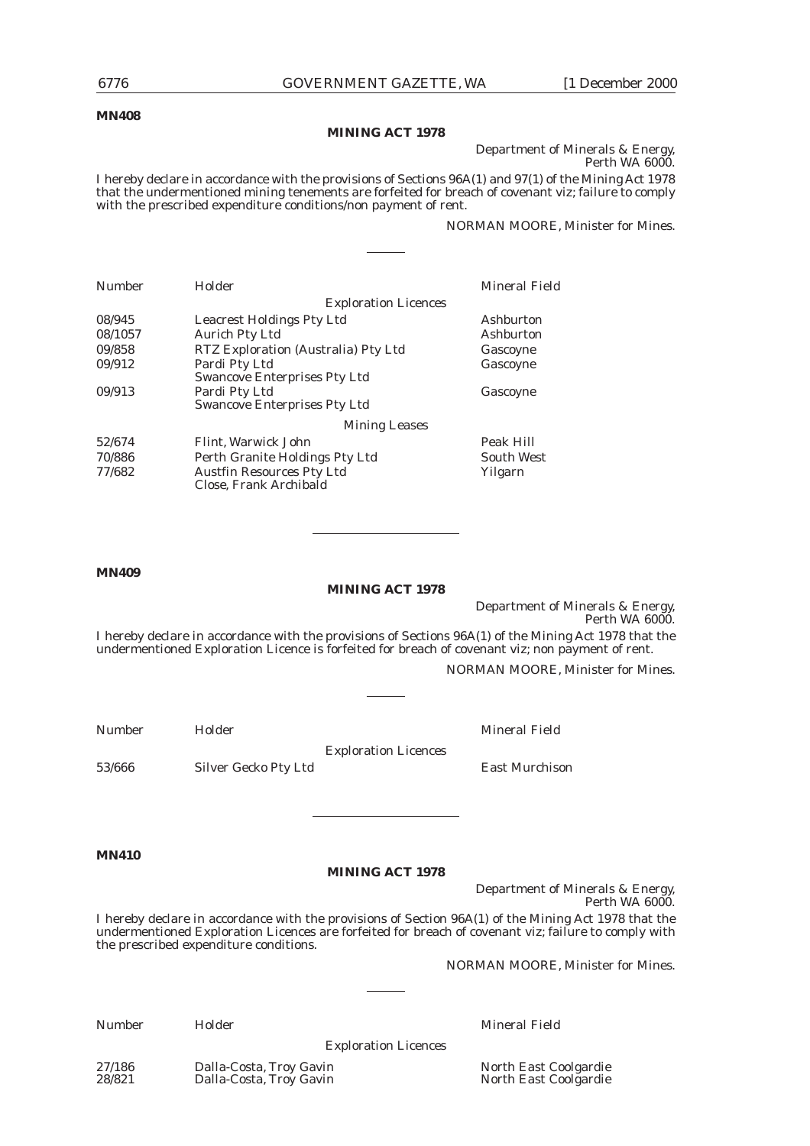#### **MN408**

#### **MINING ACT 1978**

Department of Minerals & Energy, Perth WA 6000.

I hereby declare in accordance with the provisions of Sections 96A(1) and 97(1) of the Mining Act 1978 that the undermentioned mining tenements are forfeited for breach of covenant viz; failure to comply with the prescribed expenditure conditions/non payment of rent.

#### NORMAN MOORE, Minister for Mines.

| Number  | Holder                                                     | Mineral Field     |
|---------|------------------------------------------------------------|-------------------|
|         | <b>Exploration Licences</b>                                |                   |
| 08/945  | <b>Leacrest Holdings Pty Ltd</b>                           | Ashburton         |
| 08/1057 | <b>Aurich Pty Ltd</b>                                      | Ashburton         |
| 09/858  | RTZ Exploration (Australia) Pty Ltd                        | Gascoyne          |
| 09/912  | Pardi Pty Ltd                                              | Gascoyne          |
|         | <b>Swancove Enterprises Pty Ltd</b>                        |                   |
| 09/913  | Pardi Pty Ltd                                              | Gascoyne          |
|         | <b>Swancove Enterprises Pty Ltd</b>                        |                   |
|         | <b>Mining Leases</b>                                       |                   |
| 52/674  | Flint, Warwick John                                        | Peak Hill         |
| 70/886  | Perth Granite Holdings Pty Ltd                             | <b>South West</b> |
| 77/682  | <b>Austfin Resources Pty Ltd</b><br>Close, Frank Archibald | Yilgarn           |

#### **MN409**

### **MINING ACT 1978**

Department of Minerals & Energy, Perth WA 6000.

I hereby declare in accordance with the provisions of Sections 96A(1) of the Mining Act 1978 that the undermentioned Exploration Licence is forfeited for breach of covenant viz; non payment of rent.

NORMAN MOORE, Minister for Mines.

| <b>Number</b> | Holder               |                             | Mineral Field         |
|---------------|----------------------|-----------------------------|-----------------------|
|               |                      | <b>Exploration Licences</b> |                       |
| 53/666        | Silver Gecko Pty Ltd |                             | <b>East Murchison</b> |

**MN410**

#### **MINING ACT 1978**

Department of Minerals & Energy, Perth WA 6000.

I hereby declare in accordance with the provisions of Section 96A(1) of the Mining Act 1978 that the undermentioned Exploration Licences are forfeited for breach of covenant viz; failure to comply with the prescribed expenditure conditions.

NORMAN MOORE, Minister for Mines.

| umbe |  |
|------|--|
|------|--|

Number Holder Mineral Field

Exploration Licences

27/186 Dalla-Costa, Troy Gavin North East Coolgardie Dalla-Costa, Troy Gavin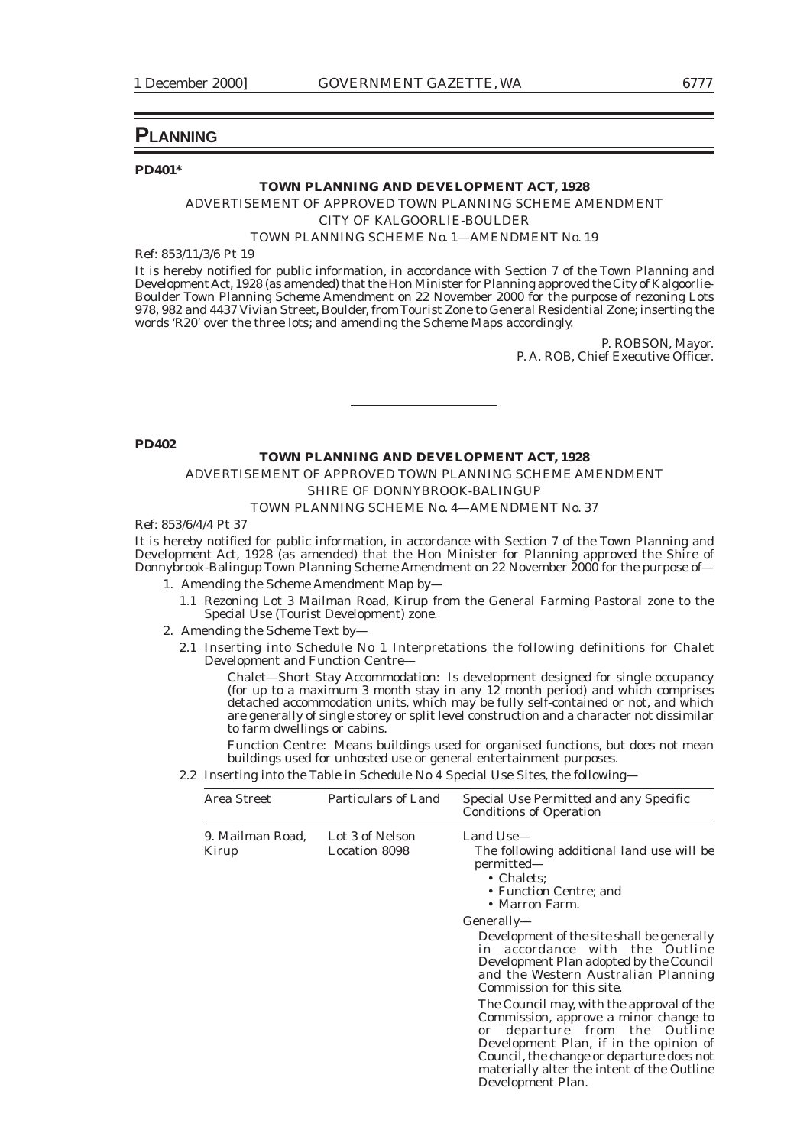### **PLANNING**

#### **PD401\***

# **TOWN PLANNING AND DEVELOPMENT ACT, 1928**

ADVERTISEMENT OF APPROVED TOWN PLANNING SCHEME AMENDMENT *CITY OF KALGOORLIE-BOULDER*

TOWN PLANNING SCHEME No. 1—AMENDMENT No. 19

Ref: 853/11/3/6 Pt 19

It is hereby notified for public information, in accordance with Section 7 of the Town Planning and Development Act, 1928 (as amended) that the Hon Minister for Planning approved the City of Kalgoorlie-Boulder Town Planning Scheme Amendment on 22 November 2000 for the purpose of rezoning Lots 978, 982 and 4437 Vivian Street, Boulder, from Tourist Zone to General Residential Zone; inserting the words 'R20' over the three lots; and amending the Scheme Maps accordingly.

> P. ROBSON, Mayor. P. A. ROB, Chief Executive Officer.

**PD402**

#### **TOWN PLANNING AND DEVELOPMENT ACT, 1928**

ADVERTISEMENT OF APPROVED TOWN PLANNING SCHEME AMENDMENT *SHIRE OF DONNYBROOK-BALINGUP*

#### TOWN PLANNING SCHEME No. 4—AMENDMENT No. 37

Ref: 853/6/4/4 Pt 37

It is hereby notified for public information, in accordance with Section 7 of the Town Planning and Development Act, 1928 (as amended) that the Hon Minister for Planning approved the Shire of Donnybrook-Balingup Town Planning Scheme Amendment on 22 November 2000 for the purpose of—

- 1. Amending the Scheme Amendment Map by—
	- 1.1 Rezoning Lot 3 Mailman Road, Kirup from the General Farming Pastoral zone to the Special Use (Tourist Development) zone.
- 2. Amending the Scheme Text by—
	- 2.1 Inserting into Schedule No 1 Interpretations the following definitions for Chalet Development and Function Centre—

Chalet—Short Stay Accommodation: Is development designed for single occupancy (for up to a maximum 3 month stay in any 12 month period) and which comprises detached accommodation units, which may be fully self-contained or not, and which are generally of single storey or split level construction and a character not dissimilar to farm dwellings or cabins.

Function Centre: Means buildings used for organised functions, but does not mean buildings used for unhosted use or general entertainment purposes.

2.2 Inserting into the Table in Schedule No 4 Special Use Sites, the following—

| Area Street               | <b>Particulars of Land</b>       | Special Use Permitted and any Specific<br><b>Conditions of Operation</b>                                                                                                                                                                                                         |
|---------------------------|----------------------------------|----------------------------------------------------------------------------------------------------------------------------------------------------------------------------------------------------------------------------------------------------------------------------------|
| 9. Mailman Road,<br>Kirup | Lot 3 of Nelson<br>Location 8098 | Land Use-<br>The following additional land use will be<br>permitted—<br>• Chalets:<br>• Function Centre; and<br>• Marron Farm.                                                                                                                                                   |
|                           |                                  | Generally—<br>Development of the site shall be generally<br>in accordance with the Outline<br>Development Plan adopted by the Council<br>and the Western Australian Planning<br>Commission for this site.                                                                        |
|                           |                                  | The Council may, with the approval of the<br>Commission, approve a minor change to<br>departure from the Outline<br>or<br>Development Plan, if in the opinion of<br>Council, the change or departure does not<br>materially alter the intent of the Outline<br>Development Plan. |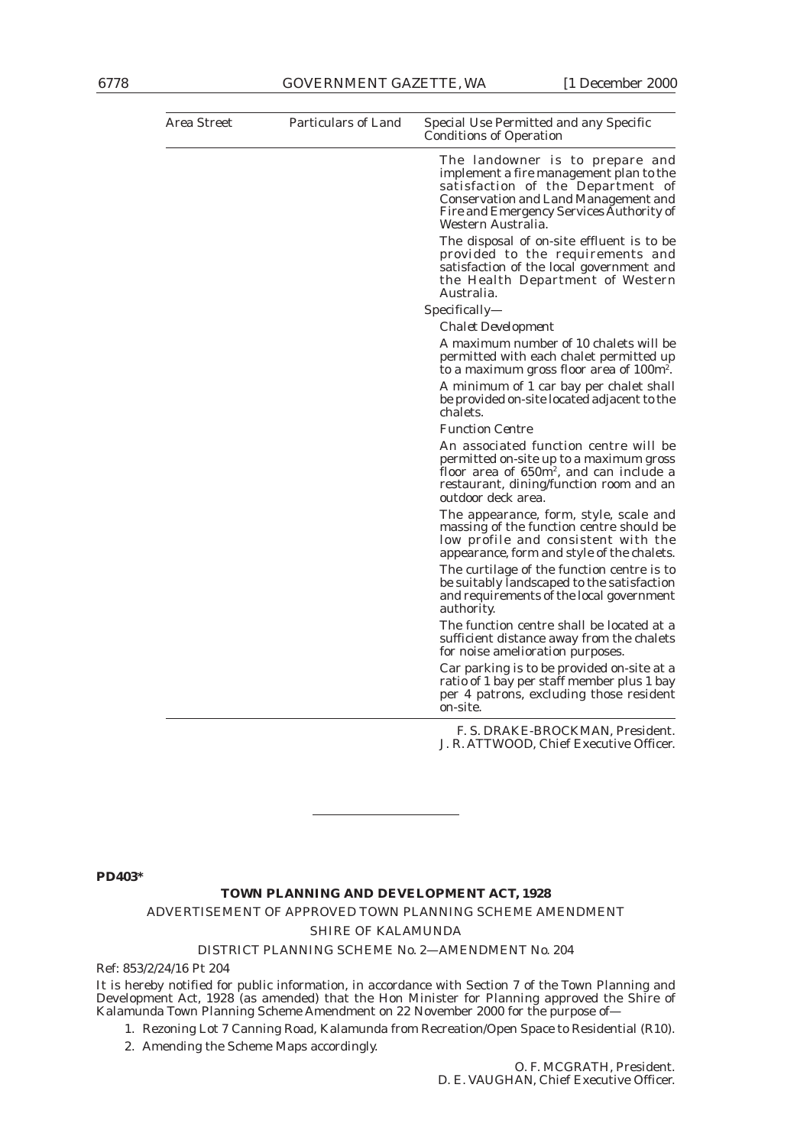| Area Street | <b>Particulars of Land</b> | Special Use Permitted and any Specific<br><b>Conditions of Operation</b>                                                                                                                                                         |
|-------------|----------------------------|----------------------------------------------------------------------------------------------------------------------------------------------------------------------------------------------------------------------------------|
|             |                            | The landowner is to prepare and<br>implement a fire management plan to the<br>satisfaction of the Department of<br><b>Conservation and Land Management and</b><br>Fire and Emergency Services Authority of<br>Western Australia. |
|             |                            | The disposal of on-site effluent is to be<br>provided to the requirements and<br>satisfaction of the local government and<br>the Health Department of Western<br>Australia.                                                      |
|             |                            | Specifically—                                                                                                                                                                                                                    |
|             |                            | <b>Chalet Development</b>                                                                                                                                                                                                        |
|             |                            | A maximum number of 10 chalets will be<br>permitted with each chalet permitted up<br>to a maximum gross floor area of 100m <sup>2</sup> .                                                                                        |
|             |                            | A minimum of 1 car bay per chalet shall<br>be provided on-site located adjacent to the<br>chalets.                                                                                                                               |
|             |                            | <b>Function Centre</b>                                                                                                                                                                                                           |
|             |                            | An associated function centre will be<br>permitted on-site up to a maximum gross<br>floor area of 650m <sup>2</sup> , and can include a<br>restaurant, dining/function room and an<br>outdoor deck area.                         |
|             |                            | The appearance, form, style, scale and<br>massing of the function centre should be<br>low profile and consistent with the<br>appearance, form and style of the chalets.                                                          |
|             |                            | The curtilage of the function centre is to<br>be suitably landscaped to the satisfaction<br>and requirements of the local government<br>authority.                                                                               |
|             |                            | The function centre shall be located at a<br>sufficient distance away from the chalets<br>for noise amelioration purposes.                                                                                                       |
|             |                            | Car parking is to be provided on-site at a<br>ratio of 1 bay per staff member plus 1 bay<br>per 4 patrons, excluding those resident<br>on-site.                                                                                  |
|             |                            | F. S. DRAKE-BROCKMAN, President.<br>J. R. ATTWOOD, Chief Executive Officer.                                                                                                                                                      |

**PD403\***

#### **TOWN PLANNING AND DEVELOPMENT ACT, 1928**

### ADVERTISEMENT OF APPROVED TOWN PLANNING SCHEME AMENDMENT

*SHIRE OF KALAMUNDA*

#### DISTRICT PLANNING SCHEME No. 2—AMENDMENT No. 204

Ref: 853/2/24/16 Pt 204

It is hereby notified for public information, in accordance with Section 7 of the Town Planning and Development Act, 1928 (as amended) that the Hon Minister for Planning approved the Shire of Kalamunda Town Planning Scheme Amendment on 22 November 2000 for the purpose of—

1. Rezoning Lot 7 Canning Road, Kalamunda from Recreation/Open Space to Residential (R10).

2. Amending the Scheme Maps accordingly.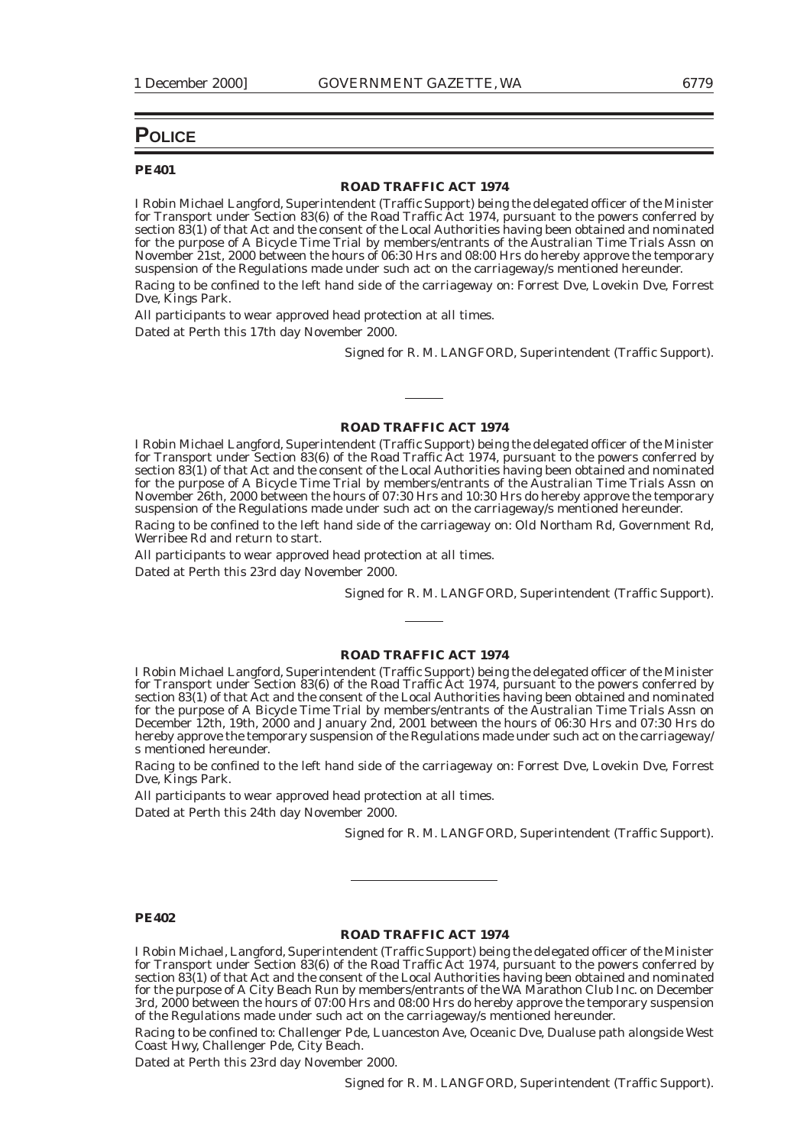## **POLICE**

#### **PE401**

#### **ROAD TRAFFIC ACT 1974**

I Robin Michael Langford, Superintendent (Traffic Support) being the delegated officer of the Minister for Transport under Section 83(6) of the Road Traffic Act 1974, pursuant to the powers conferred by section 83(1) of that Act and the consent of the Local Authorities having been obtained and nominated for the purpose of A Bicycle Time Trial by members/entrants of the Australian Time Trials Assn on November 21st, 2000 between the hours of 06:30 Hrs and 08:00 Hrs do hereby approve the temporary suspension of the Regulations made under such act on the carriageway/s mentioned hereunder.

Racing to be confined to the left hand side of the carriageway on: Forrest Dve, Lovekin Dve, Forrest Dve, Kings Park.

All participants to wear approved head protection at all times.

Dated at Perth this 17th day November 2000.

Signed for R. M. LANGFORD, Superintendent (Traffic Support).

#### **ROAD TRAFFIC ACT 1974**

I Robin Michael Langford, Superintendent (Traffic Support) being the delegated officer of the Minister for Transport under Section 83(6) of the Road Traffic Act 1974, pursuant to the powers conferred by section 83(1) of that Act and the consent of the Local Authorities having been obtained and nominated for the purpose of A Bicycle Time Trial by members/entrants of the Australian Time Trials Assn on November 26th, 2000 between the hours of 07:30 Hrs and 10:30 Hrs do hereby approve the temporary suspension of the Regulations made under such act on the carriageway/s mentioned hereunder.

Racing to be confined to the left hand side of the carriageway on: Old Northam Rd, Government Rd, Werribee Rd and return to start.

All participants to wear approved head protection at all times.

Dated at Perth this 23rd day November 2000.

Signed for R. M. LANGFORD, Superintendent (Traffic Support).

#### **ROAD TRAFFIC ACT 1974**

I Robin Michael Langford, Superintendent (Traffic Support) being the delegated officer of the Minister for Transport under Section 83(6) of the Road Traffic Act 1974, pursuant to the powers conferred by section 83(1) of that Act and the consent of the Local Authorities having been obtained and nominated for the purpose of A Bicycle Time Trial by members/entrants of the Australian Time Trials Assn on December 12th, 19th, 2000 and January 2nd, 2001 between the hours of 06:30 Hrs and 07:30 Hrs do hereby approve the temporary suspension of the Regulations made under such act on the carriageway/ s mentioned hereunder.

Racing to be confined to the left hand side of the carriageway on: Forrest Dve, Lovekin Dve, Forrest Dve, Kings Park.

All participants to wear approved head protection at all times.

Dated at Perth this 24th day November 2000.

Signed for R. M. LANGFORD, Superintendent (Traffic Support).

#### **PE402**

### **ROAD TRAFFIC ACT 1974**

I Robin Michael, Langford, Superintendent (Traffic Support) being the delegated officer of the Minister for Transport under Section 83(6) of the Road Traffic Act 1974, pursuant to the powers conferred by section 83(1) of that Act and the consent of the Local Authorities having been obtained and nominated for the purpose of A City Beach Run by members/entrants of the WA Marathon Club Inc. on December 3rd, 2000 between the hours of 07:00 Hrs and 08:00 Hrs do hereby approve the temporary suspension of the Regulations made under such act on the carriageway/s mentioned hereunder.

Racing to be confined to: Challenger Pde, Luanceston Ave, Oceanic Dve, Dualuse path alongside West Coast Hwy, Challenger Pde, City Beach.

Dated at Perth this 23rd day November 2000.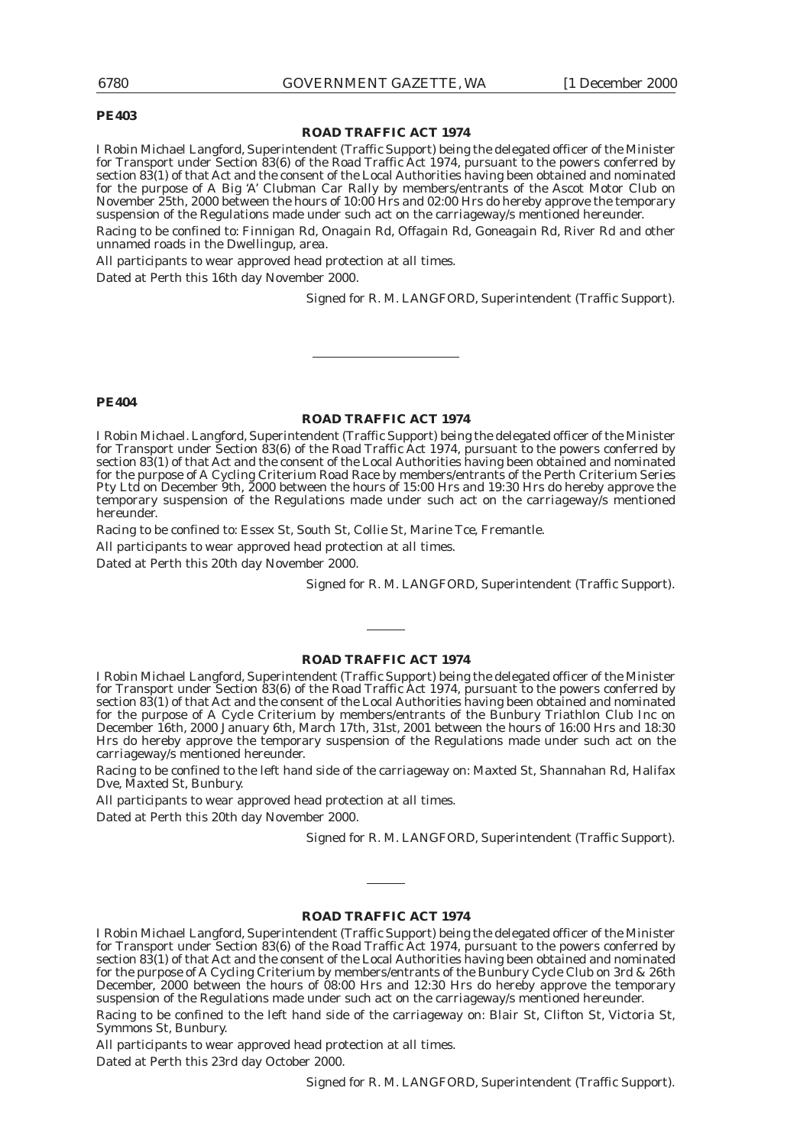#### **PE403**

#### **ROAD TRAFFIC ACT 1974**

I Robin Michael Langford, Superintendent (Traffic Support) being the delegated officer of the Minister for Transport under Section 83(6) of the Road Traffic Act 1974, pursuant to the powers conferred by section 83(1) of that Act and the consent of the Local Authorities having been obtained and nominated for the purpose of A Big 'A' Clubman Car Rally by members/entrants of the Ascot Motor Club on November 25th, 2000 between the hours of 10:00 Hrs and 02:00 Hrs do hereby approve the temporary suspension of the Regulations made under such act on the carriageway/s mentioned hereunder. Racing to be confined to: Finnigan Rd, Onagain Rd, Offagain Rd, Goneagain Rd, River Rd and other unnamed roads in the Dwellingup, area.

All participants to wear approved head protection at all times.

Dated at Perth this 16th day November 2000.

Signed for R. M. LANGFORD, Superintendent (Traffic Support).

#### **PE404**

#### **ROAD TRAFFIC ACT 1974**

I Robin Michael. Langford, Superintendent (Traffic Support) being the delegated officer of the Minister for Transport under Section 83(6) of the Road Traffic Act 1974, pursuant to the powers conferred by section 83(1) of that Act and the consent of the Local Authorities having been obtained and nominated for the purpose of A Cycling Criterium Road Race by members/entrants of the Perth Criterium Series Pty Ltd on December 9th, 2000 between the hours of 15:00 Hrs and 19:30 Hrs do hereby approve the temporary suspension of the Regulations made under such act on the carriageway/s mentioned hereunder.

Racing to be confined to: Essex St, South St, Collie St, Marine Tce, Fremantle.

All participants to wear approved head protection at all times.

Dated at Perth this 20th day November 2000.

Signed for R. M. LANGFORD, Superintendent (Traffic Support).

#### **ROAD TRAFFIC ACT 1974**

I Robin Michael Langford, Superintendent (Traffic Support) being the delegated officer of the Minister for Transport under Section 83(6) of the Road Traffic Act 1974, pursuant to the powers conferred by section 83(1) of that Act and the consent of the Local Authorities having been obtained and nominated for the purpose of A Cycle Criterium by members/entrants of the Bunbury Triathlon Club Inc on December 16th, 2000 January 6th, March 17th, 31st, 2001 between the hours of 16:00 Hrs and 18:30 Hrs do hereby approve the temporary suspension of the Regulations made under such act on the carriageway/s mentioned hereunder.

Racing to be confined to the left hand side of the carriageway on: Maxted St, Shannahan Rd, Halifax Dve, Maxted St, Bunbury.

All participants to wear approved head protection at all times.

Dated at Perth this 20th day November 2000.

Signed for R. M. LANGFORD, Superintendent (Traffic Support).

#### **ROAD TRAFFIC ACT 1974**

I Robin Michael Langford, Superintendent (Traffic Support) being the delegated officer of the Minister for Transport under Section 83(6) of the Road Traffic Act 1974, pursuant to the powers conferred by section 83(1) of that Act and the consent of the Local Authorities having been obtained and nominated for the purpose of A Cycling Criterium by members/entrants of the Bunbury Cycle Club on 3rd & 26th December, 2000 between the hours of 08:00 Hrs and 12:30 Hrs do hereby approve the temporary suspension of the Regulations made under such act on the carriageway/s mentioned hereunder.

Racing to be confined to the left hand side of the carriageway on: Blair St, Clifton St, Victoria St, Symmons St, Bunbury.

All participants to wear approved head protection at all times.

Dated at Perth this 23rd day October 2000.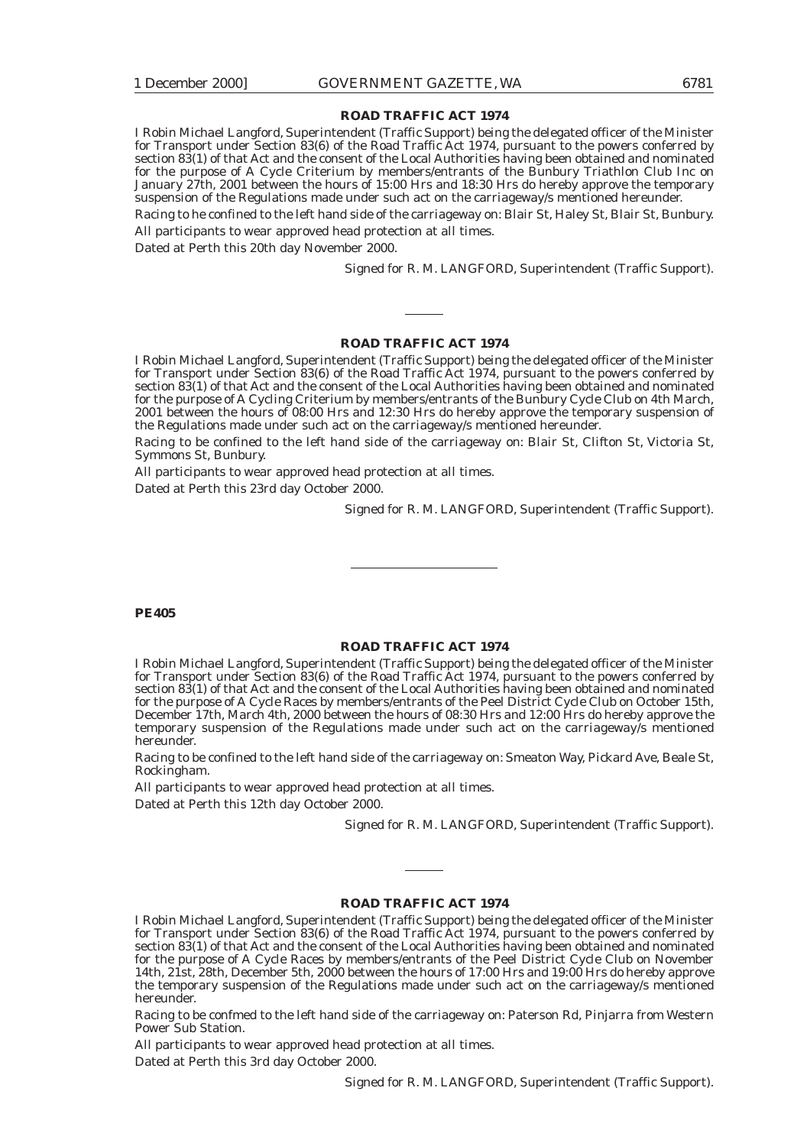I Robin Michael Langford, Superintendent (Traffic Support) being the delegated officer of the Minister for Transport under Section 83(6) of the Road Traffic Act 1974, pursuant to the powers conferred by section 83(1) of that Act and the consent of the Local Authorities having been obtained and nominated for the purpose of A Cycle Criterium by members/entrants of the Bunbury Triathlon Club Inc on January 27th, 2001 between the hours of 15:00 Hrs and 18:30 Hrs do hereby approve the temporary suspension of the Regulations made under such act on the carriageway/s mentioned hereunder.

Racing to he confined to the left hand side of the carriageway on: Blair St, Haley St, Blair St, Bunbury. All participants to wear approved head protection at all times.

Dated at Perth this 20th day November 2000.

Signed for R. M. LANGFORD, Superintendent (Traffic Support).

#### **ROAD TRAFFIC ACT 1974**

I Robin Michael Langford, Superintendent (Traffic Support) being the delegated officer of the Minister for Transport under Section 83(6) of the Road Traffic Act 1974, pursuant to the powers conferred by section 83(1) of that Act and the consent of the Local Authorities having been obtained and nominated for the purpose of A Cycling Criterium by members/entrants of the Bunbury Cycle Club on 4th March, 2001 between the hours of 08:00 Hrs and 12:30 Hrs do hereby approve the temporary suspension of the Regulations made under such act on the carriageway/s mentioned hereunder.

Racing to be confined to the left hand side of the carriageway on: Blair St, Clifton St, Victoria St, Symmons St, Bunbury.

All participants to wear approved head protection at all times. Dated at Perth this 23rd day October 2000.

Signed for R. M. LANGFORD, Superintendent (Traffic Support).

#### **PE405**

#### **ROAD TRAFFIC ACT 1974**

I Robin Michael Langford, Superintendent (Traffic Support) being the delegated officer of the Minister for Transport under Section 83(6) of the Road Traffic Act 1974, pursuant to the powers conferred by section 83(1) of that Act and the consent of the Local Authorities having been obtained and nominated for the purpose of A Cycle Races by members/entrants of the Peel District Cycle Club on October 15th, December 17th, March 4th, 2000 between the hours of 08:30 Hrs and 12:00 Hrs do hereby approve the temporary suspension of the Regulations made under such act on the carriageway/s mentioned hereunder.

Racing to be confined to the left hand side of the carriageway on: Smeaton Way, Pickard Ave, Beale St, Rockingham.

All participants to wear approved head protection at all times.

Dated at Perth this 12th day October 2000.

Signed for R. M. LANGFORD, Superintendent (Traffic Support).

#### **ROAD TRAFFIC ACT 1974**

I Robin Michael Langford, Superintendent (Traffic Support) being the delegated officer of the Minister for Transport under Section 83(6) of the Road Traffic Act 1974, pursuant to the powers conferred by section 83(1) of that Act and the consent of the Local Authorities having been obtained and nominated for the purpose of A Cycle Races by members/entrants of the Peel District Cycle Club on November 14th, 21st, 28th, December 5th, 2000 between the hours of 17:00 Hrs and 19:00 Hrs do hereby approve the temporary suspension of the Regulations made under such act on the carriageway/s mentioned hereunder.

Racing to be confmed to the left hand side of the carriageway on: Paterson Rd, Pinjarra from Western Power Sub Station.

All participants to wear approved head protection at all times.

Dated at Perth this 3rd day October 2000.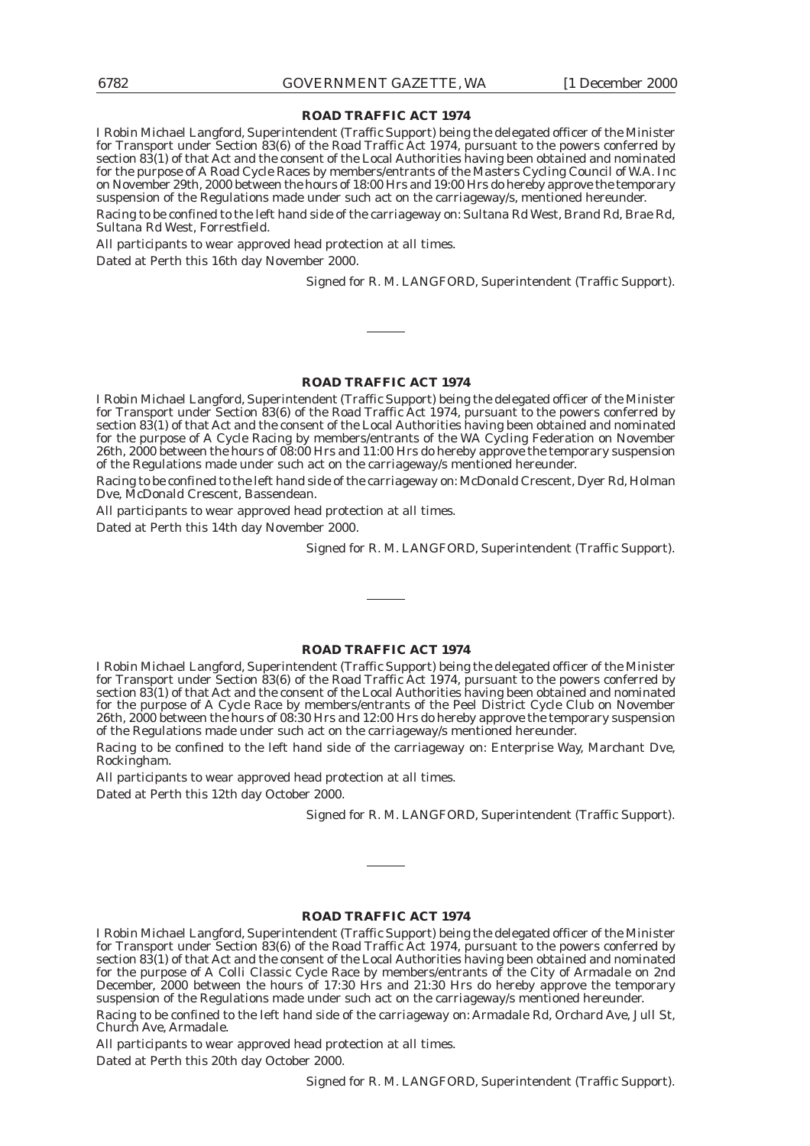I Robin Michael Langford, Superintendent (Traffic Support) being the delegated officer of the Minister for Transport under Section 83(6) of the Road Traffic Act 1974, pursuant to the powers conferred by section 83(1) of that Act and the consent of the Local Authorities having been obtained and nominated for the purpose of A Road Cycle Races by members/entrants of the Masters Cycling Council of W.A. Inc on November 29th, 2000 between the hours of 18:00 Hrs and 19:00 Hrs do hereby approve the temporary suspension of the Regulations made under such act on the carriageway/s, mentioned hereunder.

Racing to be confined to the left hand side of the carriageway on: Sultana Rd West, Brand Rd, Brae Rd, Sultana Rd West, Forrestfield.

All participants to wear approved head protection at all times.

Dated at Perth this 16th day November 2000.

Signed for R. M. LANGFORD, Superintendent (Traffic Support).

### **ROAD TRAFFIC ACT 1974**

I Robin Michael Langford, Superintendent (Traffic Support) being the delegated officer of the Minister for Transport under Section 83(6) of the Road Traffic Act 1974, pursuant to the powers conferred by section 83(1) of that Act and the consent of the Local Authorities having been obtained and nominated for the purpose of A Cycle Racing by members/entrants of the WA Cycling Federation on November 26th, 2000 between the hours of 08:00 Hrs and 11:00 Hrs do hereby approve the temporary suspension of the Regulations made under such act on the carriageway/s mentioned hereunder.

Racing to be confined to the left hand side of the carriageway on: McDonald Crescent, Dyer Rd, Holman Dve, McDonald Crescent, Bassendean.

All participants to wear approved head protection at all times.

Dated at Perth this 14th day November 2000.

Signed for R. M. LANGFORD, Superintendent (Traffic Support).

#### **ROAD TRAFFIC ACT 1974**

I Robin Michael Langford, Superintendent (Traffic Support) being the delegated officer of the Minister for Transport under Section 83(6) of the Road Traffic Act 1974, pursuant to the powers conferred by section 83(1) of that Act and the consent of the Local Authorities having been obtained and nominated for the purpose of A Cycle Race by members/entrants of the Peel District Cycle Club on November 26th, 2000 between the hours of 08:30 Hrs and 12:00 Hrs do hereby approve the temporary suspension of the Regulations made under such act on the carriageway/s mentioned hereunder.

Racing to be confined to the left hand side of the carriageway on: Enterprise Way, Marchant Dve, Rockingham.

All participants to wear approved head protection at all times.

Dated at Perth this 12th day October 2000.

Signed for R. M. LANGFORD, Superintendent (Traffic Support).

#### **ROAD TRAFFIC ACT 1974**

I Robin Michael Langford, Superintendent (Traffic Support) being the delegated officer of the Minister for Transport under Section 83(6) of the Road Traffic Act 1974, pursuant to the powers conferred by section 83(1) of that Act and the consent of the Local Authorities having been obtained and nominated for the purpose of A Colli Classic Cycle Race by members/entrants of the City of Armadale on 2nd December, 2000 between the hours of 17:30 Hrs and 21:30 Hrs do hereby approve the temporary suspension of the Regulations made under such act on the carriageway/s mentioned hereunder.

Racing to be confined to the left hand side of the carriageway on: Armadale Rd, Orchard Ave, Jull St, Church Ave, Armadale.

All participants to wear approved head protection at all times. Dated at Perth this 20th day October 2000.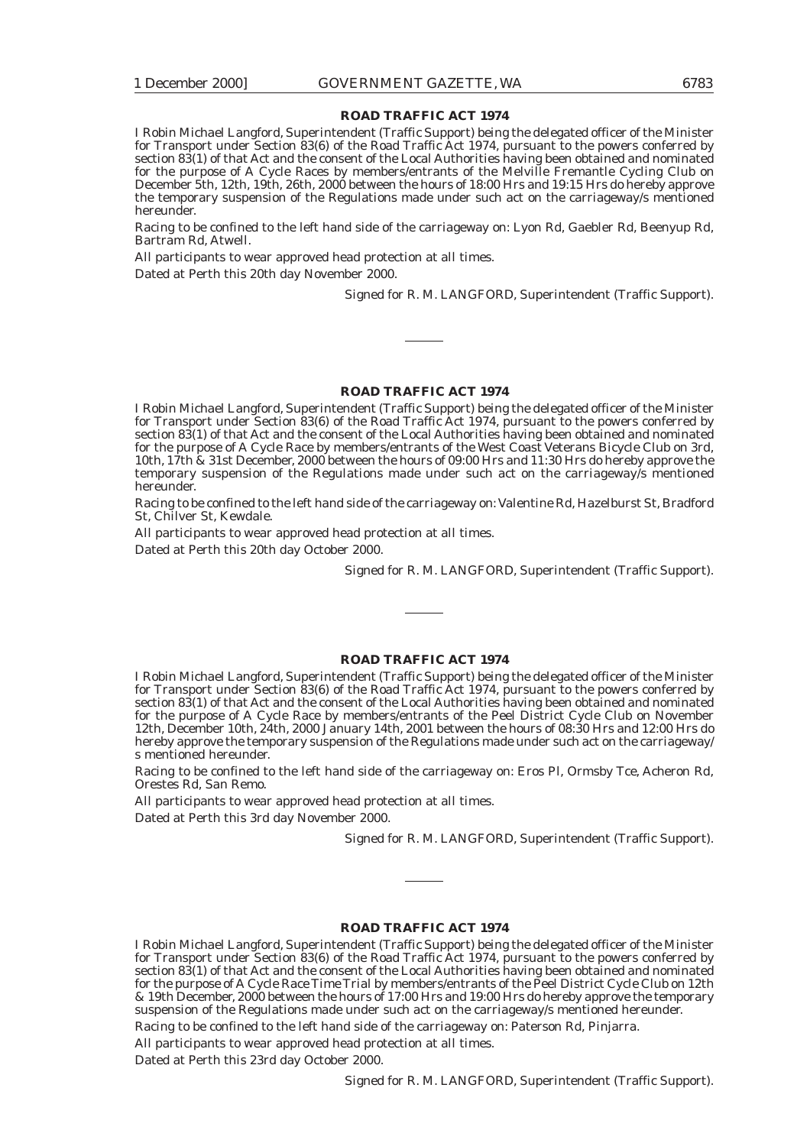I Robin Michael Langford, Superintendent (Traffic Support) being the delegated officer of the Minister for Transport under Section 83(6) of the Road Traffic Act 1974, pursuant to the powers conferred by section 83(1) of that Act and the consent of the Local Authorities having been obtained and nominated for the purpose of A Cycle Races by members/entrants of the Melville Fremantle Cycling Club on December 5th, 12th, 19th, 26th, 2000 between the hours of 18:00 Hrs and 19:15 Hrs do hereby approve the temporary suspension of the Regulations made under such act on the carriageway/s mentioned hereunder.

Racing to be confined to the left hand side of the carriageway on: Lyon Rd, Gaebler Rd, Beenyup Rd, Bartram Rd, Atwell.

All participants to wear approved head protection at all times.

Dated at Perth this 20th day November 2000.

Signed for R. M. LANGFORD, Superintendent (Traffic Support).

#### **ROAD TRAFFIC ACT 1974**

I Robin Michael Langford, Superintendent (Traffic Support) being the delegated officer of the Minister for Transport under Section 83(6) of the Road Traffic Act 1974, pursuant to the powers conferred by section 83(1) of that Act and the consent of the Local Authorities having been obtained and nominated for the purpose of A Cycle Race by members/entrants of the West Coast Veterans Bicycle Club on 3rd, 10th, 17th & 31st December, 2000 between the hours of 09:00 Hrs and 11:30 Hrs do hereby approve the temporary suspension of the Regulations made under such act on the carriageway/s mentioned hereunder.

Racing to be confined to the left hand side of the carriageway on: Valentine Rd, Hazelburst St, Bradford St, Chilver St, Kewdale.

All participants to wear approved head protection at all times. Dated at Perth this 20th day October 2000.

Signed for R. M. LANGFORD, Superintendent (Traffic Support).

#### **ROAD TRAFFIC ACT 1974**

I Robin Michael Langford, Superintendent (Traffic Support) being the delegated officer of the Minister for Transport under Section 83(6) of the Road Traffic Act 1974, pursuant to the powers conferred by section 83(1) of that Act and the consent of the Local Authorities having been obtained and nominated for the purpose of A Cycle Race by members/entrants of the Peel District Cycle Club on November 12th, December 10th, 24th, 2000 January 14th, 2001 between the hours of 08:30 Hrs and 12:00 Hrs do hereby approve the temporary suspension of the Regulations made under such act on the carriageway/ s mentioned hereunder.

Racing to be confined to the left hand side of the carriageway on: Eros Pl, Ormsby Tce, Acheron Rd, Orestes Rd, San Remo.

All participants to wear approved head protection at all times.

Dated at Perth this 3rd day November 2000.

Signed for R. M. LANGFORD, Superintendent (Traffic Support).

#### **ROAD TRAFFIC ACT 1974**

I Robin Michael Langford, Superintendent (Traffic Support) being the delegated officer of the Minister for Transport under Section 83(6) of the Road Traffic Act 1974, pursuant to the powers conferred by section 83(1) of that Act and the consent of the Local Authorities having been obtained and nominated for the purpose of A Cycle Race Time Trial by members/entrants of the Peel District Cycle Club on 12th & 19th December, 2000 between the hours of 17:00 Hrs and 19:00 Hrs do hereby approve the temporary suspension of the Regulations made under such act on the carriageway/s mentioned hereunder.

Racing to be confined to the left hand side of the carriageway on: Paterson Rd, Pinjarra.

All participants to wear approved head protection at all times.

Dated at Perth this 23rd day October 2000.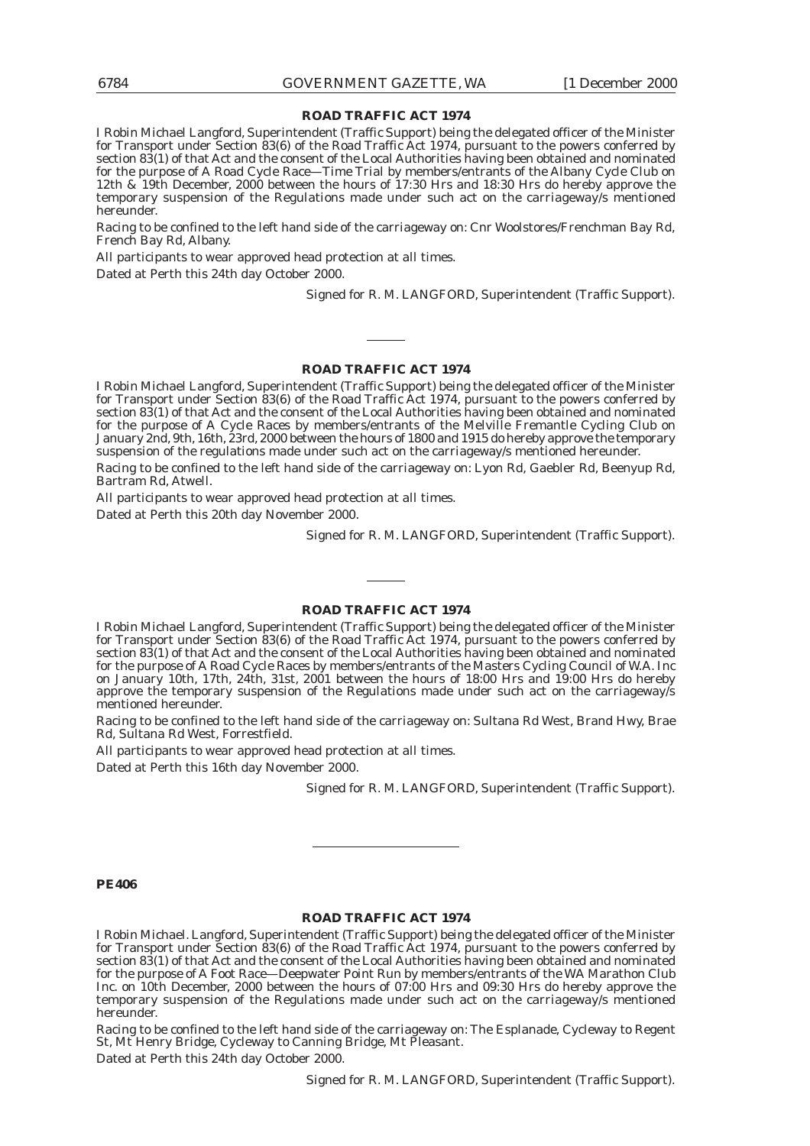I Robin Michael Langford, Superintendent (Traffic Support) being the delegated officer of the Minister for Transport under Section 83(6) of the Road Traffic Act 1974, pursuant to the powers conferred by section 83(1) of that Act and the consent of the Local Authorities having been obtained and nominated for the purpose of A Road Cycle Race—Time Trial by members/entrants of the Albany Cycle Club on 12th & 19th December, 2000 between the hours of 17:30 Hrs and 18:30 Hrs do hereby approve the temporary suspension of the Regulations made under such act on the carriageway/s mentioned hereunder.

Racing to be confined to the left hand side of the carriageway on: Cnr Woolstores/Frenchman Bay Rd, French Bay Rd, Albany.

All participants to wear approved head protection at all times.

Dated at Perth this 24th day October 2000.

Signed for R. M. LANGFORD, Superintendent (Traffic Support).

#### **ROAD TRAFFIC ACT 1974**

I Robin Michael Langford, Superintendent (Traffic Support) being the delegated officer of the Minister for Transport under Section 83(6) of the Road Traffic Act 1974, pursuant to the powers conferred by section 83(1) of that Act and the consent of the Local Authorities having been obtained and nominated for the purpose of A Cycle Races by members/entrants of the Melville Fremantle Cycling Club on January 2nd, 9th, 16th, 23rd, 2000 between the hours of 1800 and 1915 do hereby approve the temporary suspension of the regulations made under such act on the carriageway/s mentioned hereunder.

Racing to be confined to the left hand side of the carriageway on: Lyon Rd, Gaebler Rd, Beenyup Rd, Bartram Rd, Atwell.

All participants to wear approved head protection at all times. Dated at Perth this 20th day November 2000.

Signed for R. M. LANGFORD, Superintendent (Traffic Support).

#### **ROAD TRAFFIC ACT 1974**

I Robin Michael Langford, Superintendent (Traffic Support) being the delegated officer of the Minister for Transport under Section 83(6) of the Road Traffic Act 1974, pursuant to the powers conferred by section 83(1) of that Act and the consent of the Local Authorities having been obtained and nominated for the purpose of A Road Cycle Races by members/entrants of the Masters Cycling Council of W.A. Inc on January 10th, 17th, 24th, 31st, 2001 between the hours of 18:00 Hrs and 19:00 Hrs do hereby approve the temporary suspension of the Regulations made under such act on the carriageway/s mentioned hereunder.

Racing to be confined to the left hand side of the carriageway on: Sultana Rd West, Brand Hwy, Brae Rd, Sultana Rd West, Forrestfield.

All participants to wear approved head protection at all times.

Dated at Perth this 16th day November 2000.

Signed for R. M. LANGFORD, Superintendent (Traffic Support).

#### **PE406**

#### **ROAD TRAFFIC ACT 1974**

I Robin Michael. Langford, Superintendent (Traffic Support) being the delegated officer of the Minister for Transport under Section 83(6) of the Road Traffic Act 1974, pursuant to the powers conferred by section 83(1) of that Act and the consent of the Local Authorities having been obtained and nominated for the purpose of A Foot Race—Deepwater Point Run by members/entrants of the WA Marathon Club Inc. on 10th December, 2000 between the hours of 07:00 Hrs and 09:30 Hrs do hereby approve the temporary suspension of the Regulations made under such act on the carriageway/s mentioned hereunder.

Racing to be confined to the left hand side of the carriageway on: The Esplanade, Cycleway to Regent St, Mt Henry Bridge, Cycleway to Canning Bridge, Mt Pleasant.

Dated at Perth this 24th day October 2000.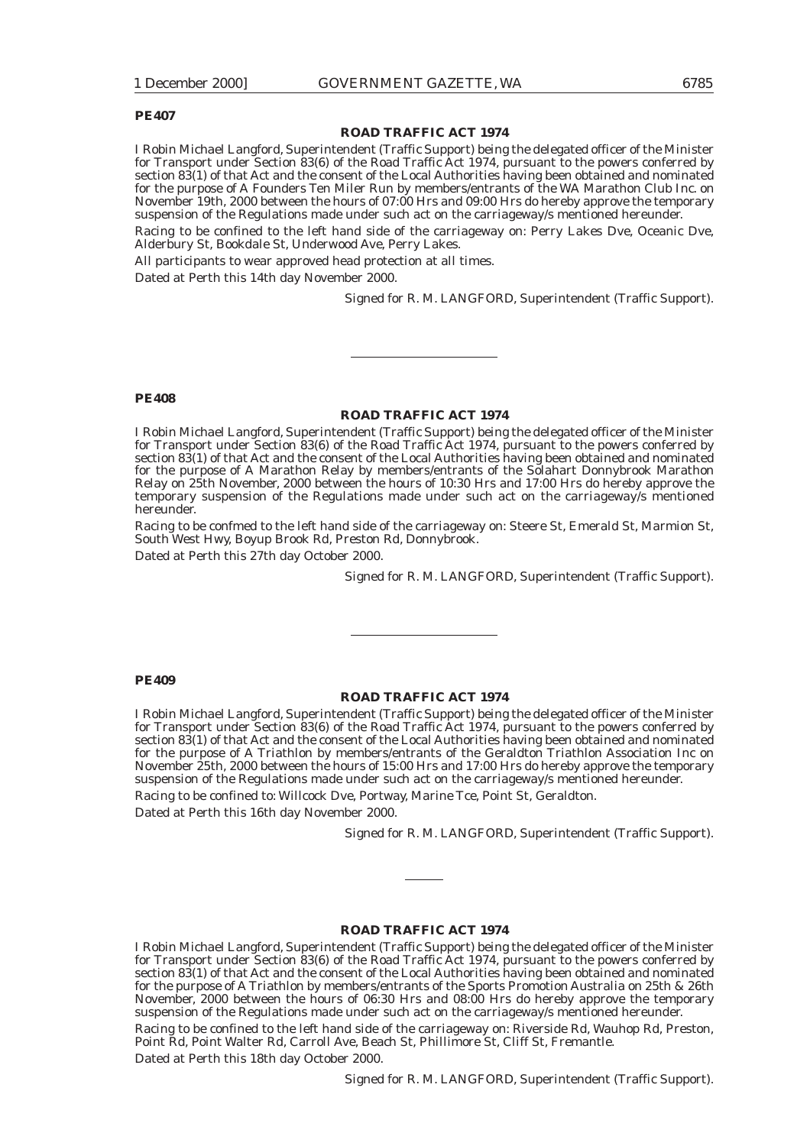#### **PE407**

#### **ROAD TRAFFIC ACT 1974**

I Robin Michael Langford, Superintendent (Traffic Support) being the delegated officer of the Minister for Transport under Section 83(6) of the Road Traffic Act 1974, pursuant to the powers conferred by section 83(1) of that Act and the consent of the Local Authorities having been obtained and nominated for the purpose of A Founders Ten Miler Run by members/entrants of the WA Marathon Club Inc. on November 19th, 2000 between the hours of 07:00 Hrs and 09:00 Hrs do hereby approve the temporary suspension of the Regulations made under such act on the carriageway/s mentioned hereunder.

Racing to be confined to the left hand side of the carriageway on: Perry Lakes Dve, Oceanic Dve, Alderbury St, Bookdale St, Underwood Ave, Perry Lakes.

All participants to wear approved head protection at all times.

Dated at Perth this 14th day November 2000.

Signed for R. M. LANGFORD, Superintendent (Traffic Support).

#### **PE408**

#### **ROAD TRAFFIC ACT 1974**

I Robin Michael Langford, Superintendent (Traffic Support) being the delegated officer of the Minister for Transport under Section 83(6) of the Road Traffic Act 1974, pursuant to the powers conferred by section 83(1) of that Act and the consent of the Local Authorities having been obtained and nominated for the purpose of A Marathon Relay by members/entrants of the Solahart Donnybrook Marathon Relay on 25th November, 2000 between the hours of 10:30 Hrs and 17:00 Hrs do hereby approve the temporary suspension of the Regulations made under such act on the carriageway/s mentioned hereunder.

Racing to be confmed to the left hand side of the carriageway on: Steere St, Emerald St, Marmion St, South West Hwy, Boyup Brook Rd, Preston Rd, Donnybrook.

Dated at Perth this 27th day October 2000.

Signed for R. M. LANGFORD, Superintendent (Traffic Support).

#### **PE409**

#### **ROAD TRAFFIC ACT 1974**

I Robin Michael Langford, Superintendent (Traffic Support) being the delegated officer of the Minister for Transport under Section 83(6) of the Road Traffic Act 1974, pursuant to the powers conferred by section 83(1) of that Act and the consent of the Local Authorities having been obtained and nominated for the purpose of A Triathlon by members/entrants of the Geraldton Triathlon Association Inc on November 25th, 2000 between the hours of 15:00 Hrs and 17:00 Hrs do hereby approve the temporary suspension of the Regulations made under such act on the carriageway/s mentioned hereunder.

Racing to be confined to: Willcock Dve, Portway, Marine Tce, Point St, Geraldton. Dated at Perth this 16th day November 2000.

Signed for R. M. LANGFORD, Superintendent (Traffic Support).

#### **ROAD TRAFFIC ACT 1974**

I Robin Michael Langford, Superintendent (Traffic Support) being the delegated officer of the Minister for Transport under Section 83(6) of the Road Traffic Act 1974, pursuant to the powers conferred by section 83(1) of that Act and the consent of the Local Authorities having been obtained and nominated for the purpose of A Triathlon by members/entrants of the Sports Promotion Australia on 25th & 26th November, 2000 between the hours of 06:30 Hrs and 08:00 Hrs do hereby approve the temporary suspension of the Regulations made under such act on the carriageway/s mentioned hereunder.

Racing to be confined to the left hand side of the carriageway on: Riverside Rd, Wauhop Rd, Preston, Point Rd, Point Walter Rd, Carroll Ave, Beach St, Phillimore St, Cliff St, Fremantle.

Dated at Perth this 18th day October 2000.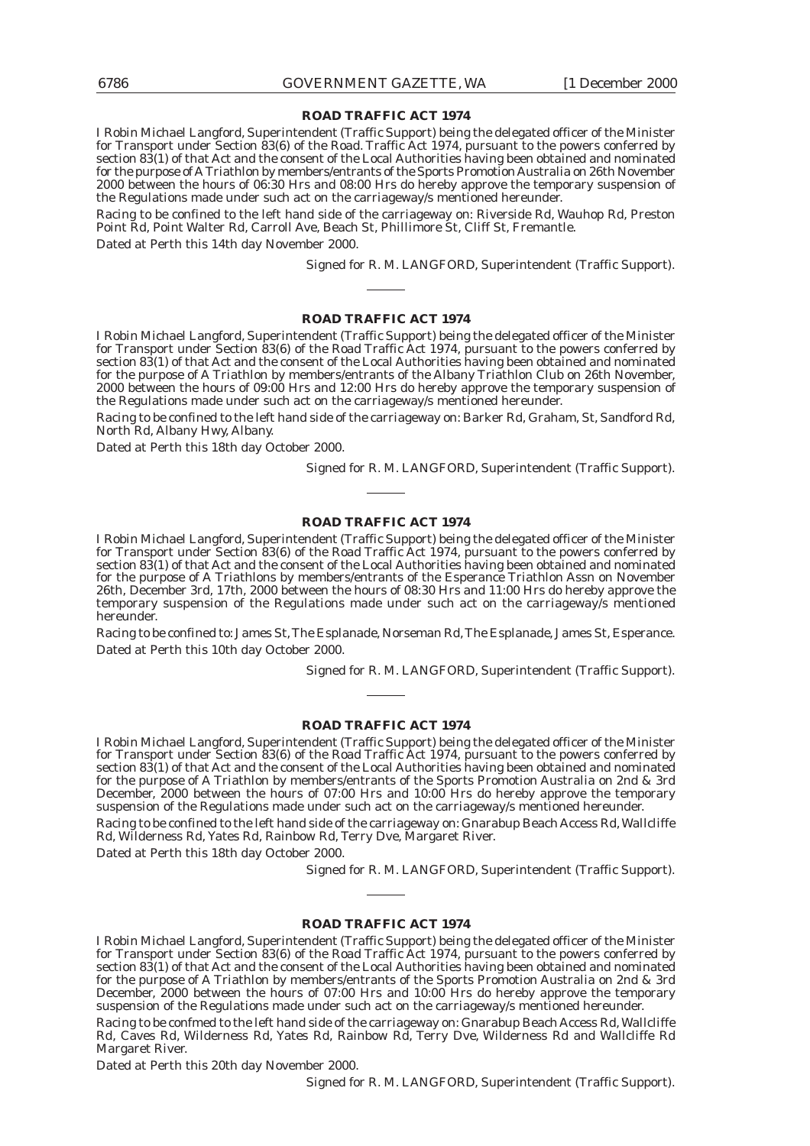I Robin Michael Langford, Superintendent (Traffic Support) being the delegated officer of the Minister for Transport under Section 83(6) of the Road. Traffic Act 1974, pursuant to the powers conferred by section 83(1) of that Act and the consent of the Local Authorities having been obtained and nominated for the purpose of A Triathlon by members/entrants of the Sports Promotion Australia on 26th November 2000 between the hours of 06:30 Hrs and 08:00 Hrs do hereby approve the temporary suspension of the Regulations made under such act on the carriageway/s mentioned hereunder.

Racing to be confined to the left hand side of the carriageway on: Riverside Rd, Wauhop Rd, Preston Point Rd, Point Walter Rd, Carroll Ave, Beach St, Phillimore St, Cliff St, Fremantle.

Dated at Perth this 14th day November 2000.

Signed for R. M. LANGFORD, Superintendent (Traffic Support).

#### **ROAD TRAFFIC ACT 1974**

I Robin Michael Langford, Superintendent (Traffic Support) being the delegated officer of the Minister for Transport under Section 83(6) of the Road Traffic Act 1974, pursuant to the powers conferred by section 83(1) of that Act and the consent of the Local Authorities having been obtained and nominated for the purpose of A Triathlon by members/entrants of the Albany Triathlon Club on 26th November, 2000 between the hours of 09:00 Hrs and 12:00 Hrs do hereby approve the temporary suspension of the Regulations made under such act on the carriageway/s mentioned hereunder.

Racing to be confined to the left hand side of the carriageway on: Barker Rd, Graham, St, Sandford Rd, North Rd, Albany Hwy, Albany.

Dated at Perth this 18th day October 2000.

Signed for R. M. LANGFORD, Superintendent (Traffic Support).

#### **ROAD TRAFFIC ACT 1974**

I Robin Michael Langford, Superintendent (Traffic Support) being the delegated officer of the Minister for Transport under Section 83(6) of the Road Traffic Act 1974, pursuant to the powers conferred by section 83(1) of that Act and the consent of the Local Authorities having been obtained and nominated for the purpose of A Triathlons by members/entrants of the Esperance Triathlon Assn on November 26th, December 3rd, 17th, 2000 between the hours of 08:30 Hrs and 11:00 Hrs do hereby approve the temporary suspension of the Regulations made under such act on the carriageway/s mentioned hereunder.

Racing to be confined to: James St, The Esplanade, Norseman Rd, The Esplanade, James St, Esperance. Dated at Perth this 10th day October 2000.

Signed for R. M. LANGFORD, Superintendent (Traffic Support).

#### **ROAD TRAFFIC ACT 1974**

I Robin Michael Langford, Superintendent (Traffic Support) being the delegated officer of the Minister for Transport under Section 83(6) of the Road Traffic Act 1974, pursuant to the powers conferred by section 83(1) of that Act and the consent of the Local Authorities having been obtained and nominated for the purpose of A Triathlon by members/entrants of the Sports Promotion Australia on 2nd & 3rd December, 2000 between the hours of 07:00 Hrs and 10:00 Hrs do hereby approve the temporary suspension of the Regulations made under such act on the carriageway/s mentioned hereunder.

Racing to be confined to the left hand side of the carriageway on: Gnarabup Beach Access Rd, Wallcliffe Rd, Wilderness Rd, Yates Rd, Rainbow Rd, Terry Dve, Margaret River.

Dated at Perth this 18th day October 2000.

Signed for R. M. LANGFORD, Superintendent (Traffic Support).

#### **ROAD TRAFFIC ACT 1974**

I Robin Michael Langford, Superintendent (Traffic Support) being the delegated officer of the Minister for Transport under Section 83(6) of the Road Traffic Act 1974, pursuant to the powers conferred by section 83(1) of that Act and the consent of the Local Authorities having been obtained and nominated for the purpose of A Triathlon by members/entrants of the Sports Promotion Australia on 2nd & 3rd December, 2000 between the hours of 07:00 Hrs and 10:00 Hrs do hereby approve the temporary suspension of the Regulations made under such act on the carriageway/s mentioned hereunder.

Racing to be confmed to the left hand side of the carriageway on: Gnarabup Beach Access Rd, Wallcliffe Rd, Caves Rd, Wilderness Rd, Yates Rd, Rainbow Rd, Terry Dve, Wilderness Rd and Wallcliffe Rd Margaret River.

Dated at Perth this 20th day November 2000.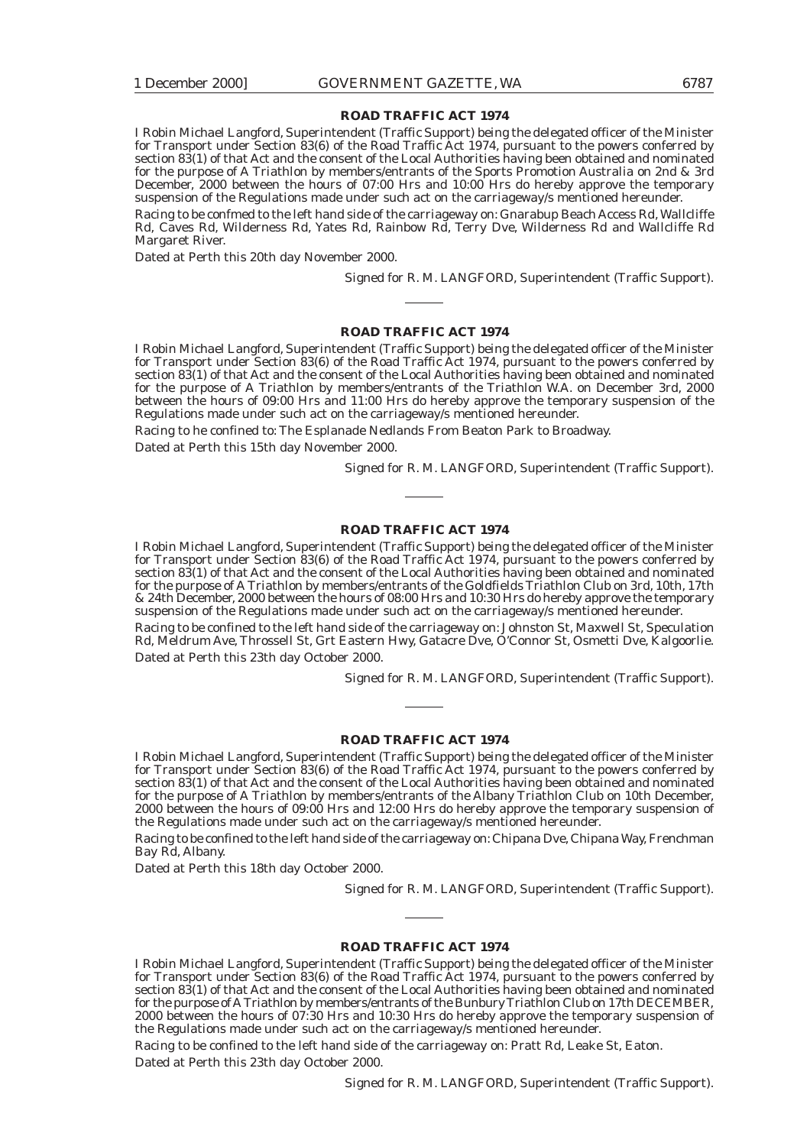I Robin Michael Langford, Superintendent (Traffic Support) being the delegated officer of the Minister for Transport under Section 83(6) of the Road Traffic Act 1974, pursuant to the powers conferred by section 83(1) of that Act and the consent of the Local Authorities having been obtained and nominated for the purpose of A Triathlon by members/entrants of the Sports Promotion Australia on 2nd & 3rd December, 2000 between the hours of 07:00 Hrs and 10:00 Hrs do hereby approve the temporary suspension of the Regulations made under such act on the carriageway/s mentioned hereunder.

Racing to be confmed to the left hand side of the carriageway on: Gnarabup Beach Access Rd, Wallcliffe Rd, Caves Rd, Wilderness Rd, Yates Rd, Rainbow Rd, Terry Dve, Wilderness Rd and Wallcliffe Rd Margaret River.

Dated at Perth this 20th day November 2000.

Signed for R. M. LANGFORD, Superintendent (Traffic Support).

#### **ROAD TRAFFIC ACT 1974**

I Robin Michael Langford, Superintendent (Traffic Support) being the delegated officer of the Minister for Transport under Section 83(6) of the Road Traffic Act 1974, pursuant to the powers conferred by section 83(1) of that Act and the consent of the Local Authorities having been obtained and nominated for the purpose of A Triathlon by members/entrants of the Triathlon W.A. on December 3rd, 2000 between the hours of 09:00 Hrs and 11:00 Hrs do hereby approve the temporary suspension of the Regulations made under such act on the carriageway/s mentioned hereunder.

Racing to he confined to: The Esplanade Nedlands From Beaton Park to Broadway.

Dated at Perth this 15th day November 2000.

Signed for R. M. LANGFORD, Superintendent (Traffic Support).

#### **ROAD TRAFFIC ACT 1974**

I Robin Michael Langford, Superintendent (Traffic Support) being the delegated officer of the Minister for Transport under Section 83(6) of the Road Traffic Act 1974, pursuant to the powers conferred by section 83(1) of that Act and the consent of the Local Authorities having been obtained and nominated for the purpose of A Triathlon by members/entrants of the Goldfields Triathlon Club on 3rd, 10th, 17th & 24th December, 2000 between the hours of 08:00 Hrs and 10:30 Hrs do hereby approve the temporary suspension of the Regulations made under such act on the carriageway/s mentioned hereunder.

Racing to be confined to the left hand side of the carriageway on: Johnston St, Maxwell St, Speculation Rd, Meldrum Ave, Throssell St, Grt Eastern Hwy, Gatacre Dve, O'Connor St, Osmetti Dve, Kalgoorlie. Dated at Perth this 23th day October 2000.

Signed for R. M. LANGFORD, Superintendent (Traffic Support).

#### **ROAD TRAFFIC ACT 1974**

I Robin Michael Langford, Superintendent (Traffic Support) being the delegated officer of the Minister for Transport under Section 83(6) of the Road Traffic Act 1974, pursuant to the powers conferred by section 83(1) of that Act and the consent of the Local Authorities having been obtained and nominated for the purpose of A Triathlon by members/entrants of the Albany Triathlon Club on 10th December, 2000 between the hours of 09:00 Hrs and 12:00 Hrs do hereby approve the temporary suspension of the Regulations made under such act on the carriageway/s mentioned hereunder.

Racing to be confined to the left hand side of the carriageway on: Chipana Dve, Chipana Way, Frenchman Bay Rd, Albany.

Dated at Perth this 18th day October 2000.

Signed for R. M. LANGFORD, Superintendent (Traffic Support).

#### **ROAD TRAFFIC ACT 1974**

I Robin Michael Langford, Superintendent (Traffic Support) being the delegated officer of the Minister for Transport under Section 83(6) of the Road Traffic Act 1974, pursuant to the powers conferred by section 83(1) of that Act and the consent of the Local Authorities having been obtained and nominated for the purpose of A Triathlon by members/entrants of the Bunbury Triathlon Club on 17th DECEMBER, 2000 between the hours of 07:30 Hrs and 10:30 Hrs do hereby approve the temporary suspension of the Regulations made under such act on the carriageway/s mentioned hereunder.

Racing to be confined to the left hand side of the carriageway on: Pratt Rd, Leake St, Eaton. Dated at Perth this 23th day October 2000.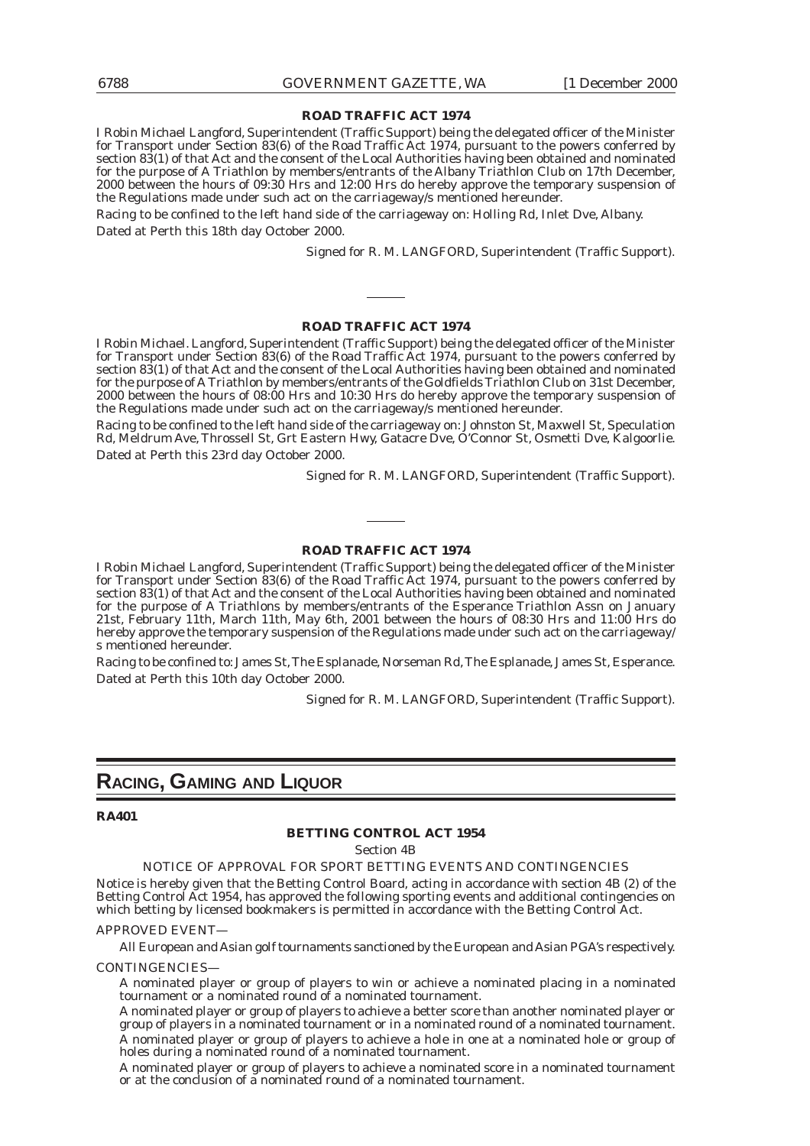I Robin Michael Langford, Superintendent (Traffic Support) being the delegated officer of the Minister for Transport under Section 83(6) of the Road Traffic Act 1974, pursuant to the powers conferred by section 83(1) of that Act and the consent of the Local Authorities having been obtained and nominated for the purpose of A Triathlon by members/entrants of the Albany Triathlon Club on 17th December, 2000 between the hours of 09:30 Hrs and 12:00 Hrs do hereby approve the temporary suspension of the Regulations made under such act on the carriageway/s mentioned hereunder.

Racing to be confined to the left hand side of the carriageway on: Holling Rd, Inlet Dve, Albany. Dated at Perth this 18th day October 2000.

Signed for R. M. LANGFORD, Superintendent (Traffic Support).

#### **ROAD TRAFFIC ACT 1974**

I Robin Michael. Langford, Superintendent (Traffic Support) being the delegated officer of the Minister for Transport under Section 83(6) of the Road Traffic Act 1974, pursuant to the powers conferred by section 83(1) of that Act and the consent of the Local Authorities having been obtained and nominated for the purpose of A Triathlon by members/entrants of the Goldfields Triathlon Club on 31st December, 2000 between the hours of 08:00 Hrs and 10:30 Hrs do hereby approve the temporary suspension of the Regulations made under such act on the carriageway/s mentioned hereunder.

Racing to be confined to the left hand side of the carriageway on: Johnston St, Maxwell St, Speculation Rd, Meldrum Ave, Throssell St, Grt Eastern Hwy, Gatacre Dve, O'Connor St, Osmetti Dve, Kalgoorlie. Dated at Perth this 23rd day October 2000.

Signed for R. M. LANGFORD, Superintendent (Traffic Support).

#### **ROAD TRAFFIC ACT 1974**

I Robin Michael Langford, Superintendent (Traffic Support) being the delegated officer of the Minister for Transport under Section 83(6) of the Road Traffic Act 1974, pursuant to the powers conferred by section 83(1) of that Act and the consent of the Local Authorities having been obtained and nominated for the purpose of A Triathlons by members/entrants of the Esperance Triathlon Assn on January 21st, February 11th, March 11th, May 6th, 2001 between the hours of 08:30 Hrs and 11:00 Hrs do hereby approve the temporary suspension of the Regulations made under such act on the carriageway/ s mentioned hereunder.

Racing to be confined to: James St, The Esplanade, Norseman Rd, The Esplanade, James St, Esperance. Dated at Perth this 10th day October 2000.

Signed for R. M. LANGFORD, Superintendent (Traffic Support).

# **RACING, GAMING AND LIQUOR**

#### **RA401**

#### **BETTING CONTROL ACT 1954**

Section 4B

NOTICE OF APPROVAL FOR SPORT BETTING EVENTS AND CONTINGENCIES

Notice is hereby given that the Betting Control Board, acting in accordance with section 4B (2) of the Betting Control Act 1954, has approved the following sporting events and additional contingencies on which betting by licensed bookmakers is permitted in accordance with the Betting Control Act.

#### APPROVED EVENT—

All European and Asian golf tournaments sanctioned by the European and Asian PGA's respectively.

CONTINGENCIES—

A nominated player or group of players to win or achieve a nominated placing in a nominated tournament or a nominated round of a nominated tournament.

A nominated player or group of players to achieve a better score than another nominated player or group of players in a nominated tournament or in a nominated round of a nominated tournament. A nominated player or group of players to achieve a hole in one at a nominated hole or group of holes during a nominated round of a nominated tournament.

A nominated player or group of players to achieve a nominated score in a nominated tournament or at the conclusion of a nominated round of a nominated tournament.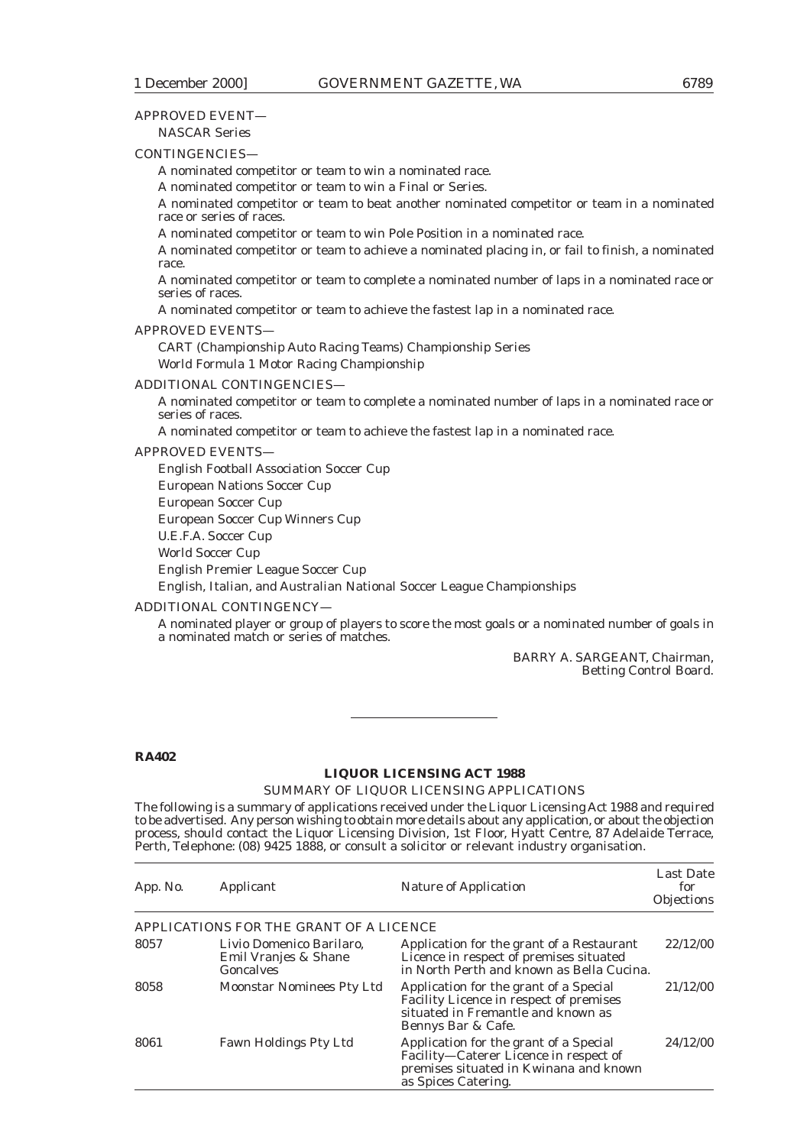### APPROVED EVENT—

NASCAR Series

#### CONTINGENCIES—

A nominated competitor or team to win a nominated race.

A nominated competitor or team to win a Final or Series.

A nominated competitor or team to beat another nominated competitor or team in a nominated race or series of races.

A nominated competitor or team to win Pole Position in a nominated race.

A nominated competitor or team to achieve a nominated placing in, or fail to finish, a nominated race.

A nominated competitor or team to complete a nominated number of laps in a nominated race or series of races.

A nominated competitor or team to achieve the fastest lap in a nominated race.

#### APPROVED EVENTS—

CART (Championship Auto Racing Teams) Championship Series World Formula 1 Motor Racing Championship

#### ADDITIONAL CONTINGENCIES—

A nominated competitor or team to complete a nominated number of laps in a nominated race or series of races.

A nominated competitor or team to achieve the fastest lap in a nominated race.

#### APPROVED EVENTS—

English Football Association Soccer Cup

European Nations Soccer Cup

European Soccer Cup

European Soccer Cup Winners Cup

U.E.F.A. Soccer Cup

World Soccer Cup

English Premier League Soccer Cup

English, Italian, and Australian National Soccer League Championships

#### ADDITIONAL CONTINGENCY—

A nominated player or group of players to score the most goals or a nominated number of goals in a nominated match or series of matches.

> BARRY A. SARGEANT, Chairman, Betting Control Board.

#### **RA402**

#### **LIQUOR LICENSING ACT 1988**

#### SUMMARY OF LIQUOR LICENSING APPLICATIONS

The following is a summary of applications received under the Liquor Licensing Act 1988 and required to be advertised. Any person wishing to obtain more details about any application, or about the objection process, should contact the Liquor Licensing Division, 1st Floor, Hyatt Centre, 87 Adelaide Terrace, Perth, Telephone: (08) 9425 1888, or consult a solicitor or relevant industry organisation.

| App. No. | Applicant                                                            | Nature of Application                                                                                                                             | <b>Last Date</b><br>for<br><b>Objections</b> |
|----------|----------------------------------------------------------------------|---------------------------------------------------------------------------------------------------------------------------------------------------|----------------------------------------------|
|          | APPLICATIONS FOR THE GRANT OF A LICENCE                              |                                                                                                                                                   |                                              |
| 8057     | Livio Domenico Barilaro,<br>Emil Vranjes & Shane<br><b>Goncalves</b> | Application for the grant of a Restaurant<br>Licence in respect of premises situated<br>in North Perth and known as Bella Cucina.                 | 22/12/00                                     |
| 8058     | <b>Moonstar Nominees Pty Ltd</b>                                     | Application for the grant of a Special<br>Facility Licence in respect of premises<br>situated in Fremantle and known as<br>Bennys Bar & Cafe.     | 21/12/00                                     |
| 8061     | <b>Fawn Holdings Pty Ltd</b>                                         | Application for the grant of a Special<br>Facility-Caterer Licence in respect of<br>premises situated in Kwinana and known<br>as Spices Catering. | 24/12/00                                     |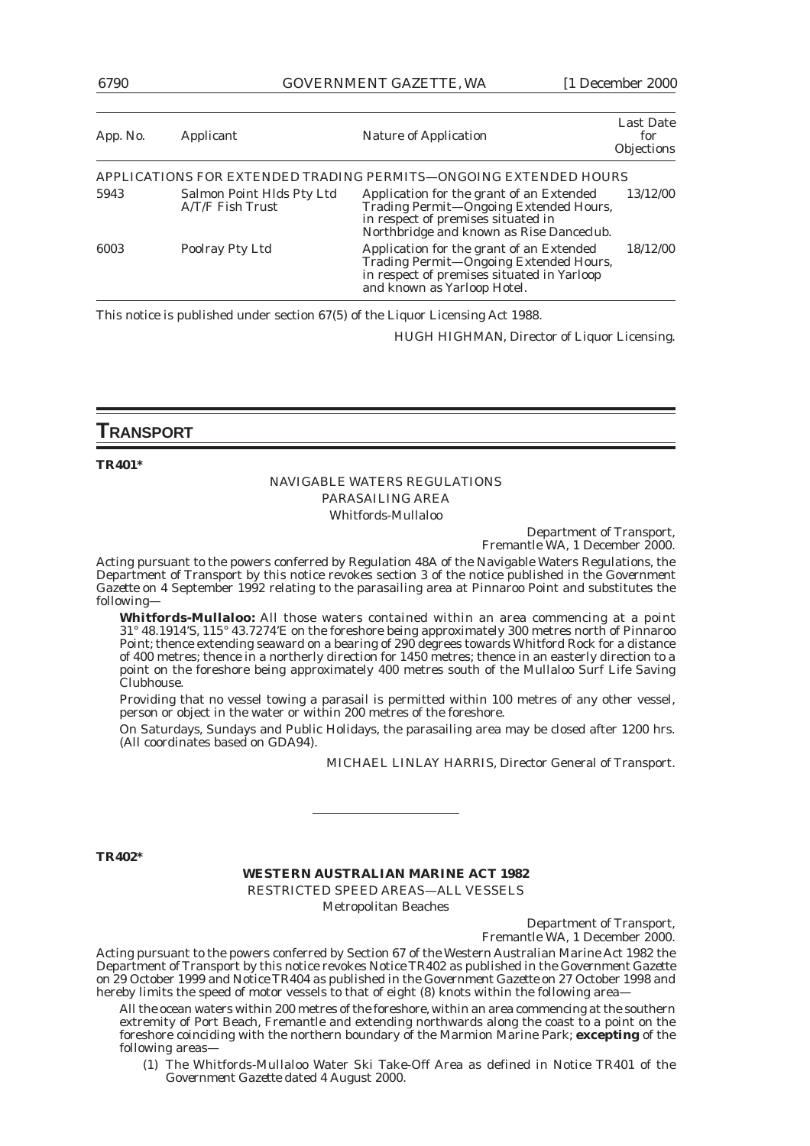6790 GOVERNMENT GAZETTE, WA [1 December 2000

| App. No. | Applicant                                     | <b>Nature of Application</b>                                                                                                                                         | Last Date<br>for<br>Objections |
|----------|-----------------------------------------------|----------------------------------------------------------------------------------------------------------------------------------------------------------------------|--------------------------------|
|          |                                               | APPLICATIONS FOR EXTENDED TRADING PERMITS—ONGOING EXTENDED HOURS                                                                                                     |                                |
| 5943     | Salmon Point Hlds Pty Ltd<br>A/T/F Fish Trust | Application for the grant of an Extended<br>Trading Permit-Ongoing Extended Hours,<br>in respect of premises situated in<br>Northbridge and known as Rise Danceclub. | 13/12/00                       |
| 6003     | Poolray Pty Ltd                               | Application for the grant of an Extended<br>Trading Permit-Ongoing Extended Hours,<br>in respect of premises situated in Yarloop<br>and known as Yarloop Hotel.      | 18/12/00                       |

This notice is published under section 67(5) of the Liquor Licensing Act 1988.

HUGH HIGHMAN, Director of Liquor Licensing.

### **TRANSPORT**

**TR401\***

#### NAVIGABLE WATERS REGULATIONS PARASAILING AREA Whitfords-Mullaloo

Department of Transport, Fremantle WA, 1 December 2000.

Acting pursuant to the powers conferred by Regulation 48A of the Navigable Waters Regulations, the Department of Transport by this notice revokes section 3 of the notice published in the *Government Gazette* on 4 September 1992 relating to the parasailing area at Pinnaroo Point and substitutes the following—

**Whitfords-Mullaloo:** All those waters contained within an area commencing at a point 31° 48.1914'S, 115° 43.7274'E on the foreshore being approximately 300 metres north of Pinnaroo Point; thence extending seaward on a bearing of 290 degrees towards Whitford Rock for a distance of 400 metres; thence in a northerly direction for 1450 metres; thence in an easterly direction to a point on the foreshore being approximately 400 metres south of the Mullaloo Surf Life Saving Clubhouse.

Providing that no vessel towing a parasail is permitted within 100 metres of any other vessel, person or object in the water or within 200 metres of the foreshore.

On Saturdays, Sundays and Public Holidays, the parasailing area may be closed after 1200 hrs. (All coordinates based on GDA94).

MICHAEL LINLAY HARRIS, Director General of Transport.

**TR402\***

#### **WESTERN AUSTRALIAN MARINE ACT 1982**

RESTRICTED SPEED AREAS—ALL VESSELS Metropolitan Beaches

> Department of Transport, Fremantle WA, 1 December 2000.

Acting pursuant to the powers conferred by Section 67 of the Western Australian Marine Act 1982 the Department of Transport by this notice revokes Notice TR402 as published in the *Government Gazette* on 29 October 1999 and Notice TR404 as published in the *Government Gazette* on 27 October 1998 and hereby limits the speed of motor vessels to that of eight (8) knots within the following area-

All the ocean waters within 200 metres of the foreshore, within an area commencing at the southern extremity of Port Beach, Fremantle and extending northwards along the coast to a point on the foreshore coinciding with the northern boundary of the Marmion Marine Park; **excepting** of the following areas—

(1) The Whitfords-Mullaloo Water Ski Take-Off Area as defined in Notice TR401 of the *Government Gazette* dated 4 August 2000.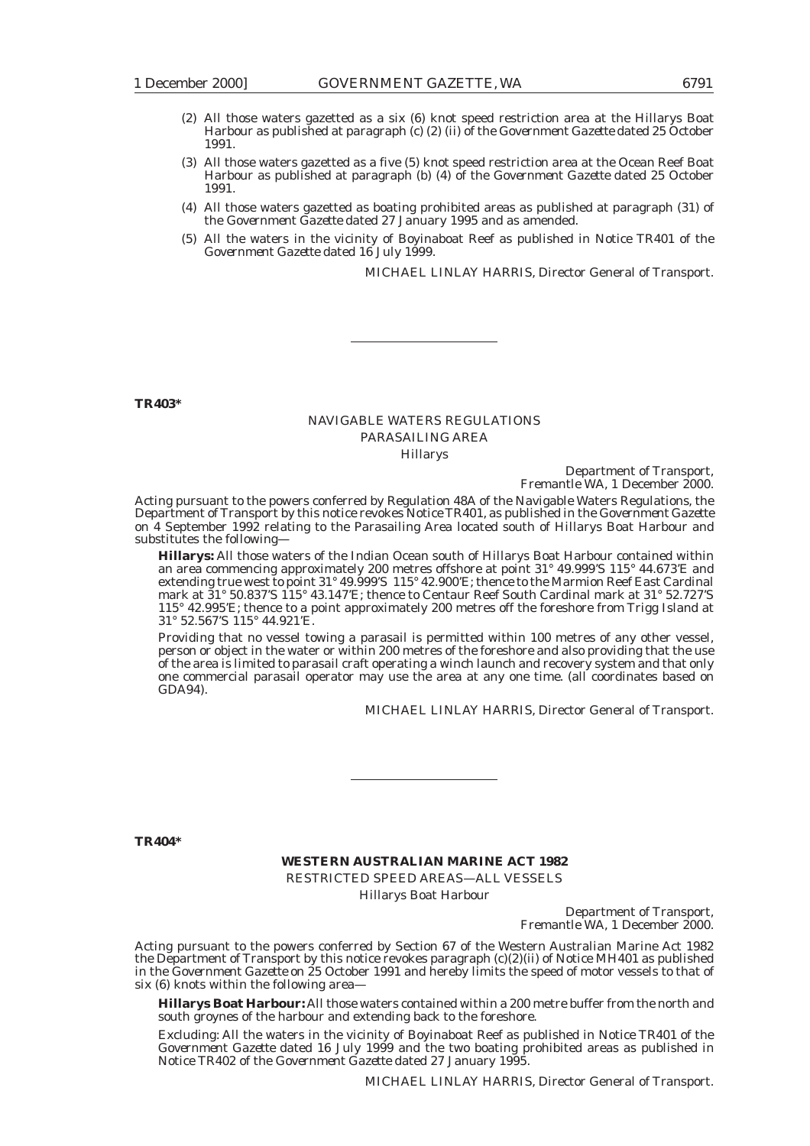- (2) All those waters gazetted as a six (6) knot speed restriction area at the Hillarys Boat Harbour as published at paragraph (c) (2) (ii) of the *Government Gazette* dated 25 October 1991.
- (3) All those waters gazetted as a five (5) knot speed restriction area at the Ocean Reef Boat Harbour as published at paragraph (b) (4) of the *Government Gazette* dated 25 October 1991.
- (4) All those waters gazetted as boating prohibited areas as published at paragraph (31) of the *Government Gazette* dated 27 January 1995 and as amended.
- (5) All the waters in the vicinity of Boyinaboat Reef as published in Notice TR401 of the *Government Gazette* dated 16 July 1999.

MICHAEL LINLAY HARRIS, Director General of Transport.

**TR403\***

# NAVIGABLE WATERS REGULATIONS PARASAILING AREA

Hillarys

Department of Transport, Fremantle WA, 1 December 2000.

Acting pursuant to the powers conferred by Regulation 48A of the Navigable Waters Regulations, the Department of Transport by this notice revokes Notice TR401, as published in the *Government Gazette* on 4 September 1992 relating to the Parasailing Area located south of Hillarys Boat Harbour and substitutes the following—

**Hillarys:** All those waters of the Indian Ocean south of Hillarys Boat Harbour contained within an area commencing approximately 200 metres offshore at point 31° 49.999'S 115° 44.673'E and extending true west to point 31° 49.999'S 115° 42.900'E; thence to the Marmion Reef East Cardinal mark at 31° 50.837'S 115° 43.147'E; thence to Centaur Reef South Cardinal mark at 31° 52.727'S 115° 42.995'E; thence to a point approximately 200 metres off the foreshore from Trigg Island at 31° 52.567'S 115° 44.921'E.

Providing that no vessel towing a parasail is permitted within 100 metres of any other vessel, person or object in the water or within 200 metres of the foreshore and also providing that the use of the area is limited to parasail craft operating a winch launch and recovery system and that only one commercial parasail operator may use the area at any one time. (all coordinates based on GDA94).

MICHAEL LINLAY HARRIS, Director General of Transport.

**TR404\***

### **WESTERN AUSTRALIAN MARINE ACT 1982** RESTRICTED SPEED AREAS—ALL VESSELS Hillarys Boat Harbour

Department of Transport, Fremantle WA, 1 December 2000.

Acting pursuant to the powers conferred by Section 67 of the Western Australian Marine Act 1982 the Department of Transport by this notice revokes paragraph (c)(2)(ii) of Notice MH401 as published in the *Government Gazette* on 25 October 1991 and hereby limits the speed of motor vessels to that of six (6) knots within the following area—

**Hillarys Boat Harbour:** All those waters contained within a 200 metre buffer from the north and south groynes of the harbour and extending back to the foreshore.

Excluding: All the waters in the vicinity of Boyinaboat Reef as published in Notice TR401 of the *Government Gazette* dated 16 July 1999 and the two boating prohibited areas as published in Notice TR402 of the *Government Gazette* dated 27 January 1995.

MICHAEL LINLAY HARRIS, Director General of Transport.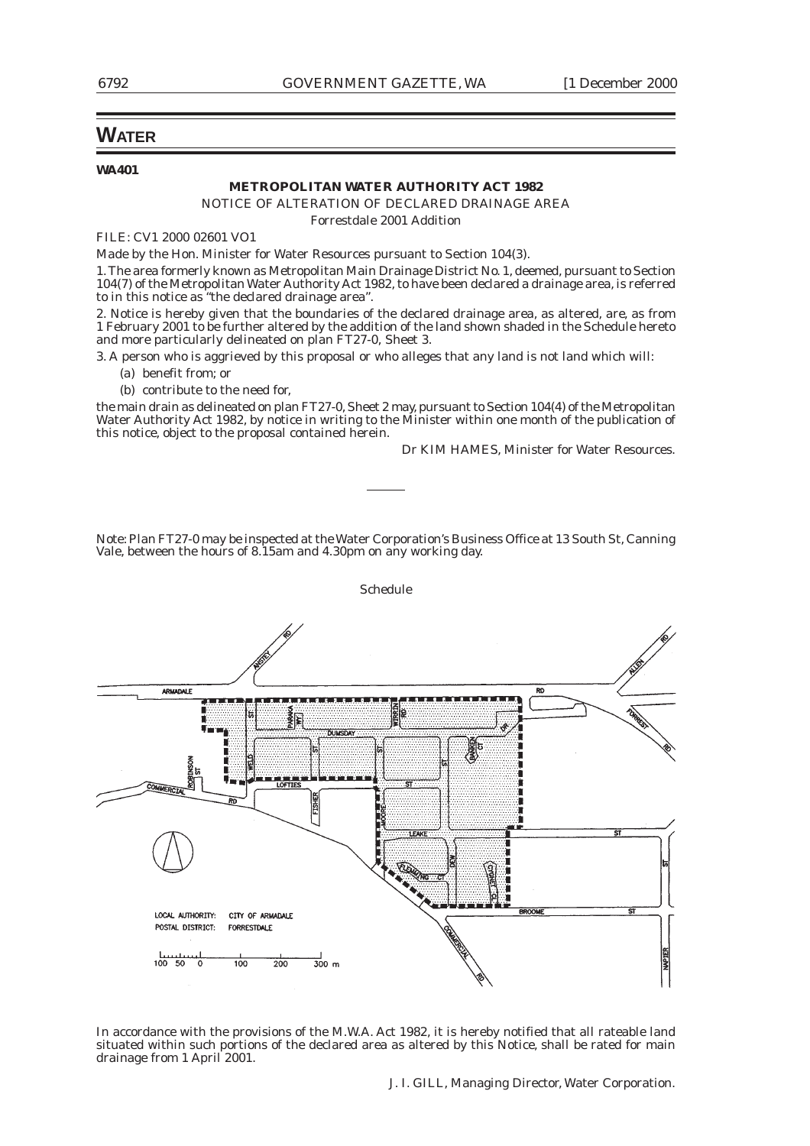# **WATER**

#### **WA401**

#### **METROPOLITAN WATER AUTHORITY ACT 1982**

NOTICE OF ALTERATION OF DECLARED DRAINAGE AREA

Forrestdale 2001 Addition

FILE: CV1 2000 02601 VO1

Made by the Hon. Minister for Water Resources pursuant to Section 104(3).

1. The area formerly known as Metropolitan Main Drainage District No. 1, deemed, pursuant to Section 104(7) of the Metropolitan Water Authority Act 1982, to have been declared a drainage area, is referred to in this notice as "the declared drainage area".

2. Notice is hereby given that the boundaries of the declared drainage area, as altered, are, as from 1 February 2001 to be further altered by the addition of the land shown shaded in the Schedule hereto and more particularly delineated on plan FT27-0, Sheet 3.

3. A person who is aggrieved by this proposal or who alleges that any land is not land which will: (a) benefit from; or

(b) contribute to the need for,

the main drain as delineated on plan FT27-0, Sheet 2 may, pursuant to Section 104(4) of the Metropolitan Water Authority Act 1982, by notice in writing to the Minister within one month of the publication of this notice, object to the proposal contained herein.

Dr KIM HAMES, Minister for Water Resources.

Note: Plan FT27-0 may be inspected at the Water Corporation's Business Office at 13 South St, Canning Vale, between the hours of 8.15am and 4.30pm on any working day.



In accordance with the provisions of the M.W.A. Act 1982, it is hereby notified that all rateable land situated within such portions of the declared area as altered by this Notice, shall be rated for main drainage from 1 April 2001.

J. I. GILL, Managing Director, Water Corporation.

Schedule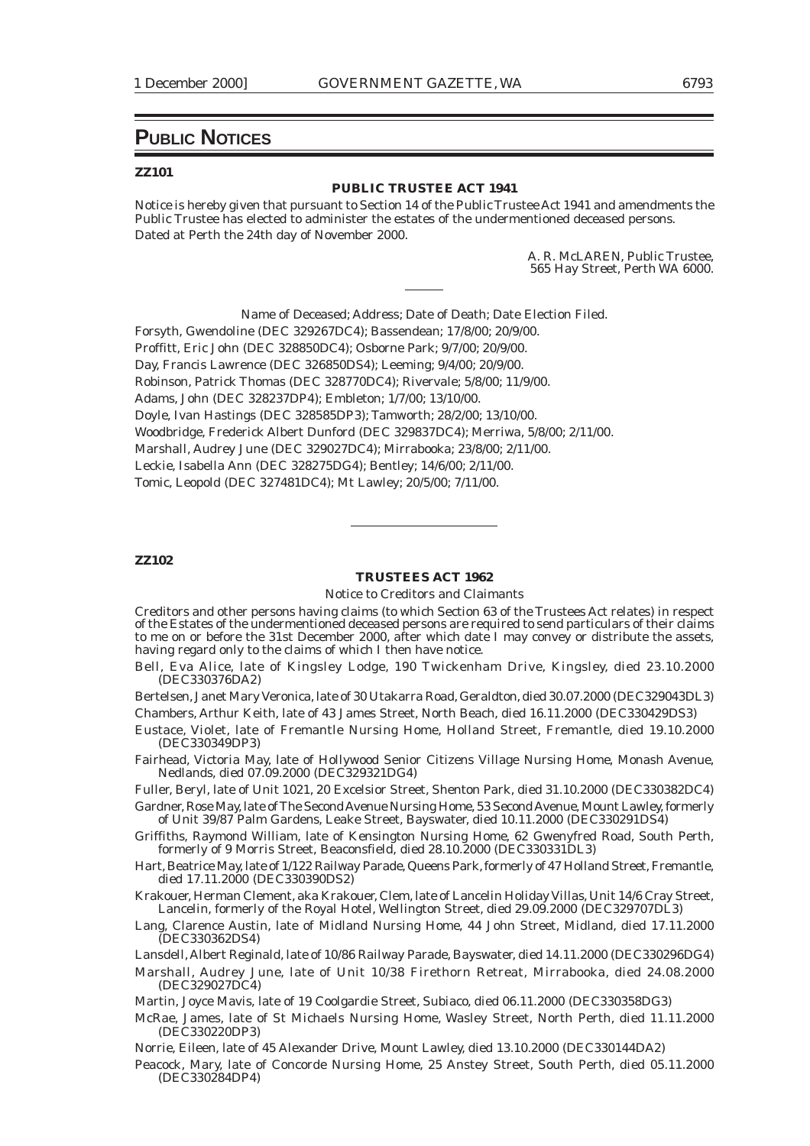# **PUBLIC NOTICES**

#### **ZZ101**

#### **PUBLIC TRUSTEE ACT 1941**

Notice is hereby given that pursuant to Section 14 of the Public Trustee Act 1941 and amendments the Public Trustee has elected to administer the estates of the undermentioned deceased persons. Dated at Perth the 24th day of November 2000.

> A. R. McLAREN, Public Trustee, 565 Hay Street, Perth WA 6000.

Name of Deceased; Address; Date of Death; Date Election Filed.

Forsyth, Gwendoline (DEC 329267DC4); Bassendean; 17/8/00; 20/9/00. Proffitt, Eric John (DEC 328850DC4); Osborne Park; 9/7/00; 20/9/00. Day, Francis Lawrence (DEC 326850DS4); Leeming; 9/4/00; 20/9/00. Robinson, Patrick Thomas (DEC 328770DC4); Rivervale; 5/8/00; 11/9/00. Adams, John (DEC 328237DP4); Embleton; 1/7/00; 13/10/00. Doyle, Ivan Hastings (DEC 328585DP3); Tamworth; 28/2/00; 13/10/00. Woodbridge, Frederick Albert Dunford (DEC 329837DC4); Merriwa, 5/8/00; 2/11/00. Marshall, Audrey June (DEC 329027DC4); Mirrabooka; 23/8/00; 2/11/00. Leckie, Isabella Ann (DEC 328275DG4); Bentley; 14/6/00; 2/11/00. Tomic, Leopold (DEC 327481DC4); Mt Lawley; 20/5/00; 7/11/00.

#### **ZZ102**

#### **TRUSTEES ACT 1962**

Notice to Creditors and Claimants

Creditors and other persons having claims (to which Section 63 of the Trustees Act relates) in respect of the Estates of the undermentioned deceased persons are required to send particulars of their claims to me on or before the 31st December 2000, after which date I may convey or distribute the assets, having regard only to the claims of which I then have notice.

Bell, Eva Alice, late of Kingsley Lodge, 190 Twickenham Drive, Kingsley, died 23.10.2000 (DEC330376DA2)

Bertelsen, Janet Mary Veronica, late of 30 Utakarra Road, Geraldton, died 30.07.2000 (DEC329043DL3) Chambers, Arthur Keith, late of 43 James Street, North Beach, died 16.11.2000 (DEC330429DS3)

Eustace, Violet, late of Fremantle Nursing Home, Holland Street, Fremantle, died 19.10.2000 (DEC330349DP3)

Fairhead, Victoria May, late of Hollywood Senior Citizens Village Nursing Home, Monash Avenue, Nedlands, died 07.09.2000 (DEC329321DG4)

Fuller, Beryl, late of Unit 1021, 20 Excelsior Street, Shenton Park, died 31.10.2000 (DEC330382DC4)

Gardner, Rose May, late of The Second Avenue Nursing Home, 53 Second Avenue, Mount Lawley, formerly of Unit 39/87 Palm Gardens, Leake Street, Bayswater, died 10.11.2000 (DEC330291DS4)

Griffiths, Raymond William, late of Kensington Nursing Home, 62 Gwenyfred Road, South Perth, formerly of 9 Morris Street, Beaconsfield, died 28.10.2000 (DEC330331DL3)

Hart, Beatrice May, late of 1/122 Railway Parade, Queens Park, formerly of 47 Holland Street, Fremantle, died 17.11.2000 (DEC330390DS2)

Krakouer, Herman Clement, aka Krakouer, Clem, late of Lancelin Holiday Villas, Unit 14/6 Cray Street, Lancelin, formerly of the Royal Hotel, Wellington Street, died 29.09.2000 (DEC329707DL3)

Lang, Clarence Austin, late of Midland Nursing Home, 44 John Street, Midland, died 17.11.2000 (DEC330362DS4)

Lansdell, Albert Reginald, late of 10/86 Railway Parade, Bayswater, died 14.11.2000 (DEC330296DG4)

Marshall, Audrey June, late of Unit 10/38 Firethorn Retreat, Mirrabooka, died 24.08.2000 (DEC329027DC4)

Martin, Joyce Mavis, late of 19 Coolgardie Street, Subiaco, died 06.11.2000 (DEC330358DG3)

McRae, James, late of St Michaels Nursing Home, Wasley Street, North Perth, died 11.11.2000 (DEC330220DP3)

Norrie, Eileen, late of 45 Alexander Drive, Mount Lawley, died 13.10.2000 (DEC330144DA2)

Peacock, Mary, late of Concorde Nursing Home, 25 Anstey Street, South Perth, died 05.11.2000 (DEC330284DP4)